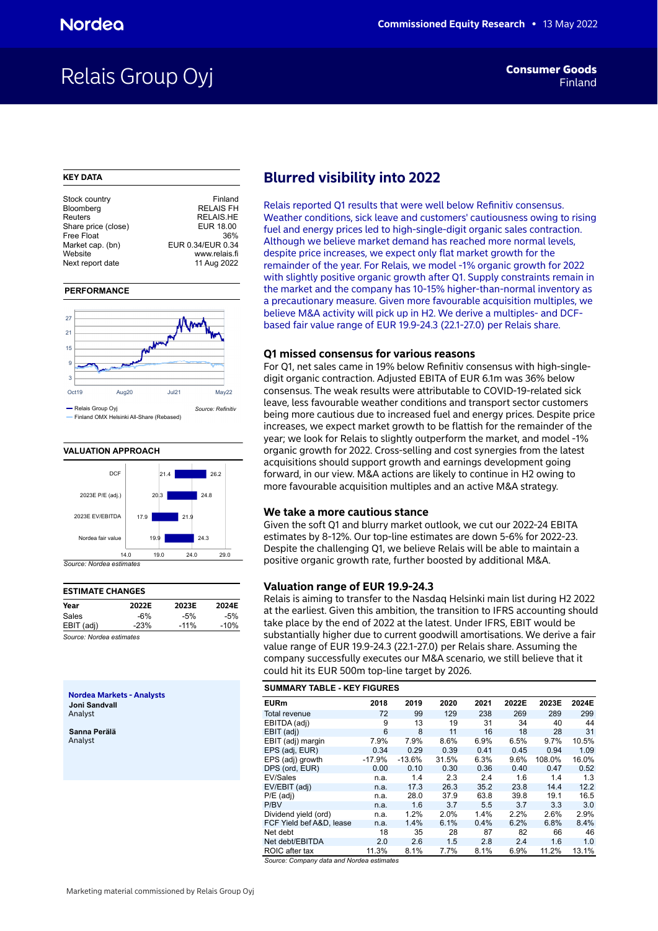## Relais Group Oyj

### **KEY DATA**

| Stock country       | Finland           |
|---------------------|-------------------|
| Bloomberg           | <b>RELAIS FH</b>  |
| Reuters             | <b>RELAIS.HE</b>  |
| Share price (close) | EUR 18.00         |
| Free Float          | 36%               |
| Market cap. (bn)    | EUR 0.34/EUR 0.34 |
| Website             | www.relais.fi     |
| Next report date    | 11 Aug 2022       |
|                     |                   |

### **PERFORMANCE**



**VALUATION APPROACH** 



| <b>ESTIMATE CHANGES</b>                         |        |        |        |  |  |  |  |  |  |  |
|-------------------------------------------------|--------|--------|--------|--|--|--|--|--|--|--|
| Year                                            | 2022E  | 2023E  | 2024E  |  |  |  |  |  |  |  |
| Sales                                           | -6%    | $-5%$  | $-5%$  |  |  |  |  |  |  |  |
| EBIT (adj)                                      | $-23%$ | $-11%$ | $-10%$ |  |  |  |  |  |  |  |
| $0 - 2 = 11 - 11 - 11 = 11 - 11 - 11 = 11 - 11$ |        |        |        |  |  |  |  |  |  |  |

*Source: Nordea estimates*

**Nordea Markets - Analysts Joni Sandvall** Analyst

**Sanna Perälä** Analyst

## **Blurred visibility into 2022**

Relais reported Q1 results that were well below Refinitiv consensus. Weather conditions, sick leave and customers' cautiousness owing to rising fuel and energy prices led to high-single-digit organic sales contraction. Although we believe market demand has reached more normal levels, despite price increases, we expect only flat market growth for the remainder of the year. For Relais, we model -1% organic growth for 2022 with slightly positive organic growth after Q1. Supply constraints remain in the market and the company has 10-15% higher-than-normal inventory as a precautionary measure. Given more favourable acquisition multiples, we believe M&A activity will pick up in H2. We derive a multiples- and DCFbased fair value range of EUR 19.9-24.3 (22.1-27.0) per Relais share.

### **Q1 missed consensus for various reasons**

For Q1, net sales came in 19% below Refinitiv consensus with high-singledigit organic contraction. Adjusted EBITA of EUR 6.1m was 36% below consensus. The weak results were attributable to COVID-19-related sick leave, less favourable weather conditions and transport sector customers being more cautious due to increased fuel and energy prices. Despite price increases, we expect market growth to be flattish for the remainder of the year; we look for Relais to slightly outperform the market, and model -1% organic growth for 2022. Cross-selling and cost synergies from the latest acquisitions should support growth and earnings development going forward, in our view. M&A actions are likely to continue in H2 owing to more favourable acquisition multiples and an active M&A strategy.

### **We take a more cautious stance**

Given the soft Q1 and blurry market outlook, we cut our 2022-24 EBITA estimates by 8-12%. Our top-line estimates are down 5-6% for 2022-23. Despite the challenging Q1, we believe Relais will be able to maintain a positive organic growth rate, further boosted by additional M&A.

## **Valuation range of EUR 19.9-24.3**

Relais is aiming to transfer to the Nasdaq Helsinki main list during H2 2022 at the earliest. Given this ambition, the transition to IFRS accounting should take place by the end of 2022 at the latest. Under IFRS, EBIT would be substantially higher due to current goodwill amortisations. We derive a fair value range of EUR 19.9-24.3 (22.1-27.0) per Relais share. Assuming the company successfully executes our M&A scenario, we still believe that it could hit its EUR 500m top-line target by 2026.

| <b>SUMMARY TABLE - KEY FIGURES</b> |
|------------------------------------|
|------------------------------------|

| <b>EURm</b>              | 2018     | 2019     | 2020  | 2021 | 2022E | 2023E  | 2024E |
|--------------------------|----------|----------|-------|------|-------|--------|-------|
| Total revenue            | 72       | 99       | 129   | 238  | 269   | 289    | 299   |
| EBITDA (adj)             | 9        | 13       | 19    | 31   | 34    | 40     | 44    |
| EBIT (adj)               | 6        | 8        | 11    | 16   | 18    | 28     | 31    |
| EBIT (adj) margin        | 7.9%     | 7.9%     | 8.6%  | 6.9% | 6.5%  | 9.7%   | 10.5% |
| EPS (adj, EUR)           | 0.34     | 0.29     | 0.39  | 0.41 | 0.45  | 0.94   | 1.09  |
| EPS (adj) growth         | $-17.9%$ | $-13.6%$ | 31.5% | 6.3% | 9.6%  | 108.0% | 16.0% |
| DPS (ord, EUR)           | 0.00     | 0.10     | 0.30  | 0.36 | 0.40  | 0.47   | 0.52  |
| EV/Sales                 | n.a.     | 1.4      | 2.3   | 2.4  | 1.6   | 1.4    | 1.3   |
| EV/EBIT (adj)            | n.a.     | 17.3     | 26.3  | 35.2 | 23.8  | 14.4   | 12.2  |
| $P/E$ (adj)              | n.a.     | 28.0     | 37.9  | 63.8 | 39.8  | 19.1   | 16.5  |
| P/BV                     | n.a.     | 1.6      | 3.7   | 5.5  | 3.7   | 3.3    | 3.0   |
| Dividend yield (ord)     | n.a.     | 1.2%     | 2.0%  | 1.4% | 2.2%  | 2.6%   | 2.9%  |
| FCF Yield bef A&D. lease | n.a.     | 1.4%     | 6.1%  | 0.4% | 6.2%  | 6.8%   | 8.4%  |
| Net debt                 | 18       | 35       | 28    | 87   | 82    | 66     | 46    |
| Net debt/EBITDA          | 2.0      | 2.6      | 1.5   | 2.8  | 2.4   | 1.6    | 1.0   |
| ROIC after tax           | 11.3%    | 8.1%     | 7.7%  | 8.1% | 6.9%  | 11.2%  | 13.1% |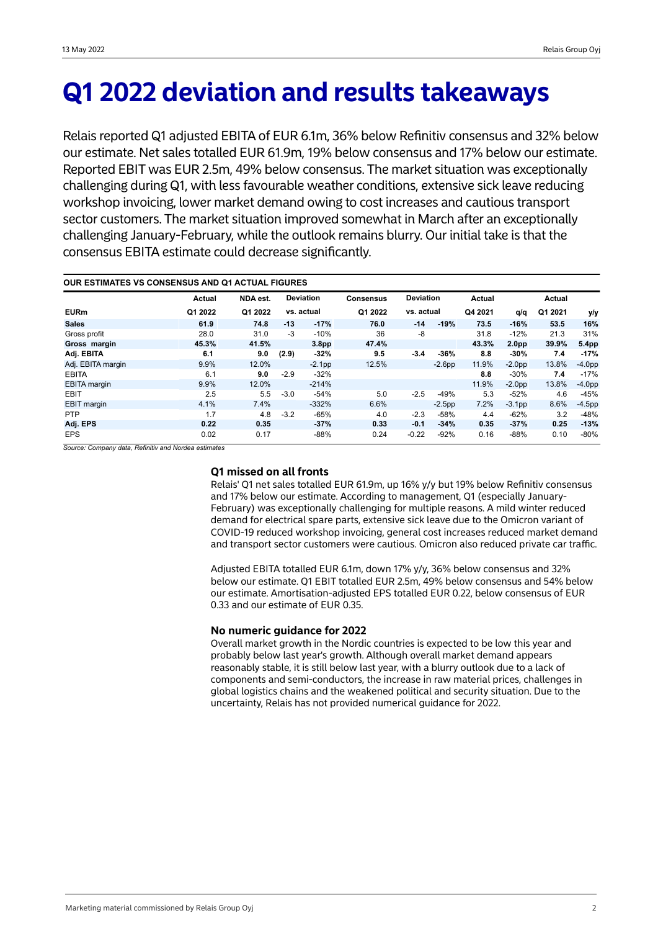## **Q1 2022 deviation and results takeaways**

Relais reported Q1 adjusted EBITA of EUR 6.1m, 36% below Refinitiv consensus and 32% below our estimate. Net sales totalled EUR 61.9m, 19% below consensus and 17% below our estimate. Reported EBIT was EUR 2.5m, 49% below consensus. The market situation was exceptionally challenging during Q1, with less favourable weather conditions, extensive sick leave reducing workshop invoicing, lower market demand owing to cost increases and cautious transport sector customers. The market situation improved somewhat in March after an exceptionally challenging January-February, while the outlook remains blurry. Our initial take is that the consensus EBITA estimate could decrease significantly.

| <b>OUR ESTIMATES VS CONSENSUS AND Q1 ACTUAL FIGURES</b> |         |          |        |                   |                  |                  |          |         |                   |               |           |
|---------------------------------------------------------|---------|----------|--------|-------------------|------------------|------------------|----------|---------|-------------------|---------------|-----------|
|                                                         | Actual  | NDA est. |        | <b>Deviation</b>  | <b>Consensus</b> | <b>Deviation</b> |          | Actual  |                   | <b>Actual</b> |           |
| <b>EURm</b>                                             | Q1 2022 | Q1 2022  |        | vs. actual        | Q1 2022          | vs. actual       |          | Q4 2021 | q/q               | Q1 2021       | y/y       |
| <b>Sales</b>                                            | 61.9    | 74.8     | $-13$  | $-17%$            | 76.0             | $-14$            | $-19%$   | 73.5    | $-16%$            | 53.5          | 16%       |
| Gross profit                                            | 28.0    | 31.0     | $-3$   | $-10%$            | 36               | $-8$             |          | 31.8    | $-12%$            | 21.3          | 31%       |
| Gross margin                                            | 45.3%   | 41.5%    |        | 3.8 <sub>pp</sub> | 47.4%            |                  |          | 43.3%   | 2.0 <sub>pp</sub> | 39.9%         | 5.4pp     |
| Adj. EBITA                                              | 6.1     | 9.0      | (2.9)  | $-32%$            | 9.5              | $-3.4$           | $-36%$   | 8.8     | $-30%$            | 7.4           | $-17%$    |
| Adj. EBITA margin                                       | 9.9%    | 12.0%    |        | $-2.1pp$          | 12.5%            |                  | $-2.6pp$ | 11.9%   | $-2.0pp$          | 13.8%         | $-4.0pp$  |
| <b>EBITA</b>                                            | 6.1     | 9.0      | $-2.9$ | $-32%$            |                  |                  |          | 8.8     | $-30%$            | 7.4           | $-17%$    |
| <b>EBITA</b> margin                                     | 9.9%    | 12.0%    |        | $-214%$           |                  |                  |          | 11.9%   | $-2.0pp$          | 13.8%         | $-4.0pp$  |
| <b>EBIT</b>                                             | 2.5     | 5.5      | $-3.0$ | $-54%$            | 5.0              | $-2.5$           | $-49%$   | 5.3     | $-52%$            | 4.6           | $-45%$    |
| EBIT margin                                             | 4.1%    | 7.4%     |        | $-332%$           | 6.6%             |                  | $-2.5pp$ | 7.2%    | $-3.1pp$          | 8.6%          | $-4.5$ pp |
| <b>PTP</b>                                              | 1.7     | 4.8      | $-3.2$ | $-65%$            | 4.0              | $-2.3$           | -58%     | 4.4     | $-62%$            | 3.2           | $-48%$    |
| Adj. EPS                                                | 0.22    | 0.35     |        | $-37%$            | 0.33             | $-0.1$           | $-34%$   | 0.35    | $-37%$            | 0.25          | $-13%$    |
| <b>EPS</b>                                              | 0.02    | 0.17     |        | $-88%$            | 0.24             | $-0.22$          | $-92%$   | 0.16    | $-88%$            | 0.10          | $-80%$    |

*Source: Company data, Refinitiv and Nordea estimates*

## **Q1 missed on all fronts**

Relais' Q1 net sales totalled EUR 61.9m, up 16% y/y but 19% below Refinitiv consensus and 17% below our estimate. According to management, Q1 (especially January-February) was exceptionally challenging for multiple reasons. A mild winter reduced demand for electrical spare parts, extensive sick leave due to the Omicron variant of COVID-19 reduced workshop invoicing, general cost increases reduced market demand and transport sector customers were cautious. Omicron also reduced private car traffic.

Adjusted EBITA totalled EUR 6.1m, down 17% y/y, 36% below consensus and 32% below our estimate. Q1 EBIT totalled EUR 2.5m, 49% below consensus and 54% below our estimate. Amortisation-adjusted EPS totalled EUR 0.22, below consensus of EUR 0.33 and our estimate of EUR 0.35.

## **No numeric guidance for 2022**

Overall market growth in the Nordic countries is expected to be low this year and probably below last year's growth. Although overall market demand appears reasonably stable, it is still below last year, with a blurry outlook due to a lack of components and semi-conductors, the increase in raw material prices, challenges in global logistics chains and the weakened political and security situation. Due to the uncertainty, Relais has not provided numerical guidance for 2022.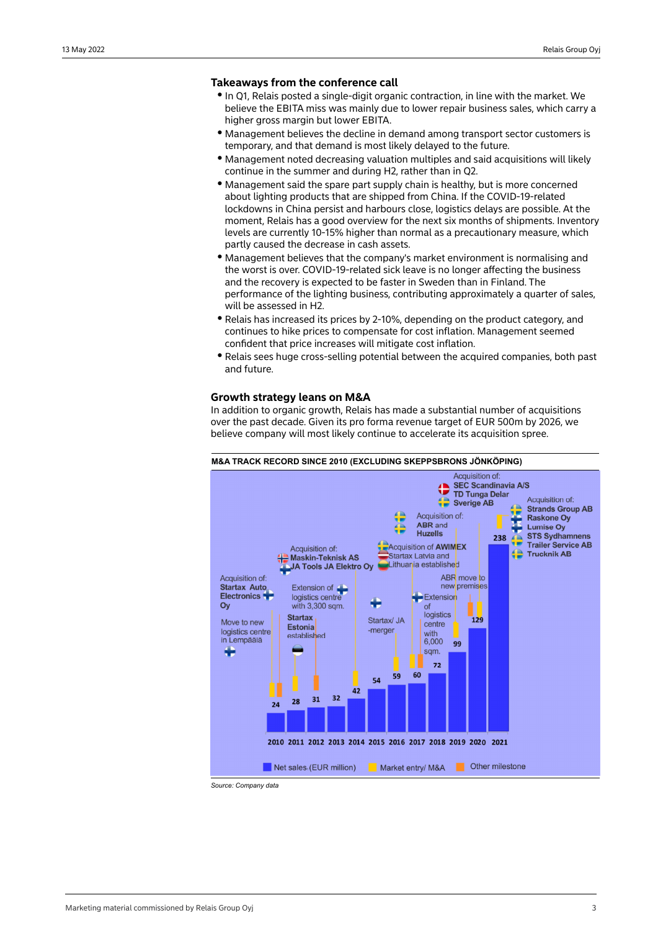## **Takeaways from the conference call**

- In Q1, Relais posted a single-digit organic contraction, in line with the market. We believe the EBITA miss was mainly due to lower repair business sales, which carry a higher gross margin but lower EBITA.
- $\bullet$  Management believes the decline in demand among transport sector customers is temporary, and that demand is most likely delayed to the future.
- y Management noted decreasing valuation multiples and said acquisitions will likely continue in the summer and during H2, rather than in Q2.
- Management said the spare part supply chain is healthy, but is more concerned about lighting products that are shipped from China. If the COVID-19-related lockdowns in China persist and harbours close, logistics delays are possible. At the moment, Relais has a good overview for the next six months of shipments. Inventory levels are currently 10-15% higher than normal as a precautionary measure, which partly caused the decrease in cash assets.
- $\bullet$  Management believes that the company's market environment is normalising and the worst is over. COVID-19-related sick leave is no longer affecting the business and the recovery is expected to be faster in Sweden than in Finland. The performance of the lighting business, contributing approximately a quarter of sales, will be assessed in H2.
- Relais has increased its prices by 2-10%, depending on the product category, and continues to hike prices to compensate for cost inflation. Management seemed confident that price increases will mitigate cost inflation.
- Relais sees huge cross-selling potential between the acquired companies, both past and future.

## **Growth strategy leans on M&A**

In addition to organic growth, Relais has made a substantial number of acquisitions over the past decade. Given its pro forma revenue target of EUR 500m by 2026, we believe company will most likely continue to accelerate its acquisition spree.

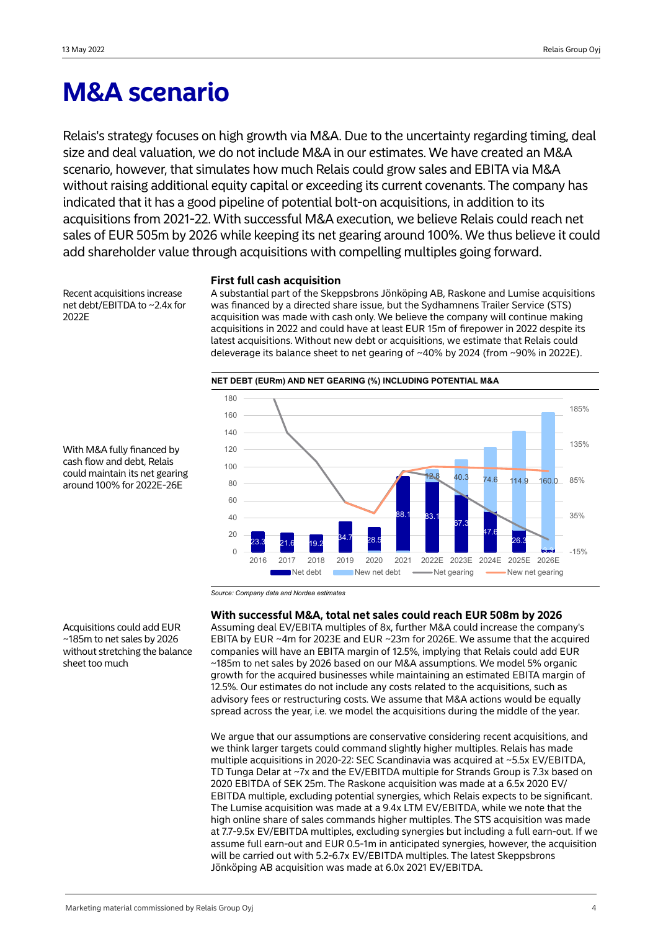## **M&A scenario**

Relais's strategy focuses on high growth via M&A. Due to the uncertainty regarding timing, deal size and deal valuation, we do not include M&A in our estimates. We have created an M&A scenario, however, that simulates how much Relais could grow sales and EBITA via M&A without raising additional equity capital or exceeding its current covenants. The company has indicated that it has a good pipeline of potential bolt-on acquisitions, in addition to its acquisitions from 2021-22. With successful M&A execution, we believe Relais could reach net sales of EUR 505m by 2026 while keeping its net gearing around 100%. We thus believe it could add shareholder value through acquisitions with compelling multiples going forward.

Recent acquisitions increase net debt/EBITDA to ~2.4x for 2022E

## **First full cash acquisition**

A substantial part of the Skeppsbrons Jönköping AB, Raskone and Lumise acquisitions was financed by a directed share issue, but the Sydhamnens Trailer Service (STS) acquisition was made with cash only. We believe the company will continue making acquisitions in 2022 and could have at least EUR 15m of firepower in 2022 despite its latest acquisitions. Without new debt or acquisitions, we estimate that Relais could deleverage its balance sheet to net gearing of ~40% by 2024 (from ~90% in 2022E).



With M&A fully financed by cash flow and debt, Relais could maintain its net gearing around 100% for 2022E-26E

*Source: Company data and Nordea estimates*

## **With successful M&A, total net sales could reach EUR 508m by 2026**

Assuming deal EV/EBITA multiples of 8x, further M&A could increase the company's EBITA by EUR ~4m for 2023E and EUR ~23m for 2026E. We assume that the acquired companies will have an EBITA margin of 12.5%, implying that Relais could add EUR ~185m to net sales by 2026 based on our M&A assumptions. We model 5% organic growth for the acquired businesses while maintaining an estimated EBITA margin of 12.5%. Our estimates do not include any costs related to the acquisitions, such as advisory fees or restructuring costs. We assume that M&A actions would be equally spread across the year, i.e. we model the acquisitions during the middle of the year.

We argue that our assumptions are conservative considering recent acquisitions, and we think larger targets could command slightly higher multiples. Relais has made multiple acquisitions in 2020-22: SEC Scandinavia was acquired at ~5.5x EV/EBITDA, TD Tunga Delar at ~7x and the EV/EBITDA multiple for Strands Group is 7.3x based on 2020 EBITDA of SEK 25m. The Raskone acquisition was made at a 6.5x 2020 EV/ EBITDA multiple, excluding potential synergies, which Relais expects to be significant. The Lumise acquisition was made at a 9.4x LTM EV/EBITDA, while we note that the high online share of sales commands higher multiples. The STS acquisition was made at 7.7-9.5x EV/EBITDA multiples, excluding synergies but including a full earn-out. If we assume full earn-out and EUR 0.5-1m in anticipated synergies, however, the acquisition will be carried out with 5.2-6.7x EV/EBITDA multiples. The latest Skeppsbrons Jönköping AB acquisition was made at 6.0x 2021 EV/EBITDA.

Acquisitions could add EUR ~185m to net sales by 2026 without stretching the balance sheet too much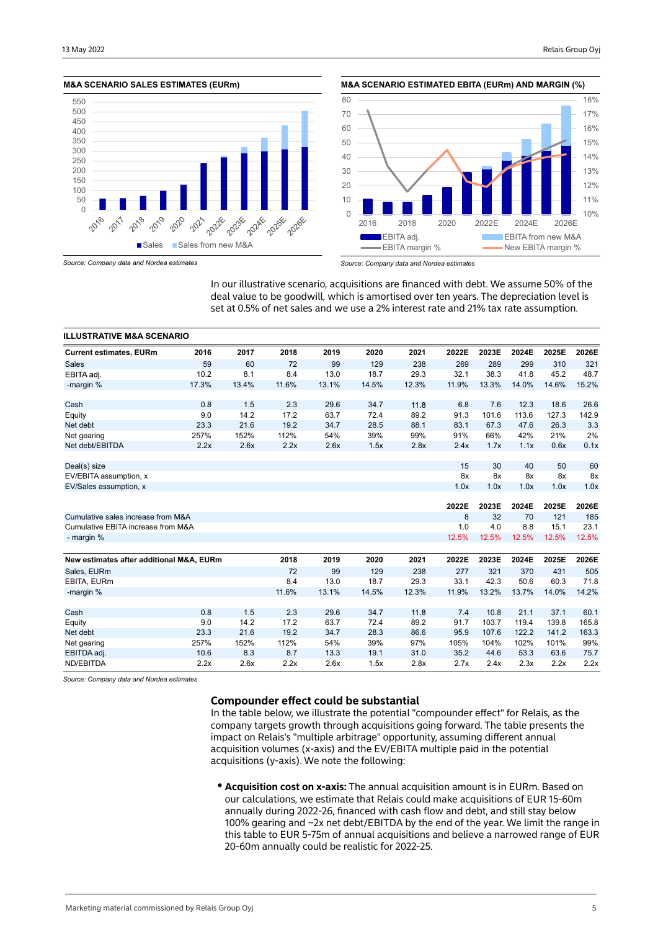### **M&A SCENARIO SALES ESTIMATES (EURm)**









*Source: Company data and Nordea estimates*

In our illustrative scenario, acquisitions are financed with debt. We assume 50% of the deal value to be goodwill, which is amortised over ten years. The depreciation level is set at 0.5% of net sales and we use a 2% interest rate and 21% tax rate assumption.

| <b>ILLUSTRATIVE M&amp;A SCENARIO</b>     |       |       |       |       |       |       |       |       |       |       |       |
|------------------------------------------|-------|-------|-------|-------|-------|-------|-------|-------|-------|-------|-------|
| <b>Current estimates, EURm</b>           | 2016  | 2017  | 2018  | 2019  | 2020  | 2021  | 2022E | 2023E | 2024E | 2025E | 2026E |
| <b>Sales</b>                             | 59    | 60    | 72    | 99    | 129   | 238   | 269   | 289   | 299   | 310   | 321   |
| EBITA adi.                               | 10.2  | 8.1   | 8.4   | 13.0  | 18.7  | 29.3  | 32.1  | 38.3  | 41.8  | 45.2  | 48.7  |
| -margin %                                | 17.3% | 13.4% | 11.6% | 13.1% | 14.5% | 12.3% | 11.9% | 13.3% | 14.0% | 14.6% | 15.2% |
| Cash                                     | 0.8   | 1.5   | 2.3   | 29.6  | 34.7  | 11.8  | 6.8   | 7.6   | 12.3  | 18.6  | 26.6  |
| Equity                                   | 9.0   | 14.2  | 17.2  | 63.7  | 72.4  | 89.2  | 91.3  | 101.6 | 113.6 | 127.3 | 142.9 |
| Net debt                                 | 23.3  | 21.6  | 19.2  | 34.7  | 28.5  | 88.1  | 83.1  | 67.3  | 47.6  | 26.3  | 3.3   |
| Net gearing                              | 257%  | 152%  | 112%  | 54%   | 39%   | 99%   | 91%   | 66%   | 42%   | 21%   | 2%    |
| Net debt/EBITDA                          | 2.2x  | 2.6x  | 2.2x  | 2.6x  | 1.5x  | 2.8x  | 2.4x  | 1.7x  | 1.1x  | 0.6x  | 0.1x  |
| Deal(s) size                             |       |       |       |       |       |       | 15    | 30    | 40    | 50    | 60    |
| EV/EBITA assumption, x                   |       |       |       |       |       |       | 8x    | 8x    | 8x    | 8x    | 8x    |
| EV/Sales assumption, x                   |       |       |       |       |       |       | 1.0x  | 1.0x  | 1.0x  | 1.0x  | 1.0x  |
|                                          |       |       |       |       |       |       | 2022E | 2023E | 2024E | 2025E | 2026E |
| Cumulative sales increase from M&A       |       |       |       |       |       |       | 8     | 32    | 70    | 121   | 185   |
| Cumulative EBITA increase from M&A       |       |       |       |       |       |       | 1.0   | 4.0   | 8.8   | 15.1  | 23.1  |
| - margin %                               |       |       |       |       |       |       | 12.5% | 12.5% | 12.5% | 12.5% | 12.5% |
| New estimates after additional M&A, EURm |       |       | 2018  | 2019  | 2020  | 2021  | 2022E | 2023E | 2024E | 2025E | 2026E |
| Sales, EURm                              |       |       | 72    | 99    | 129   | 238   | 277   | 321   | 370   | 431   | 505   |
| EBITA, EURm                              |       |       | 8.4   | 13.0  | 18.7  | 29.3  | 33.1  | 42.3  | 50.6  | 60.3  | 71.8  |
| -margin %                                |       |       | 11.6% | 13.1% | 14.5% | 12.3% | 11.9% | 13.2% | 13.7% | 14.0% | 14.2% |
| Cash                                     | 0.8   | 1.5   | 2.3   | 29.6  | 34.7  | 11.8  | 7.4   | 10.8  | 21.1  | 37.1  | 60.1  |
| Equity                                   | 9.0   | 14.2  | 17.2  | 63.7  | 72.4  | 89.2  | 91.7  | 103.7 | 119.4 | 139.8 | 165.8 |
| Net debt                                 | 23.3  | 21.6  | 19.2  | 34.7  | 28.3  | 86.6  | 95.9  | 107.6 | 122.2 | 141.2 | 163.3 |
| Net gearing                              | 257%  | 152%  | 112%  | 54%   | 39%   | 97%   | 105%  | 104%  | 102%  | 101%  | 99%   |
| EBITDA adj.                              | 10.6  | 8.3   | 8.7   | 13.3  | 19.1  | 31.0  | 35.2  | 44.6  | 53.3  | 63.6  | 75.7  |
| ND/EBITDA                                | 2.2x  | 2.6x  | 2.2x  | 2.6x  | 1.5x  | 2.8x  | 2.7x  | 2.4x  | 2.3x  | 2.2x  | 2.2x  |

*Source: Company data and Nordea estimates*

## **Compounder effect could be substantial**

In the table below, we illustrate the potential "compounder effect" for Relais, as the company targets growth through acquisitions going forward. The table presents the impact on Relais's "multiple arbitrage" opportunity, assuming different annual acquisition volumes (x-axis) and the EV/EBITA multiple paid in the potential acquisitions (y-axis). We note the following:

**Acquisition cost on x-axis:** The annual acquisition amount is in EURm. Based on our calculations, we estimate that Relais could make acquisitions of EUR 15-60m annually during 2022-26, financed with cash flow and debt, and still stay below 100% gearing and ~2x net debt/EBITDA by the end of the year. We limit the range in this table to EUR 5-75m of annual acquisitions and believe a narrowed range of EUR 20-60m annually could be realistic for 2022-25.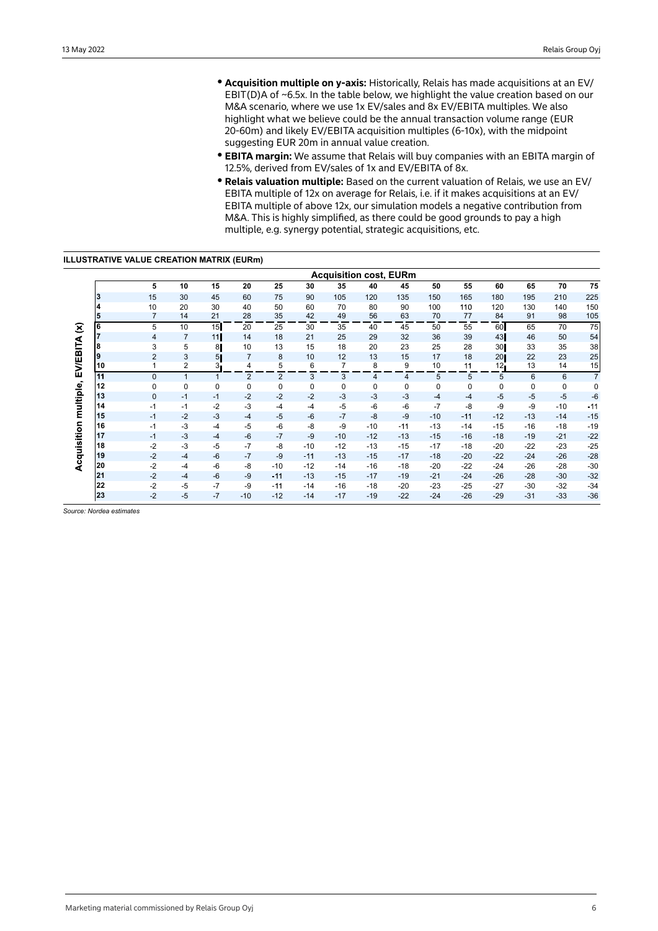- **Acquisition multiple on y-axis:** Historically, Relais has made acquisitions at an EV/ EBIT(D)A of ~6.5x. In the table below, we highlight the value creation based on our M&A scenario, where we use 1x EV/sales and 8x EV/EBITA multiples. We also highlight what we believe could be the annual transaction volume range (EUR 20-60m) and likely EV/EBITA acquisition multiples (6-10x), with the midpoint suggesting EUR 20m in annual value creation.
- **EBITA margin:** We assume that Relais will buy companies with an EBITA margin of 12.5%, derived from EV/sales of 1x and EV/EBITA of 8x.
- **Relais valuation multiple:** Based on the current valuation of Relais, we use an EV/ EBITA multiple of 12x on average for Relais, i.e. if it makes acquisitions at an EV/ EBITA multiple of above 12x, our simulation models a negative contribution from M&A. This is highly simplified, as there could be good grounds to pay a high multiple, e.g. synergy potential, strategic acquisitions, etc.

## **ILLUSTRATIVE VALUE CREATION MATRIX (EURm)**

|                        |                         |                |                |                |                |                |             | <b>Acquisition cost, EURm</b> |       |             |       |       |                 |             |             |                |
|------------------------|-------------------------|----------------|----------------|----------------|----------------|----------------|-------------|-------------------------------|-------|-------------|-------|-------|-----------------|-------------|-------------|----------------|
|                        |                         | 5              | 10             | 15             | 20             | 25             | 30          | 35                            | 40    | 45          | 50    | 55    | 60              | 65          | 70          | 75             |
|                        | 3                       | 15             | 30             | 45             | 60             | 75             | 90          | 105                           | 120   | 135         | 150   | 165   | 180             | 195         | 210         | 225            |
|                        | $\overline{\mathbf{4}}$ | 10             | 20             | 30             | 40             | 50             | 60          | 70                            | 80    | 90          | 100   | 110   | 120             | 130         | 140         | 150            |
|                        | 5                       | $\overline{7}$ | 14             | 21             | 28             | 35             | 42          | 49                            | 56    | 63          | 70    | 77    | 84              | 91          | 98          | 105            |
| $\mathbf{\widehat{z}}$ | 6                       | 5              | 10             | 15             | 20             | 25             | 30          | 35                            | 40    | 45          | 50    | 55    | 60              | 65          | 70          | 75             |
|                        |                         | $\overline{4}$ | $\overline{7}$ | 11             | 14             | 18             | 21          | 25                            | 29    | 32          | 36    | 39    | 43              | 46          | 50          | 54             |
|                        | 8                       | 3              | 5              | 8              | 10             | 13             | 15          | 18                            | 20    | 23          | 25    | 28    | 30              | 33          | 35          | 38             |
|                        | Ι9                      | $\overline{2}$ | 3              | 5 <sub>1</sub> | $\overline{7}$ | 8              | 10          | 12                            | 13    | 15          | 17    | 18    | 20              | 22          | 23          | 25             |
| <b>EV/EBITA</b>        | 10                      | 1              | 2              | 3.             | 4              | 5              | 6           | 7                             | 8     | 9           | 10    | 11    | 12 <sub>l</sub> | 13          | 14          | 15             |
|                        | 11                      | $\mathbf{0}$   | $\mathbf{1}$   |                | 2              | $\overline{2}$ | 3           | 3                             | 4     | 4           | 5     | 5     | 5               | 6           | 6           | $\overline{7}$ |
| multiple,              | 12                      | $\mathbf 0$    | 0              | $\mathbf 0$    | $\mathbf 0$    | $\mathbf 0$    | $\mathbf 0$ | 0                             | 0     | $\mathbf 0$ | 0     | 0     | $\mathbf 0$     | $\mathbf 0$ | $\mathbf 0$ | 0              |
|                        | 13                      | $\mathbf{0}$   | $-1$           | $-1$           | $-2$           | $-2$           | $-2$        | $-3$                          | $-3$  | $-3$        | $-4$  | $-4$  | $-5$            | $-5$        | $-5$        | $-6$           |
|                        | 14                      | $-1$           | $-1$           | $-2$           | $-3$           | $-4$           | $-4$        | $-5$                          | $-6$  | $-6$        | $-7$  | $-8$  | -9              | $-9$        | $-10$       | $-11$          |
|                        | 15                      | $-1$           | $-2$           | $-3$           | $-4$           | $-5$           | $-6$        | $-7$                          | $-8$  | $-9$        | $-10$ | $-11$ | $-12$           | $-13$       | $-14$       | $-15$          |
| Acquisition            | 16                      | $-1$           | $-3$           | $-4$           | $-5$           | $-6$           | $-8$        | $-9$                          | $-10$ | $-11$       | $-13$ | $-14$ | $-15$           | $-16$       | $-18$       | $-19$          |
|                        | 17                      | $-1$           | $-3$           | $-4$           | $-6$           | $-7$           | $-9$        | $-10$                         | $-12$ | $-13$       | $-15$ | $-16$ | $-18$           | $-19$       | $-21$       | $-22$          |
|                        | 18                      | $-2$           | $-3$           | $-5$           | $-7$           | $-8$           | $-10$       | $-12$                         | $-13$ | $-15$       | $-17$ | $-18$ | $-20$           | $-22$       | $-23$       | $-25$          |
|                        | 19                      | $-2$           | $-4$           | $-6$           | $-7$           | $-9$           | $-11$       | $-13$                         | $-15$ | $-17$       | $-18$ | $-20$ | $-22$           | $-24$       | $-26$       | $-28$          |
|                        | 20                      | $-2$           | $-4$           | $-6$           | $-8$           | $-10$          | $-12$       | $-14$                         | $-16$ | $-18$       | $-20$ | $-22$ | $-24$           | $-26$       | $-28$       | $-30$          |
|                        | 21                      | $-2$           | $-4$           | $-6$           | $-9$           | $-11$          | $-13$       | $-15$                         | $-17$ | $-19$       | $-21$ | $-24$ | $-26$           | $-28$       | $-30$       | $-32$          |
|                        | 22                      | $-2$           | $-5$           | $-7$           | $-9$           | $-11$          | $-14$       | $-16$                         | $-18$ | $-20$       | $-23$ | $-25$ | $-27$           | $-30$       | $-32$       | $-34$          |
|                        | 23                      | $-2$           | $-5$           | $-7$           | $-10$          | $-12$          | $-14$       | $-17$                         | $-19$ | $-22$       | $-24$ | $-26$ | $-29$           | $-31$       | $-33$       | $-36$          |

*Source: Nordea estimates*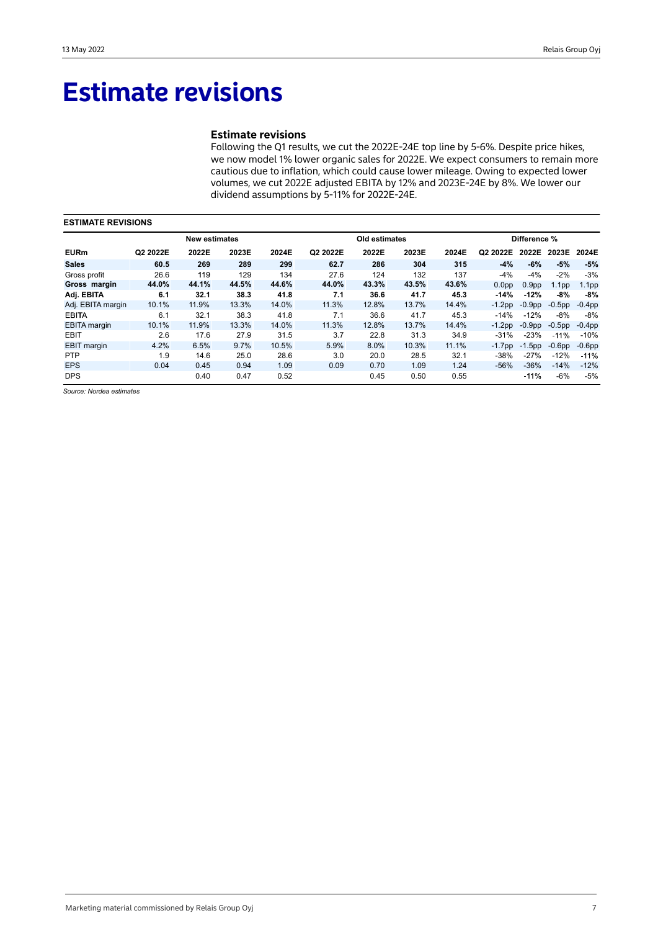## **Estimate revisions**

## **Estimate revisions**

Following the Q1 results, we cut the 2022E-24E top line by 5-6%. Despite price hikes, we now model 1% lower organic sales for 2022E. We expect consumers to remain more cautious due to inflation, which could cause lower mileage. Owing to expected lower volumes, we cut 2022E adjusted EBITA by 12% and 2023E-24E by 8%. We lower our dividend assumptions by 5-11% for 2022E-24E.

| <b>ESTIMATE REVISIONS</b> |          |                      |       |       |          |               |       |       |                   |                   |                   |                   |
|---------------------------|----------|----------------------|-------|-------|----------|---------------|-------|-------|-------------------|-------------------|-------------------|-------------------|
|                           |          | <b>New estimates</b> |       |       |          | Old estimates |       |       |                   | Difference %      |                   |                   |
| <b>EURm</b>               | Q2 2022E | 2022E                | 2023E | 2024E | Q2 2022E | 2022E         | 2023E | 2024E | Q2 2022E          | 2022E             | 2023E             | 2024E             |
| <b>Sales</b>              | 60.5     | 269                  | 289   | 299   | 62.7     | 286           | 304   | 315   | $-4%$             | $-6%$             | $-5%$             | $-5%$             |
| Gross profit              | 26.6     | 119                  | 129   | 134   | 27.6     | 124           | 132   | 137   | $-4%$             | $-4%$             | $-2%$             | $-3%$             |
| Gross margin              | 44.0%    | 44.1%                | 44.5% | 44.6% | 44.0%    | 43.3%         | 43.5% | 43.6% | 0.0 <sub>pp</sub> | 0.9 <sub>pp</sub> | 1.1 <sub>pp</sub> | 1.1 <sub>pp</sub> |
| Adj. EBITA                | 6.1      | 32.1                 | 38.3  | 41.8  | 7.1      | 36.6          | 41.7  | 45.3  | $-14%$            | $-12%$            | -8%               | -8%               |
| Adj. EBITA margin         | 10.1%    | 11.9%                | 13.3% | 14.0% | 11.3%    | 12.8%         | 13.7% | 14.4% | $-1.2pp$          | $-0.9pp$          | $-0.5$ pp         | $-0.4$ pp         |
| <b>EBITA</b>              | 6.1      | 32.1                 | 38.3  | 41.8  | 7.1      | 36.6          | 41.7  | 45.3  | $-14%$            | $-12%$            | $-8%$             | $-8%$             |
| <b>EBITA</b> margin       | 10.1%    | 11.9%                | 13.3% | 14.0% | 11.3%    | 12.8%         | 13.7% | 14.4% | $-1.2$ pp         | $-0.9pp$          | $-0.5$ pp         | $-0.4$ pp         |
| <b>EBIT</b>               | 2.6      | 17.6                 | 27.9  | 31.5  | 3.7      | 22.8          | 31.3  | 34.9  | $-31%$            | $-23%$            | $-11%$            | $-10%$            |
| <b>EBIT</b> margin        | 4.2%     | 6.5%                 | 9.7%  | 10.5% | 5.9%     | 8.0%          | 10.3% | 11.1% | $-1.7$ pp         | $-1.5$ pp         | $-0.6pp$          | $-0.6$ pp         |
| <b>PTP</b>                | 1.9      | 14.6                 | 25.0  | 28.6  | 3.0      | 20.0          | 28.5  | 32.1  | $-38%$            | $-27%$            | $-12%$            | $-11%$            |
| <b>EPS</b>                | 0.04     | 0.45                 | 0.94  | 1.09  | 0.09     | 0.70          | 1.09  | 1.24  | $-56%$            | $-36%$            | $-14%$            | $-12%$            |
| <b>DPS</b>                |          | 0.40                 | 0.47  | 0.52  |          | 0.45          | 0.50  | 0.55  |                   | $-11%$            | $-6%$             | $-5%$             |

*Source: Nordea estimates*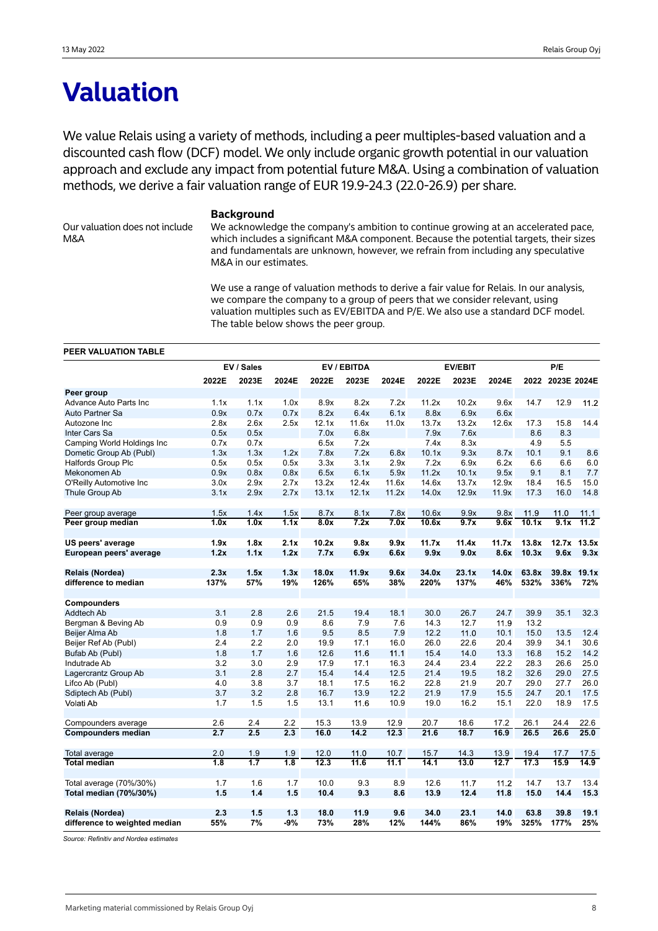## **Valuation**

We value Relais using a variety of methods, including a peer multiples-based valuation and a discounted cash flow (DCF) model. We only include organic growth potential in our valuation approach and exclude any impact from potential future M&A. Using a combination of valuation methods, we derive a fair valuation range of EUR 19.9-24.3 (22.0-26.9) per share.

Our valuation does not include M&A

## **Background**

We acknowledge the company's ambition to continue growing at an accelerated pace, which includes a significant M&A component. Because the potential targets, their sizes and fundamentals are unknown, however, we refrain from including any speculative M&A in our estimates.

We use a range of valuation methods to derive a fair value for Relais. In our analysis, we compare the company to a group of peers that we consider relevant, using valuation multiples such as EV/EBITDA and P/E. We also use a standard DCF model. The table below shows the peer group.

### **PEER VALUATION TABLE**

|                               |       | EV / Sales       |       |       | EV / EBITDA | <b>EV/EBIT</b> |       |       |       | P/E   |             |             |
|-------------------------------|-------|------------------|-------|-------|-------------|----------------|-------|-------|-------|-------|-------------|-------------|
|                               | 2022E | 2023E            | 2024E | 2022E | 2023E       | 2024E          | 2022E | 2023E | 2024E | 2022  | 2023E 2024E |             |
| Peer group                    |       |                  |       |       |             |                |       |       |       |       |             |             |
| Advance Auto Parts Inc        | 1.1x  | 1.1x             | 1.0x  | 8.9x  | 8.2x        | 7.2x           | 11.2x | 10.2x | 9.6x  | 14.7  | 12.9        | 11.2        |
| Auto Partner Sa               | 0.9x  | 0.7x             | 0.7x  | 8.2x  | 6.4x        | 6.1x           | 8.8x  | 6.9x  | 6.6x  |       |             |             |
| Autozone Inc                  | 2.8x  | 2.6x             | 2.5x  | 12.1x | 11.6x       | 11.0x          | 13.7x | 13.2x | 12.6x | 17.3  | 15.8        | 14.4        |
| Inter Cars Sa                 | 0.5x  | 0.5x             |       | 7.0x  | 6.8x        |                | 7.9x  | 7.6x  |       | 8.6   | 8.3         |             |
| Camping World Holdings Inc    | 0.7x  | 0.7x             |       | 6.5x  | 7.2x        |                | 7.4x  | 8.3x  |       | 4.9   | 5.5         |             |
| Dometic Group Ab (Publ)       | 1.3x  | 1.3x             | 1.2x  | 7.8x  | 7.2x        | 6.8x           | 10.1x | 9.3x  | 8.7x  | 10.1  | 9.1         | 8.6         |
| <b>Halfords Group Plc</b>     | 0.5x  | 0.5x             | 0.5x  | 3.3x  | 3.1x        | 2.9x           | 7.2x  | 6.9x  | 6.2x  | 6.6   | 6.6         | 6.0         |
| Mekonomen Ab                  | 0.9x  | 0.8x             | 0.8x  | 6.5x  | 6.1x        | 5.9x           | 11.2x | 10.1x | 9.5x  | 9.1   | 8.1         | 7.7         |
| O'Reilly Automotive Inc       | 3.0x  | 2.9x             | 2.7x  | 13.2x | 12.4x       | 11.6x          | 14.6x | 13.7x | 12.9x | 18.4  | 16.5        | 15.0        |
| Thule Group Ab                | 3.1x  | 2.9x             | 2.7x  | 13.1x | 12.1x       | 11.2x          | 14.0x | 12.9x | 11.9x | 17.3  | 16.0        | 14.8        |
| Peer group average            | 1.5x  | 1.4x             | 1.5x  | 8.7x  | 8.1x        | 7.8x           | 10.6x | 9.9x  | 9.8x  | 11.9  | 11.0        | 11.1        |
| Peer group median             | 1.0x  | 1.0x             | 1.1x  | 8.0x  | 7.2x        | 7.0x           | 10.6x | 9.7x  | 9.6x  | 10.1x | 9.1x        | 11.2        |
| US peers' average             | 1.9x  | 1.8x             | 2.1x  | 10.2x | 9.8x        | 9.9x           | 11.7x | 11.4x | 11.7x | 13.8x |             | 12.7x 13.5x |
| European peers' average       | 1.2x  | 1.1x             | 1.2x  | 7.7x  | 6.9x        | 6.6x           | 9.9x  | 9.0x  | 8.6x  | 10.3x | 9.6x        | 9.3x        |
| Relais (Nordea)               | 2.3x  | 1.5x             | 1.3x  | 18.0x | 11.9x       | 9.6x           | 34.0x | 23.1x | 14.0x | 63.8x | 39.8x       | 19.1x       |
| difference to median          | 137%  | 57%              | 19%   | 126%  | 65%         | 38%            | 220%  | 137%  | 46%   | 532%  | 336%        | 72%         |
|                               |       |                  |       |       |             |                |       |       |       |       |             |             |
| Compounders                   |       |                  |       |       |             |                |       |       |       |       |             |             |
| Addtech Ab                    | 3.1   | 2.8              | 2.6   | 21.5  | 19.4        | 18.1           | 30.0  | 26.7  | 24.7  | 39.9  | 35.1        | 32.3        |
| Bergman & Beving Ab           | 0.9   | 0.9              | 0.9   | 8.6   | 7.9         | 7.6            | 14.3  | 12.7  | 11.9  | 13.2  |             |             |
| Beijer Alma Ab                | 1.8   | 1.7              | 1.6   | 9.5   | 8.5         | 7.9            | 12.2  | 11.0  | 10.1  | 15.0  | 13.5        | 12.4        |
| Beijer Ref Ab (Publ)          | 2.4   | 2.2              | 2.0   | 19.9  | 17.1        | 16.0           | 26.0  | 22.6  | 20.4  | 39.9  | 34.1        | 30.6        |
| Bufab Ab (Publ)               | 1.8   | 1.7              | 1.6   | 12.6  | 11.6        | 11.1           | 15.4  | 14.0  | 13.3  | 16.8  | 15.2        | 14.2        |
| Indutrade Ab                  | 3.2   | 3.0              | 2.9   | 17.9  | 17.1        | 16.3           | 24.4  | 23.4  | 22.2  | 28.3  | 26.6        | 25.0        |
| Lagercrantz Group Ab          | 3.1   | 2.8              | 2.7   | 15.4  | 14.4        | 12.5           | 21.4  | 19.5  | 18.2  | 32.6  | 29.0        | 27.5        |
| Lifco Ab (Publ)               | 4.0   | 3.8              | 3.7   | 18.1  | 17.5        | 16.2           | 22.8  | 21.9  | 20.7  | 29.0  | 27.7        | 26.0        |
| Sdiptech Ab (Publ)            | 3.7   | 3.2              | 2.8   | 16.7  | 13.9        | 12.2           | 21.9  | 17.9  | 15.5  | 24.7  | 20.1        | 17.5        |
| Volati Ab                     | 1.7   | 1.5              | 1.5   | 13.1  | 11.6        | 10.9           | 19.0  | 16.2  | 15.1  | 22.0  | 18.9        | 17.5        |
| Compounders average           | 2.6   | 2.4              | 2.2   | 15.3  | 13.9        | 12.9           | 20.7  | 18.6  | 17.2  | 26.1  | 24.4        | 22.6        |
| <b>Compounders median</b>     | 2.7   | 2.5              | 2.3   | 16.0  | 14.2        | 12.3           | 21.6  | 18.7  | 16.9  | 26.5  | 26.6        | 25.0        |
|                               |       |                  |       |       |             |                |       |       |       |       |             |             |
| Total average                 | 2.0   | 1.9              | 1.9   | 12.0  | 11.0        | 10.7           | 15.7  | 14.3  | 13.9  | 19.4  | 17.7        | 17.5        |
| <b>Total median</b>           | 1.8   | $\overline{1.7}$ | 1.8   | 12.3  | 11.6        | 11.1           | 14.1  | 13.0  | 12.7  | 17.3  | 15.9        | 14.9        |
| Total average (70%/30%)       | 1.7   | 1.6              | 1.7   | 10.0  | 9.3         | 8.9            | 12.6  | 11.7  | 11.2  | 14.7  | 13.7        | 13.4        |
| Total median (70%/30%)        | 1.5   | 1.4              | 1.5   | 10.4  | 9.3         | 8.6            | 13.9  | 12.4  | 11.8  | 15.0  | 14.4        | 15.3        |
|                               |       |                  |       |       |             |                |       |       |       |       |             |             |
| Relais (Nordea)               | 2.3   | 1.5              | 1.3   | 18.0  | 11.9        | 9.6            | 34.0  | 23.1  | 14.0  | 63.8  | 39.8        | 19.1        |
| difference to weighted median | 55%   | 7%               | $-9%$ | 73%   | 28%         | 12%            | 144%  | 86%   | 19%   | 325%  | 177%        | 25%         |

*Source: Refinitiv and Nordea estimates*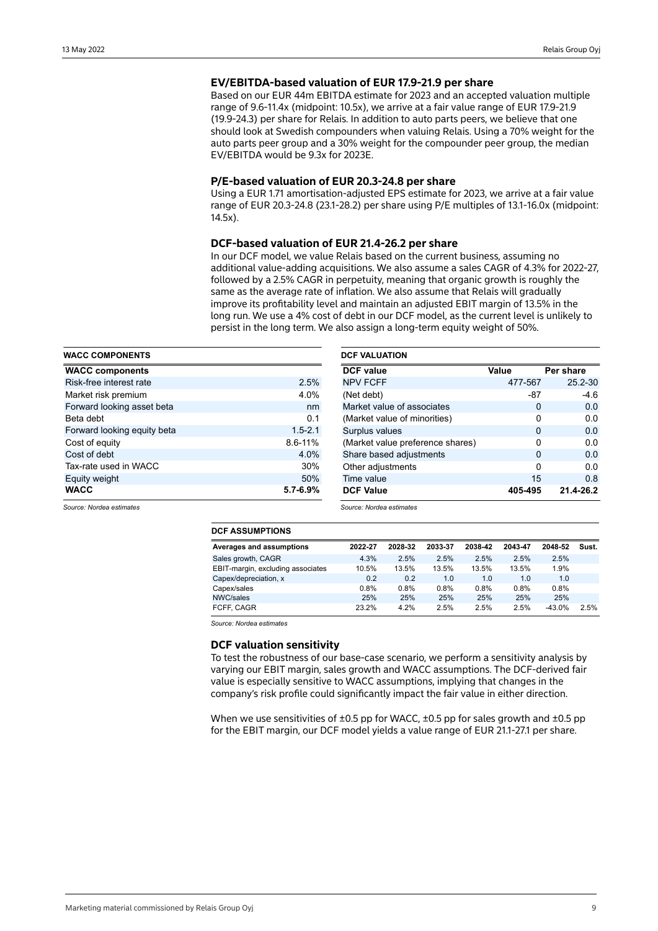## **EV/EBITDA-based valuation of EUR 17.9-21.9 per share**

Based on our EUR 44m EBITDA estimate for 2023 and an accepted valuation multiple range of 9.6-11.4x (midpoint: 10.5x), we arrive at a fair value range of EUR 17.9-21.9 (19.9-24.3) per share for Relais. In addition to auto parts peers, we believe that one should look at Swedish compounders when valuing Relais. Using a 70% weight for the auto parts peer group and a 30% weight for the compounder peer group, the median EV/EBITDA would be 9.3x for 2023E.

## **P/E-based valuation of EUR 20.3-24.8 per share**

Using a EUR 1.71 amortisation-adjusted EPS estimate for 2023, we arrive at a fair value range of EUR 20.3-24.8 (23.1-28.2) per share using P/E multiples of 13.1-16.0x (midpoint: 14.5x).

## **DCF-based valuation of EUR 21.4-26.2 per share**

In our DCF model, we value Relais based on the current business, assuming no additional value-adding acquisitions. We also assume a sales CAGR of 4.3% for 2022-27, followed by a 2.5% CAGR in perpetuity, meaning that organic growth is roughly the same as the average rate of inflation. We also assume that Relais will gradually improve its profitability level and maintain an adjusted EBIT margin of 13.5% in the long run. We use a 4% cost of debt in our DCF model, as the current level is unlikely to persist in the long term. We also assign a long-term equity weight of 50%.

| <b>WACC COMPONENTS</b>      |              | <b>DCF VALUATION</b>             |          |             |  |  |  |  |
|-----------------------------|--------------|----------------------------------|----------|-------------|--|--|--|--|
| <b>WACC components</b>      |              | <b>DCF</b> value                 | Value    | Per share   |  |  |  |  |
| Risk-free interest rate     | 2.5%         | <b>NPV FCFF</b>                  | 477-567  | $25.2 - 30$ |  |  |  |  |
| Market risk premium         | 4.0%         | (Net debt)                       | $-87$    | -4.6        |  |  |  |  |
| Forward looking asset beta  | nm           | Market value of associates       | $\Omega$ | 0.0         |  |  |  |  |
| Beta debt                   | 0.1          | (Market value of minorities)     | $\Omega$ | 0.0         |  |  |  |  |
| Forward looking equity beta | $1.5 - 2.1$  | Surplus values                   | $\Omega$ | 0.0         |  |  |  |  |
| Cost of equity              | $8.6 - 11%$  | (Market value preference shares) | $\Omega$ | 0.0         |  |  |  |  |
| Cost of debt                | 4.0%         | Share based adjustments          | $\Omega$ | 0.0         |  |  |  |  |
| Tax-rate used in WACC       | 30%          | Other adjustments                | 0        | 0.0         |  |  |  |  |
| Equity weight               | 50%          | Time value                       | 15       | 0.8         |  |  |  |  |
| <b>WACC</b>                 | $5.7 - 6.9%$ | <b>DCF Value</b>                 | 405-495  | 21.4-26.2   |  |  |  |  |

*Source: Nordea estimates*

*Source: Nordea estimates*

### **DCF ASSUMPTIONS**

| <b>Averages and assumptions</b>   | 2022-27 | 2028-32 | 2033-37 | 2038-42 | 2043-47 | 2048-52  | Sust. |
|-----------------------------------|---------|---------|---------|---------|---------|----------|-------|
| Sales growth, CAGR                | 4.3%    | 2.5%    | 2.5%    | 2.5%    | 2.5%    | 2.5%     |       |
| EBIT-margin, excluding associates | 10.5%   | 13.5%   | 13.5%   | 13.5%   | 13.5%   | 1.9%     |       |
| Capex/depreciation, x             | 0.2     | 0.2     | 1.0     | 1.0     | 1.0     | 1.0      |       |
| Capex/sales                       | 0.8%    | 0.8%    | 0.8%    | 0.8%    | $0.8\%$ | 0.8%     |       |
| NWC/sales                         | 25%     | 25%     | 25%     | 25%     | 25%     | 25%      |       |
| FCFF, CAGR                        | 23.2%   | 4.2%    | 2.5%    | 2.5%    | 2.5%    | $-43.0%$ | 2.5%  |

*Source: Nordea estimates*

## **DCF valuation sensitivity**

To test the robustness of our base-case scenario, we perform a sensitivity analysis by varying our EBIT margin, sales growth and WACC assumptions. The DCF-derived fair value is especially sensitive to WACC assumptions, implying that changes in the company's risk profile could significantly impact the fair value in either direction.

When we use sensitivities of  $\pm 0.5$  pp for WACC,  $\pm 0.5$  pp for sales growth and  $\pm 0.5$  pp for the EBIT margin, our DCF model yields a value range of EUR 21.1-27.1 per share.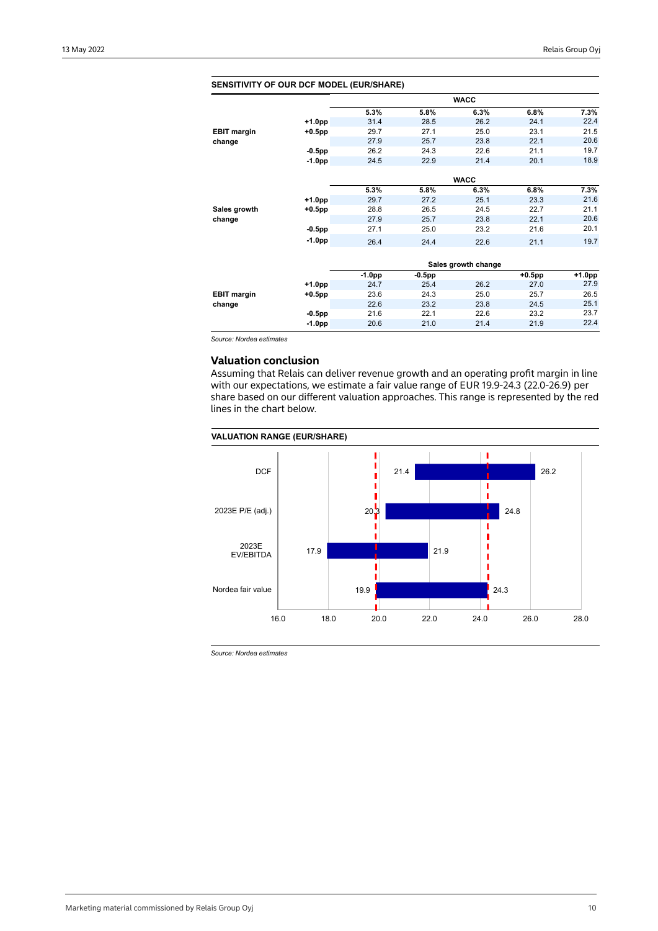| <b>SENSITIVITY OF OUR DCF MODEL (EUR/SHARE)</b> |           |          |           |                     |           |          |
|-------------------------------------------------|-----------|----------|-----------|---------------------|-----------|----------|
|                                                 |           |          |           | <b>WACC</b>         |           |          |
|                                                 |           | 5.3%     | 5.8%      | 6.3%                | 6.8%      | 7.3%     |
|                                                 | $+1.0pp$  | 31.4     | 28.5      | 26.2                | 24.1      | 22.4     |
| <b>EBIT margin</b>                              | $+0.5$ pp | 29.7     | 27.1      | 25.0                | 23.1      | 21.5     |
| change                                          |           | 27.9     | 25.7      | 23.8                | 22.1      | 20.6     |
|                                                 | $-0.5$ pp | 26.2     | 24.3      | 22.6                | 21.1      | 19.7     |
|                                                 | $-1.0pp$  | 24.5     | 22.9      | 21.4                | 20.1      | 18.9     |
|                                                 |           |          |           |                     |           |          |
|                                                 |           |          |           | <b>WACC</b>         |           |          |
|                                                 |           | 5.3%     | 5.8%      | 6.3%                | 6.8%      | 7.3%     |
|                                                 | $+1.0pp$  | 29.7     | 27.2      | 25.1                | 23.3      | 21.6     |
| Sales growth                                    | $+0.5$ pp | 28.8     | 26.5      | 24.5                | 22.7      | 21.1     |
| change                                          |           | 27.9     | 25.7      | 23.8                | 22.1      | 20.6     |
|                                                 | $-0.5$ pp | 27.1     | 25.0      | 23.2                | 21.6      | 20.1     |
|                                                 | $-1.0pp$  | 26.4     | 24.4      | 22.6                | 21.1      | 19.7     |
|                                                 |           |          |           |                     |           |          |
|                                                 |           |          |           | Sales growth change |           |          |
|                                                 |           | $-1.0pp$ | $-0.5$ pp |                     | $+0.5$ pp | $+1.0pp$ |
|                                                 | $+1.0pp$  | 24.7     | 25.4      | 26.2                | 27.0      | 27.9     |
| <b>EBIT margin</b>                              | $+0.5$ pp | 23.6     | 24.3      | 25.0                | 25.7      | 26.5     |
| change                                          |           | 22.6     | 23.2      | 23.8                | 24.5      | 25.1     |
|                                                 | $-0.5$ pp | 21.6     | 22.1      | 22.6                | 23.2      | 23.7     |
|                                                 | $-1.0pp$  | 20.6     | 21.0      | 21.4                | 21.9      | 22.4     |
|                                                 |           |          |           |                     |           |          |

*Source: Nordea estimates*

## **Valuation conclusion**

Assuming that Relais can deliver revenue growth and an operating profit margin in line with our expectations, we estimate a fair value range of EUR 19.9-24.3 (22.0-26.9) per share based on our different valuation approaches. This range is represented by the red lines in the chart below.

## **VALUATION RANGE (EUR/SHARE)**



*Source: Nordea estimates*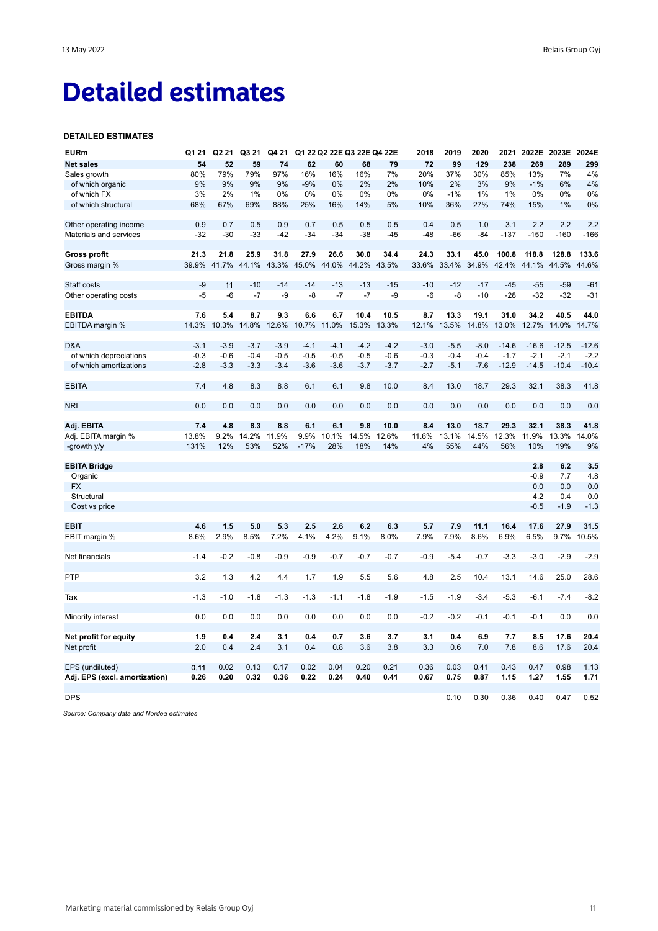# **Detailed estimates**

### **DETAILED ESTIMATES**

| <b>EURm</b>                   | Q1 21  | Q2 21       | Q3 21        | Q4 21        |                |              | Q1 22 Q2 22E Q3 22E Q4 22E |              | 2018        | 2019         | 2020         | 2021         | 2022E        | 2023E        | 2024E       |
|-------------------------------|--------|-------------|--------------|--------------|----------------|--------------|----------------------------|--------------|-------------|--------------|--------------|--------------|--------------|--------------|-------------|
| <b>Net sales</b>              | 54     | 52          | 59           | 74           | 62             | 60           | 68                         | 79           | 72          | 99           | 129          | 238          | 269          | 289          | 299         |
| Sales growth                  | 80%    | 79%         | 79%          | 97%          | 16%            | 16%          | 16%                        | 7%           | 20%         | 37%          | 30%          | 85%          | 13%          | 7%           | 4%          |
| of which organic              | 9%     | 9%          | 9%           | 9%           | $-9%$          | 0%           | 2%                         | 2%           | 10%         | 2%           | 3%           | 9%           | $-1%$        | 6%           | 4%          |
| of which FX                   | 3%     | 2%          | 1%           | 0%           | 0%             | 0%           | 0%                         | 0%           | 0%          | $-1%$        | 1%           | 1%           | 0%           | 0%           | 0%          |
| of which structural           | 68%    | 67%         | 69%          | 88%          | 25%            | 16%          | 14%                        | 5%           | 10%         | 36%          | 27%          | 74%          | 15%          | 1%           | 0%          |
|                               |        |             |              |              |                |              |                            |              |             |              |              |              |              |              |             |
| Other operating income        | 0.9    | 0.7         | 0.5          | 0.9          | 0.7            | 0.5          | 0.5                        | 0.5          | 0.4         | 0.5          | 1.0          | 3.1          | 2.2          | 2.2          | 2.2         |
| Materials and services        | $-32$  | $-30$       | $-33$        | $-42$        | $-34$          | $-34$        | $-38$                      | -45          | $-48$       | $-66$        | $-84$        | $-137$       | $-150$       | $-160$       | $-166$      |
|                               |        |             |              |              |                |              |                            |              |             |              |              |              |              |              |             |
| <b>Gross profit</b>           | 21.3   | 21.8        | 25.9         | 31.8         | 27.9           | 26.6         | 30.0                       | 34.4         | 24.3        | 33.1         | 45.0         | 100.8        | 118.8        | 128.8        | 133.6       |
| Gross margin %                | 39.9%  | 41.7%       | 44.1%        | 43.3%        | 45.0%          | 44.0%        | 44.2%                      | 43.5%        | 33.6%       | 33.4%        | 34.9%        | 42.4%        | 44.1%        | 44.5%        | 44.6%       |
|                               |        |             |              |              |                |              |                            |              |             |              |              |              |              |              |             |
| Staff costs                   | $-9$   | $-11$       | $-10$        | $-14$        | $-14$          | $-13$        | $-13$                      | $-15$        | $-10$       | $-12$        | $-17$        | $-45$        | $-55$        | $-59$        | $-61$       |
| Other operating costs         | $-5$   | $-6$        | $-7$         | -9           | -8             | $-7$         | $-7$                       | $-9$         | -6          | $-8$         | $-10$        | $-28$        | $-32$        | $-32$        | $-31$       |
|                               |        |             |              |              |                |              |                            |              |             |              |              |              |              |              |             |
| <b>EBITDA</b>                 | 7.6    | 5.4         | 8.7          | 9.3          | 6.6            | 6.7          | 10.4                       | 10.5         | 8.7         | 13.3         | 19.1         | 31.0         | 34.2         | 40.5         | 44.0        |
| EBITDA margin %               | 14.3%  | 10.3%       | 14.8%        | 12.6%        | 10.7%          | 11.0%        | 15.3%                      | 13.3%        | 12.1%       | 13.5%        | 14.8%        | 13.0%        | 12.7%        | 14.0%        | 14.7%       |
|                               |        |             |              |              |                |              |                            |              |             |              |              |              |              |              |             |
| D&A                           | $-3.1$ | $-3.9$      | $-3.7$       | $-3.9$       | $-4.1$         | $-4.1$       | $-4.2$                     | $-4.2$       | $-3.0$      | $-5.5$       | $-8.0$       | $-14.6$      | $-16.6$      | $-12.5$      | $-12.6$     |
| of which depreciations        | $-0.3$ | $-0.6$      | $-0.4$       | $-0.5$       | $-0.5$         | $-0.5$       | $-0.5$                     | $-0.6$       | $-0.3$      | $-0.4$       | $-0.4$       | $-1.7$       | $-2.1$       | $-2.1$       | $-2.2$      |
| of which amortizations        | $-2.8$ | $-3.3$      | $-3.3$       | $-3.4$       | $-3.6$         | $-3.6$       | $-3.7$                     | $-3.7$       | $-2.7$      | $-5.1$       | $-7.6$       | $-12.9$      | $-14.5$      | $-10.4$      | $-10.4$     |
|                               |        |             |              |              |                |              |                            |              |             |              |              |              |              |              |             |
| <b>EBITA</b>                  | 7.4    | 4.8         | 8.3          | 8.8          | 6.1            | 6.1          | 9.8                        | 10.0         | 8.4         | 13.0         | 18.7         | 29.3         | 32.1         | 38.3         | 41.8        |
|                               |        |             |              |              |                |              |                            |              |             |              |              |              |              |              |             |
| <b>NRI</b>                    | 0.0    | 0.0         | 0.0          | 0.0          | 0.0            | 0.0          | 0.0                        | 0.0          | 0.0         | 0.0          | 0.0          | 0.0          | 0.0          | 0.0          | 0.0         |
|                               |        |             |              |              |                |              |                            |              |             |              |              |              |              |              |             |
| Adj. EBITA                    | 7.4    | 4.8         | 8.3          | 8.8          | 6.1            | 6.1          | 9.8                        | 10.0         | 8.4         | 13.0         | 18.7         | 29.3         | 32.1         | 38.3         | 41.8        |
| Adj. EBITA margin %           | 13.8%  | 9.2%<br>12% | 14.2%<br>53% | 11.9%<br>52% | 9.9%<br>$-17%$ | 10.1%<br>28% | 14.5%<br>18%               | 12.6%<br>14% | 11.6%<br>4% | 13.1%<br>55% | 14.5%<br>44% | 12.3%<br>56% | 11.9%<br>10% | 13.3%<br>19% | 14.0%<br>9% |
| -growth y/y                   | 131%   |             |              |              |                |              |                            |              |             |              |              |              |              |              |             |
| <b>EBITA Bridge</b>           |        |             |              |              |                |              |                            |              |             |              |              |              | 2.8          | 6.2          | 3.5         |
| Organic                       |        |             |              |              |                |              |                            |              |             |              |              |              | $-0.9$       | 7.7          | 4.8         |
| <b>FX</b>                     |        |             |              |              |                |              |                            |              |             |              |              |              | 0.0          | 0.0          | 0.0         |
| Structural                    |        |             |              |              |                |              |                            |              |             |              |              |              | 4.2          | 0.4          | 0.0         |
| Cost vs price                 |        |             |              |              |                |              |                            |              |             |              |              |              | $-0.5$       | $-1.9$       | $-1.3$      |
|                               |        |             |              |              |                |              |                            |              |             |              |              |              |              |              |             |
| <b>EBIT</b>                   | 4.6    | 1.5         | 5.0          | 5.3          | 2.5            | 2.6          | 6.2                        | 6.3          | 5.7         | 7.9          | 11.1         | 16.4         | 17.6         | 27.9         | 31.5        |
| EBIT margin %                 | 8.6%   | 2.9%        | 8.5%         | 7.2%         | 4.1%           | 4.2%         | 9.1%                       | 8.0%         | 7.9%        | 7.9%         | 8.6%         | 6.9%         | 6.5%         | 9.7%         | 10.5%       |
|                               |        |             |              |              |                |              |                            |              |             |              |              |              |              |              |             |
| Net financials                | $-1.4$ | $-0.2$      | $-0.8$       | $-0.9$       | $-0.9$         | $-0.7$       | $-0.7$                     | $-0.7$       | $-0.9$      | $-5.4$       | $-0.7$       | $-3.3$       | $-3.0$       | $-2.9$       | $-2.9$      |
|                               |        |             |              |              |                |              |                            |              |             |              |              |              |              |              |             |
| <b>PTP</b>                    | 3.2    | 1.3         | 4.2          | 4.4          | 1.7            | 1.9          | 5.5                        | 5.6          | 4.8         | 2.5          | 10.4         | 13.1         | 14.6         | 25.0         | 28.6        |
|                               |        |             |              |              |                |              |                            |              |             |              |              |              |              |              |             |
| Tax                           | $-1.3$ | $-1.0$      | $-1.8$       | $-1.3$       | $-1.3$         | $-1.1$       | $-1.8$                     | $-1.9$       | $-1.5$      | $-1.9$       | $-3.4$       | $-5.3$       | $-6.1$       | $-7.4$       | $-8.2$      |
|                               |        |             |              |              |                |              |                            |              |             |              |              |              |              |              |             |
| Minority interest             | 0.0    | 0.0         | 0.0          | 0.0          | 0.0            | 0.0          | 0.0                        | 0.0          | $-0.2$      | $-0.2$       | $-0.1$       | $-0.1$       | $-0.1$       | 0.0          | 0.0         |
|                               |        |             |              |              |                |              |                            |              |             |              |              |              |              |              |             |
| Net profit for equity         | 1.9    | 0.4         | 2.4          | 3.1          | 0.4            | 0.7          | 3.6                        | 3.7          | 3.1         | 0.4          | 6.9          | 7.7          | 8.5          | 17.6         | 20.4        |
| Net profit                    | 2.0    | 0.4         | 2.4          | 3.1          | 0.4            | 0.8          | 3.6                        | 3.8          | 3.3         | 0.6          | 7.0          | 7.8          | 8.6          | 17.6         | 20.4        |
|                               |        |             |              |              |                |              |                            |              |             |              |              |              |              |              |             |
| EPS (undiluted)               | 0.11   | 0.02        | 0.13         | 0.17         | 0.02           | 0.04         | 0.20                       | 0.21         | 0.36        | 0.03         | 0.41         | 0.43         | 0.47         | 0.98         | 1.13        |
| Adj. EPS (excl. amortization) | 0.26   | 0.20        | 0.32         | 0.36         | 0.22           | 0.24         | 0.40                       | 0.41         | 0.67        | 0.75         | 0.87         | 1.15         | 1.27         | 1.55         | 1.71        |
|                               |        |             |              |              |                |              |                            |              |             |              |              |              |              |              |             |
| <b>DPS</b>                    |        |             |              |              |                |              |                            |              |             | 0.10         | 0.30         | 0.36         | 0.40         | 0.47         | 0.52        |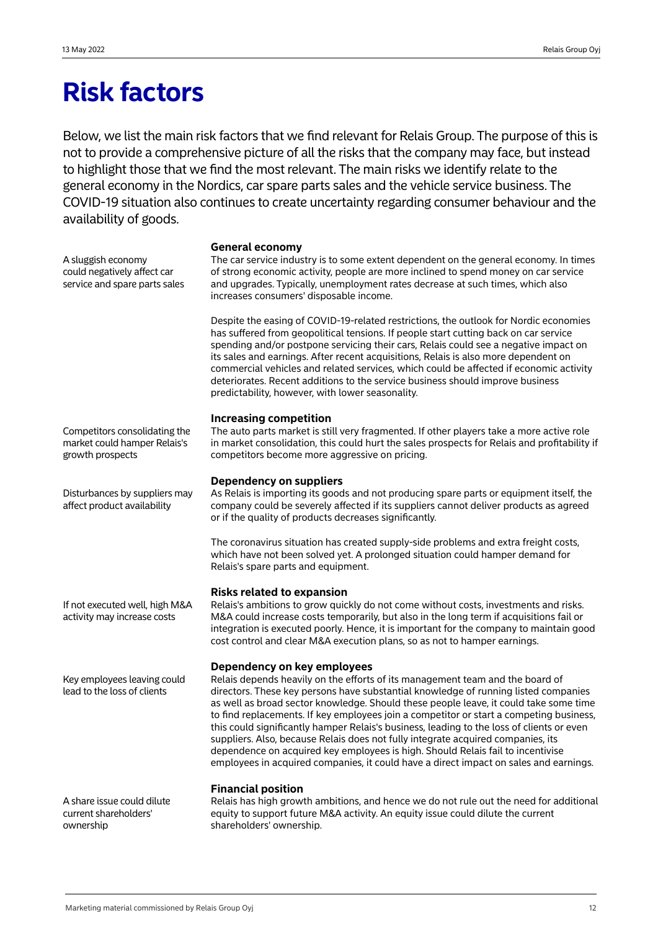## **Risk factors**

Below, we list the main risk factors that we find relevant for Relais Group. The purpose of this is not to provide a comprehensive picture of all the risks that the company may face, but instead to highlight those that we find the most relevant. The main risks we identify relate to the general economy in the Nordics, car spare parts sales and the vehicle service business. The COVID-19 situation also continues to create uncertainty regarding consumer behaviour and the availability of goods.

A sluggish economy could negatively affect car service and spare parts sales

## **General economy**

The car service industry is to some extent dependent on the general economy. In times of strong economic activity, people are more inclined to spend money on car service and upgrades. Typically, unemployment rates decrease at such times, which also increases consumers' disposable income.

Despite the easing of COVID-19-related restrictions, the outlook for Nordic economies has suffered from geopolitical tensions. If people start cutting back on car service spending and/or postpone servicing their cars, Relais could see a negative impact on its sales and earnings. After recent acquisitions, Relais is also more dependent on commercial vehicles and related services, which could be affected if economic activity deteriorates. Recent additions to the service business should improve business predictability, however, with lower seasonality.

## **Increasing competition**

The auto parts market is still very fragmented. If other players take a more active role in market consolidation, this could hurt the sales prospects for Relais and profitability if competitors become more aggressive on pricing.

## **Dependency on suppliers**

As Relais is importing its goods and not producing spare parts or equipment itself, the company could be severely affected if its suppliers cannot deliver products as agreed or if the quality of products decreases significantly.

The coronavirus situation has created supply-side problems and extra freight costs, which have not been solved yet. A prolonged situation could hamper demand for Relais's spare parts and equipment.

## **Risks related to expansion**

Relais's ambitions to grow quickly do not come without costs, investments and risks. M&A could increase costs temporarily, but also in the long term if acquisitions fail or integration is executed poorly. Hence, it is important for the company to maintain good cost control and clear M&A execution plans, so as not to hamper earnings.

## **Dependency on key employees**

Relais depends heavily on the efforts of its management team and the board of directors. These key persons have substantial knowledge of running listed companies as well as broad sector knowledge. Should these people leave, it could take some time to find replacements. If key employees join a competitor or start a competing business, this could significantly hamper Relais's business, leading to the loss of clients or even suppliers. Also, because Relais does not fully integrate acquired companies, its dependence on acquired key employees is high. Should Relais fail to incentivise employees in acquired companies, it could have a direct impact on sales and earnings.

## **Financial position**

A share issue could dilute current shareholders' ownership

Relais has high growth ambitions, and hence we do not rule out the need for additional equity to support future M&A activity. An equity issue could dilute the current shareholders' ownership.

Competitors consolidating the market could hamper Relais's growth prospects

Disturbances by suppliers may affect product availability

If not executed well, high M&A activity may increase costs

Key employees leaving could lead to the loss of clients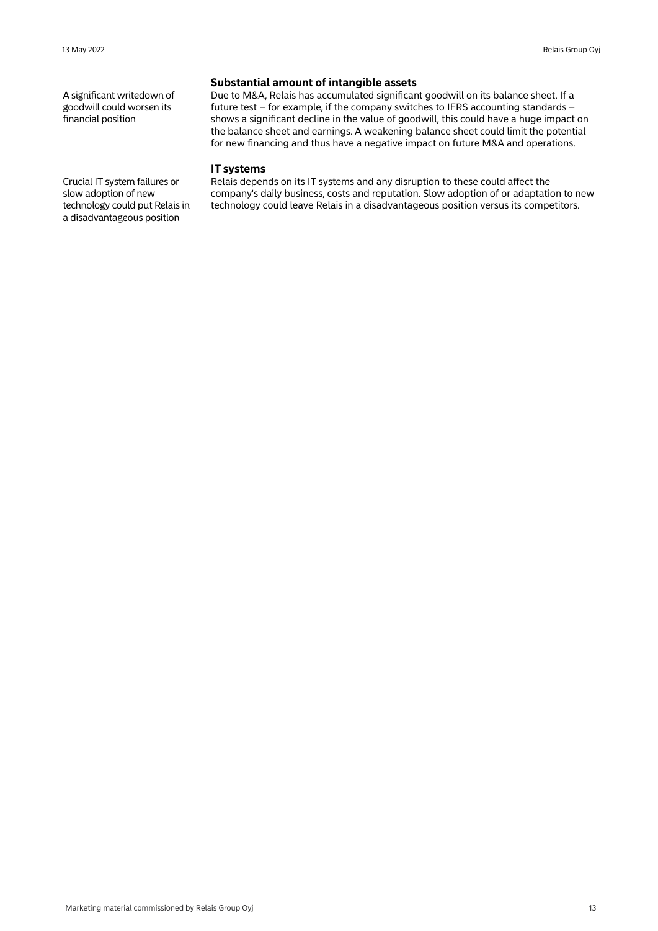A significant writedown of goodwill could worsen its financial position

## **Substantial amount of intangible assets**

Due to M&A, Relais has accumulated significant goodwill on its balance sheet. If a future test – for example, if the company switches to IFRS accounting standards – shows a significant decline in the value of goodwill, this could have a huge impact on the balance sheet and earnings. A weakening balance sheet could limit the potential for new financing and thus have a negative impact on future M&A and operations.

## **IT systems**

Relais depends on its IT systems and any disruption to these could affect the company's daily business, costs and reputation. Slow adoption of or adaptation to new technology could leave Relais in a disadvantageous position versus its competitors.

Crucial IT system failures or slow adoption of new technology could put Relais in a disadvantageous position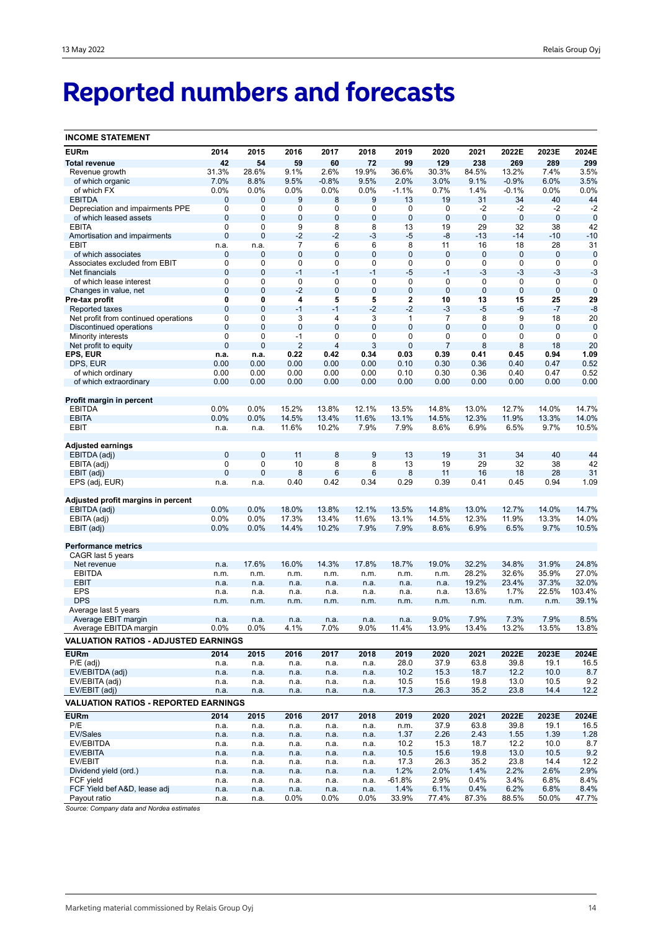# **Reported numbers and forecasts**

| <b>INCOME STATEMENT</b>                     |              |       |                |             |              |              |                |             |         |              |             |
|---------------------------------------------|--------------|-------|----------------|-------------|--------------|--------------|----------------|-------------|---------|--------------|-------------|
| <b>EURm</b>                                 | 2014         | 2015  | 2016           | 2017        | 2018         | 2019         | 2020           | 2021        | 2022E   | 2023E        | 2024E       |
| <b>Total revenue</b>                        | 42           | 54    | 59             | 60          | 72           | 99           | 129            | 238         | 269     | 289          | 299         |
| Revenue growth                              | 31.3%        | 28.6% | 9.1%           | 2.6%        | 19.9%        | 36.6%        | 30.3%          | 84.5%       | 13.2%   | 7.4%         | 3.5%        |
| of which organic                            | 7.0%         | 8.8%  | 9.5%           | $-0.8%$     | 9.5%         | 2.0%         | 3.0%           | 9.1%        | $-0.9%$ | 6.0%         | 3.5%        |
| of which FX                                 | 0.0%         | 0.0%  | 0.0%           | 0.0%        | 0.0%         | $-1.1%$      | 0.7%           | 1.4%        | $-0.1%$ | 0.0%         | 0.0%        |
| <b>EBITDA</b>                               | $\mathbf 0$  | 0     | 9              | 8           | 9            | 13           | 19             | 31          | 34      | 40           | 44          |
| Depreciation and impairments PPE            | $\mathbf 0$  | 0     | 0              | 0           | 0            | 0            | 0              | $-2$        | $-2$    | -2           | $-2$        |
| of which leased assets                      | $\mathbf 0$  | 0     | $\pmb{0}$      | $\pmb{0}$   | 0            | $\mathbf 0$  | $\mathbf 0$    | $\mathbf 0$ | $\bf 0$ | $\mathbf 0$  | $\mathbf 0$ |
| <b>EBITA</b>                                | $\mathbf 0$  | 0     | 9              | 8           | 8            | 13           | 19             | 29          | 32      | 38           | 42          |
| Amortisation and impairments                | $\mathbf 0$  | 0     | $-2$           | $-2$        | -3           | $-5$         | $-8$           | $-13$       | $-14$   | -10          | $-10$       |
| EBIT                                        | n.a.         | n.a.  | 7              | 6           | 6            | 8            | 11             | 16          | 18      | 28           | 31          |
| of which associates                         | $\mathbf 0$  | 0     | 0              | 0           | 0            | $\bf 0$      | $\mathbf 0$    | 0           | 0       | 0            | $\mathbf 0$ |
| Associates excluded from EBIT               | $\mathbf 0$  | 0     | 0              | 0           | 0            | 0            | $\mathbf 0$    | 0           | 0       | 0            | $\mathbf 0$ |
| Net financials                              | $\mathbf 0$  | 0     | $-1$           | $-1$        | $-1$         | $-5$         | $-1$           | $-3$        | $-3$    | $-3$         | $-3$        |
| of which lease interest                     | $\mathbf 0$  | 0     | 0              | 0           | $\mathbf 0$  | 0            | $\mathbf 0$    | $\mathbf 0$ | 0       | 0            | $\mathbf 0$ |
| Changes in value, net                       | $\mathbf 0$  | 0     | $-2$           | $\pmb{0}$   | 0            | $\pmb{0}$    | $\overline{0}$ | $\mathbf 0$ | 0       | $\mathbf 0$  | $\mathbf 0$ |
| Pre-tax profit                              | 0            | 0     | 4              | 5           | 5            | 2            | 10             | 13          | 15      | 25           | 29          |
| Reported taxes                              | $\mathbf 0$  | 0     | $-1$           | $-1$        | $-2$         | $-2$         | $-3$           | $-5$        | -6      | $-7$         | $-8$        |
| Net profit from continued operations        | 0            | 0     | 3              | 4           | 3            | $\mathbf{1}$ | $\overline{7}$ | 8           | 9       | 18           | 20          |
| Discontinued operations                     | $\mathbf 0$  | 0     | $\overline{0}$ | $\mathbf 0$ | $\mathbf{0}$ | $\mathbf 0$  | $\overline{0}$ | 0           | 0       | $\mathbf{0}$ | $\mathbf 0$ |
| Minority interests                          | $\mathbf 0$  | 0     | $-1$           | 0           | 0            | 0            | 0              | 0           | 0       | 0            | $\mathbf 0$ |
| Net profit to equity                        | $\mathbf{0}$ | 0     | $\overline{2}$ | 4           | 3            | $\mathbf 0$  | $\overline{7}$ | 8           | 8       | 18           | 20          |
| EPS, EUR                                    | n.a.         | n.a.  | 0.22           | 0.42        | 0.34         | 0.03         | 0.39           | 0.41        | 0.45    | 0.94         | 1.09        |
| DPS, EUR                                    | 0.00         | 0.00  | 0.00           | 0.00        | 0.00         | 0.10         | 0.30           | 0.36        | 0.40    | 0.47         | 0.52        |
| of which ordinary                           | 0.00         | 0.00  | 0.00           | 0.00        | 0.00         | 0.10         | 0.30           | 0.36        | 0.40    | 0.47         | 0.52        |
| of which extraordinary                      | 0.00         | 0.00  | 0.00           | 0.00        | 0.00         | 0.00         | 0.00           | 0.00        | 0.00    | 0.00         | 0.00        |
| Profit margin in percent                    |              |       |                |             |              |              |                |             |         |              |             |
| <b>EBITDA</b>                               | 0.0%         | 0.0%  | 15.2%          | 13.8%       | 12.1%        | 13.5%        | 14.8%          | 13.0%       | 12.7%   | 14.0%        | 14.7%       |
| <b>EBITA</b>                                | 0.0%         | 0.0%  | 14.5%          | 13.4%       | 11.6%        | 13.1%        | 14.5%          | 12.3%       | 11.9%   | 13.3%        | 14.0%       |
| EBIT                                        | n.a.         | n.a.  | 11.6%          | 10.2%       | 7.9%         | 7.9%         | 8.6%           | 6.9%        | 6.5%    | 9.7%         | 10.5%       |
|                                             |              |       |                |             |              |              |                |             |         |              |             |
| Adjusted earnings                           |              |       |                |             |              |              |                |             |         |              |             |
| EBITDA (adj)                                | $\mathbf 0$  | 0     | 11             | 8           | 9            | 13           | 19             | 31          | 34      | 40           | 44          |
| EBITA (adj)                                 | $\mathbf 0$  | 0     | 10             | 8           | 8            | 13           | 19             | 29          | 32      | 38           | 42          |
| EBIT (adj)                                  | $\mathbf{0}$ | 0     | 8              | 6           | 6            | 8            | 11             | 16          | 18      | 28           | 31          |
| EPS (adj, EUR)                              | n.a.         | n.a.  | 0.40           | 0.42        | 0.34         | 0.29         | 0.39           | 0.41        | 0.45    | 0.94         | 1.09        |
|                                             |              |       |                |             |              |              |                |             |         |              |             |
| Adjusted profit margins in percent          |              |       |                |             |              |              |                |             |         |              |             |
| EBITDA (adj)                                | 0.0%         | 0.0%  | 18.0%          | 13.8%       | 12.1%        | 13.5%        | 14.8%          | 13.0%       | 12.7%   | 14.0%        | 14.7%       |
| EBITA (adj)                                 | 0.0%         | 0.0%  | 17.3%          | 13.4%       | 11.6%        | 13.1%        | 14.5%          | 12.3%       | 11.9%   | 13.3%        | 14.0%       |
| EBIT (adj)                                  | 0.0%         | 0.0%  | 14.4%          | 10.2%       | 7.9%         | 7.9%         | 8.6%           | 6.9%        | 6.5%    | 9.7%         | 10.5%       |
| <b>Performance metrics</b>                  |              |       |                |             |              |              |                |             |         |              |             |
| CAGR last 5 years                           |              |       |                |             |              |              |                |             |         |              |             |
| Net revenue                                 | n.a.         | 17.6% | 16.0%          | 14.3%       | 17.8%        | 18.7%        | 19.0%          | 32.2%       | 34.8%   | 31.9%        | 24.8%       |
| <b>EBITDA</b>                               | n.m.         | n.m.  | n.m.           | n.m.        | n.m.         | n.m.         | n.m.           | 28.2%       | 32.6%   | 35.9%        | 27.0%       |
| <b>EBIT</b>                                 | n.a.         | n.a.  | n.a.           | n.a.        | n.a.         | n.a.         | n.a.           | 19.2%       | 23.4%   | 37.3%        | 32.0%       |
| <b>EPS</b>                                  | n.a.         | n.a.  | n.a.           | n.a.        | n.a.         | n.a.         | n.a.           | 13.6%       | 1.7%    | 22.5%        | 103.4%      |
| <b>DPS</b>                                  | n.m.         | n.m.  | n.m.           | n.m.        | n.m.         | n.m.         | n.m.           | n.m.        | n.m.    | n.m.         | 39.1%       |
| Average last 5 years                        |              |       |                |             |              |              |                |             |         |              |             |
| Average EBIT margin                         | n.a.         | n.a.  | n.a.           | n.a.        | n.a.         | n.a.         | 9.0%           | 7.9%        | 7.3%    | 7.9%         | 8.5%        |
| Average EBITDA margin                       | 0.0%         | 0.0%  | 4.1%           | 7.0%        | 9.0%         | 11.4%        | 13.9%          | 13.4%       | 13.2%   | 13.5%        | 13.8%       |
| <b>VALUATION RATIOS - ADJUSTED EARNINGS</b> |              |       |                |             |              |              |                |             |         |              |             |
| <b>EURm</b>                                 |              |       |                |             |              |              |                |             |         |              |             |
|                                             | 2014         | 2015  | 2016           | 2017        | 2018         | 2019         | 2020           | 2021        | 2022E   | 2023E        | 2024E       |
| $P/E$ (adj)                                 | n.a.         | n.a.  | n.a.           | n.a.        | n.a.         | 28.0         | 37.9           | 63.8        | 39.8    | 19.1         | 16.5        |
| EV/EBITDA (adj)<br>EV/EBITA (adj)           | n.a.         | n.a.  | n.a.           | n.a.        | n.a.         | 10.2         | 15.3           | 18.7        | 12.2    | 10.0<br>10.5 | 8.7         |
|                                             | n.a.         | n.a.  | n.a.           | n.a.        | n.a.         | 10.5         | 15.6           | 19.8        | 13.0    |              | 9.2         |
| EV/EBIT (adj)                               | n.a.         | n.a.  | n.a.           | n.a.        | n.a.         | 17.3         | 26.3           | 35.2        | 23.8    | 14.4         | 12.2        |
| <b>VALUATION RATIOS - REPORTED EARNINGS</b> |              |       |                |             |              |              |                |             |         |              |             |
| <b>EURm</b>                                 | 2014         | 2015  | 2016           | 2017        | 2018         | 2019         | 2020           | 2021        | 2022E   | 2023E        | 2024E       |
| P/E                                         | n.a.         | n.a.  | n.a.           | n.a.        | n.a.         | n.m.         | 37.9           | 63.8        | 39.8    | 19.1         | 16.5        |
| EV/Sales                                    | n.a.         | n.a.  | n.a.           | n.a.        | n.a.         | 1.37         | 2.26           | 2.43        | 1.55    | 1.39         | 1.28        |
| EV/EBITDA                                   | n.a.         | n.a.  | n.a.           | n.a.        | n.a.         | 10.2         | 15.3           | 18.7        | 12.2    | 10.0         | 8.7         |
| EV/EBITA                                    | n.a.         | n.a.  | n.a.           | n.a.        | n.a.         | 10.5         | 15.6           | 19.8        | 13.0    | 10.5         | 9.2         |
| EV/EBIT                                     | n.a.         | n.a.  | n.a.           | n.a.        | n.a.         | 17.3         | 26.3           | 35.2        | 23.8    | 14.4         | 12.2        |
| Dividend yield (ord.)                       | n.a.         | n.a.  | n.a.           | n.a.        | n.a.         | 1.2%         | 2.0%           | 1.4%        | 2.2%    | 2.6%         | 2.9%        |
| FCF yield                                   | n.a.         | n.a.  | n.a.           | n.a.        | n.a.         | -61.8%       | 2.9%           | 0.4%        | 3.4%    | 6.8%         | 8.4%        |
| FCF Yield bef A&D, lease adj                | n.a.         | n.a.  | n.a.           | n.a.        | n.a.         | 1.4%         | 6.1%           | 0.4%        | 6.2%    | 6.8%         | 8.4%        |
| Payout ratio                                | n.a.         | n.a.  | $0.0\%$        | $0.0\%$     | $0.0\%$      | 33.9%        | 77.4%          | 87.3%       | 88.5%   | 50.0%        | 47.7%       |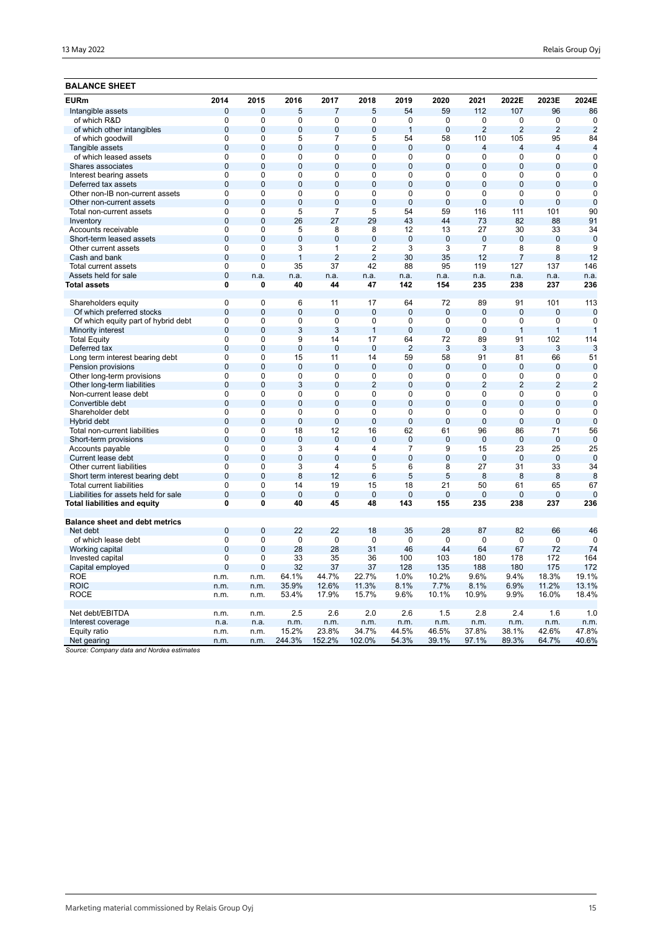## **BALANCE SHEET**

| $\mathbf 0$<br>$\mathbf 0$<br>5<br>$\overline{7}$<br>59<br>112<br>107<br>96<br>86<br>Intangible assets<br>5<br>54<br>of which R&D<br>0<br>$\Omega$<br>0<br>0<br>0<br>$\Omega$<br>0<br>0<br>$\mathbf 0$<br>0<br>0<br>$\overline{0}$<br>$\overline{0}$<br>$\overline{0}$<br>$\overline{2}$<br>$\overline{2}$<br>$\overline{2}$<br>of which other intangibles<br>$\overline{0}$<br>$\overline{0}$<br>$\overline{0}$<br>$\mathbf{1}$<br>$\overline{2}$<br>$\mathbf 0$<br>5<br>$\overline{7}$<br>5<br>54<br>58<br>110<br>105<br>95<br>84<br>of which goodwill<br>$\Omega$<br>$\overline{0}$<br>$\overline{0}$<br>$\overline{0}$<br>$\overline{0}$<br>$\overline{0}$<br>$\overline{0}$<br>$\overline{4}$<br>$\overline{0}$<br>$\overline{4}$<br>$\overline{4}$<br>Tangible assets<br>4<br>$\overline{0}$<br>$\overline{0}$<br>$\mathbf 0$<br>$\mathbf 0$<br>0<br>$\Omega$<br>$\mathbf 0$<br>0<br>0<br>0<br>0<br>of which leased assets<br>$\mathbf 0$<br>$\overline{0}$<br>$\overline{0}$<br>$\overline{0}$<br>$\overline{0}$<br>$\overline{0}$<br>$\overline{0}$<br>$\mathbf 0$<br>$\overline{0}$<br>$\overline{0}$<br>$\overline{0}$<br>Shares associates<br>$\overline{0}$<br>$\overline{0}$<br>$\overline{0}$<br>$\overline{0}$<br>$\overline{0}$<br>$\overline{0}$<br>$\overline{0}$<br>$\overline{0}$<br>$\overline{0}$<br>$\overline{0}$<br>$\overline{0}$<br>Interest bearing assets<br>Deferred tax assets<br>$\overline{0}$<br>$\mathbf 0$<br>$\overline{0}$<br>$\overline{0}$<br>$\overline{0}$<br>0<br>$\overline{0}$<br>0<br>$\overline{0}$<br>$\overline{0}$<br>$\mathbf 0$<br>$\overline{0}$<br>$\overline{0}$<br>Other non-IB non-current assets<br>$\mathbf 0$<br>$\mathbf 0$<br>0<br>0<br>$\mathbf 0$<br>0<br>0<br>0<br>$\mathbf 0$<br>$\mathbf 0$<br>$\mathbf 0$<br>$\Omega$<br>$\Omega$<br>$\mathbf 0$<br>$\Omega$<br>$\Omega$<br>$\Omega$<br>$\Omega$<br>$\overline{0}$<br>$\mathbf 0$<br>Other non-current assets<br>$\overline{0}$<br>$\overline{5}$<br>54<br>90<br>$\mathbf 0$<br>7<br>5<br>59<br>116<br>111<br>101<br>Total non-current assets<br>27<br>$\overline{0}$<br>26<br>29<br>43<br>44<br>82<br>88<br>91<br>Inventory<br>$\Omega$<br>73<br>$\overline{0}$<br>$\overline{0}$<br>5<br>$\overline{8}$<br>$\overline{8}$<br>12<br>30<br>13<br>27<br>33<br>34<br>Accounts receivable<br>$\mathbf 0$<br>$\overline{0}$<br>$\overline{0}$<br>$\overline{0}$<br>$\overline{0}$<br>$\mathbf{0}$<br>$\overline{0}$<br>$\mathbf{0}$<br>$\overline{0}$<br>$\overline{0}$<br>$\mathbf 0$<br>Short-term leased assets<br>$\overline{0}$<br>$\overline{0}$<br>$\overline{3}$<br>$\overline{2}$<br>$\overline{3}$<br>$\overline{3}$<br>$\overline{9}$<br>$\mathbf{1}$<br>$\overline{7}$<br>8<br>8<br>Other current assets<br>$\overline{0}$<br>$\overline{0}$<br>$\mathbf{1}$<br>$\overline{2}$<br>$\overline{2}$<br>30<br>35<br>12<br>$\overline{7}$<br>8<br>12<br>Cash and bank<br>42<br>Total current assets<br>0<br>$\mathbf 0$<br>35<br>37<br>88<br>95<br>119<br>127<br>137<br>146<br>$\mathbf 0$<br>Assets held for sale<br>n.a.<br>n.a.<br>n.a.<br>n.a.<br>n.a.<br>n.a.<br>n.a.<br>n.a.<br>n.a.<br>n.a.<br>0<br>47<br>142<br>154<br>235<br>238<br>237<br>236<br>Total assets<br>$\mathbf 0$<br>40<br>44<br>$\mathbf 0$<br>$\Omega$<br>6<br>72<br>101<br>113<br>Shareholders equity<br>11<br>17<br>64<br>89<br>91<br>$\overline{0}$<br>$\overline{0}$<br>$\overline{0}$<br>Of which preferred stocks<br>$\overline{0}$<br>$\overline{0}$<br>$\overline{0}$<br>$\overline{0}$<br>$\mathbf 0$<br>$\mathbf{0}$<br>$\mathbf{0}$<br>$\mathbf 0$<br>$\overline{0}$<br>$\overline{0}$<br>$\mathbf 0$<br>$\mathbf 0$<br>$\mathbf 0$<br>$\mathbf 0$<br>$\mathbf 0$<br>$\mathbf 0$<br>$\mathbf 0$<br>$\mathbf 0$<br>$\mathbf 0$<br>Of which equity part of hybrid debt<br>$\mathbf 0$<br>$\overline{0}$<br>3<br>3<br>$\overline{0}$<br>$\overline{0}$<br>$\overline{0}$<br>$\mathbf{1}$<br>$\overline{1}$<br>$\mathbf{1}$<br>Minority interest<br>$\overline{1}$<br>$\overline{0}$<br>$\overline{0}$<br>$\overline{9}$<br>14<br>17<br>64<br>72<br>89<br>91<br>102<br>114<br><b>Total Equity</b><br>$\mathbf{0}$<br>$\overline{0}$<br>$\overline{0}$<br>$\overline{0}$<br>$\overline{0}$<br>$\overline{2}$<br>3<br>3<br>3<br>3<br>3<br>Deferred tax<br>$\overline{0}$<br>15<br>51<br>Long term interest bearing debt<br>$\mathbf 0$<br>11<br>14<br>59<br>58<br>91<br>81<br>66<br>$\mathbf 0$<br>$\Omega$<br>$\mathbf 0$<br>$\Omega$<br>$\Omega$<br>$\Omega$<br>$\Omega$<br>$\mathbf 0$<br>$\Omega$<br>$\Omega$<br>$\Omega$<br>Pension provisions<br>$\overline{0}$<br>Other long-term provisions<br>$\mathbf 0$<br>$\mathbf 0$<br>$\mathbf 0$<br>$\mathbf 0$<br>$\mathbf 0$<br>$\mathbf 0$<br>0<br>$\mathbf 0$<br>0<br>$\mathbf 0$<br>$\overline{2}$<br>$\overline{2}$<br>$\overline{0}$<br>3<br>$\Omega$<br>$\overline{2}$<br>$\overline{0}$<br>$\Omega$<br>$\overline{2}$<br>$\overline{2}$<br>Other long-term liabilities<br>$\Omega$<br>$\overline{0}$<br>$\overline{0}$<br>$\overline{0}$<br>$\overline{0}$<br>$\overline{0}$<br>$\overline{0}$<br>$\overline{0}$<br>$\overline{0}$<br>$\overline{0}$<br>Non-current lease debt<br>$\mathbf 0$<br>0<br>$\mathbf 0$<br>$\overline{0}$<br>$\overline{0}$<br>$\overline{0}$<br>$\overline{0}$<br>$\overline{0}$<br>$\mathbf{0}$<br>$\overline{0}$<br>$\mathbf 0$<br>$\mathbf 0$<br>$\mathbf 0$<br>Convertible debt<br>$\overline{0}$<br>$\overline{0}$<br>$\overline{0}$<br>$\overline{0}$<br>$\overline{0}$<br>$\overline{0}$<br>$\overline{0}$<br>$\overline{0}$<br>$\overline{0}$<br>$\overline{0}$<br>$\overline{0}$<br>Shareholder debt<br>$\overline{0}$<br>$\overline{0}$<br>$\overline{0}$<br>$\mathbf{0}$<br>$\mathbf 0$<br>$\mathbf 0$<br>$\Omega$<br>0<br>$\Omega$<br>$\mathbf 0$<br>$\overline{0}$<br>Hybrid debt<br>0<br>$\mathbf 0$<br>18<br>12<br>16<br>62<br>61<br>96<br>86<br>71<br>56<br>Total non-current liabilities<br>$\overline{0}$<br>$\overline{0}$<br>$\overline{0}$<br>$\overline{0}$<br>$\overline{0}$<br>$\overline{0}$<br>$\overline{0}$<br>$\overline{0}$<br>$\overline{0}$<br>$\overline{0}$<br>$\overline{0}$<br>Short-term provisions<br>0<br>$\Omega$<br>3<br>4<br>$\overline{4}$<br>7<br>9<br>15<br>23<br>25<br>25<br>Accounts payable<br>$\overline{0}$<br>$\overline{0}$<br>$\overline{0}$<br>$\overline{0}$<br>$\overline{0}$<br>$\overline{0}$<br>$\overline{0}$<br>$\mathbf 0$<br>$\mathbf 0$<br>Current lease debt<br>$\mathbf 0$<br>$\overline{0}$<br>$\mathbf 0$<br>3<br>27<br>31<br>33<br>34<br>Other current liabilities<br>$\Omega$<br>4<br>5<br>6<br>8<br>$\overline{0}$<br>5<br>$\overline{0}$<br>8<br>12<br>$6\phantom{1}6$<br>5<br>8<br>8<br>Short term interest bearing debt<br>8<br>8<br>$\mathbf 0$<br>$\mathbf 0$<br>14<br>19<br>15<br>21<br>50<br>67<br>Total current liabilities<br>18<br>61<br>65<br>$\overline{0}$<br>$\overline{0}$<br>$\overline{0}$<br>$\overline{0}$<br>$\overline{0}$<br>$\overline{0}$<br>$\overline{0}$<br>$\mathbf 0$<br>0<br>$\Omega$<br>Liabilities for assets held for sale<br>0<br>$\overline{0}$<br>$\overline{0}$<br>40<br>143<br>235<br>237<br>236<br>Total liabilities and equity<br>45<br>48<br>155<br>238<br><b>Balance sheet and debt metrics</b><br>$\overline{0}$<br>22<br>Net debt<br>0<br>22<br>18<br>35<br>28<br>87<br>82<br>66<br>46<br>$\pmb{0}$<br>of which lease debt<br>$\mathbf 0$<br>0<br>$\mathbf 0$<br>0<br>0<br>$\mathbf 0$<br>$\mathbf 0$<br>$\mathbf 0$<br>0<br>$\mathbf 0$<br>0<br>$\Omega$<br>28<br>28<br>31<br>46<br>44<br>64<br>67<br>72<br>74<br>Working capital<br>0<br>Invested capital<br>$\mathbf 0$<br>33<br>35<br>36<br>100<br>103<br>180<br>178<br>172<br>164<br>$\overline{0}$<br>32<br>37<br>37<br>135<br>175<br>172<br>$\mathbf{0}$<br>128<br>188<br>180<br>Capital employed<br>19.1%<br><b>ROE</b><br>64.1%<br>44.7%<br>22.7%<br>1.0%<br>10.2%<br>9.6%<br>9.4%<br>18.3%<br>n.m.<br>n.m.<br><b>ROIC</b><br>35.9%<br>12.6%<br>11.3%<br>8.1%<br>7.7%<br>6.9%<br>11.2%<br>13.1%<br>8.1%<br>n.m.<br>n.m.<br><b>ROCE</b><br>53.4%<br>17.9%<br>15.7%<br>9.6%<br>10.1%<br>10.9%<br>9.9%<br>16.0%<br>18.4%<br>n.m.<br>n.m.<br>Net debt/EBITDA<br>2.5<br>2.6<br>2.0<br>2.6<br>1.5<br>2.8<br>2.4<br>1.6<br>1.0<br>n.m.<br>n.m.<br>Interest coverage<br>n.m.<br>n.m.<br>n.m.<br>n.m.<br>n.m.<br>n.m.<br>n.m.<br>n.m.<br>n.m.<br>n.a.<br>n.a.<br>15.2%<br>23.8%<br>34.7%<br>44.5%<br>42.6%<br>47.8%<br>Equity ratio<br>46.5%<br>37.8%<br>38.1%<br>n.m.<br>n.m.<br>40.6%<br>244.3%<br>152.2%<br>102.0%<br>54.3%<br>39.1%<br>97.1%<br>89.3%<br>64.7%<br>Net gearing<br>n.m.<br>n.m. | <b>EURm</b> | 2014 | 2015 | 2016 | 2017 | 2018 | 2019 | 2020 | 2021 | 2022E | 2023E | 2024E |
|-------------------------------------------------------------------------------------------------------------------------------------------------------------------------------------------------------------------------------------------------------------------------------------------------------------------------------------------------------------------------------------------------------------------------------------------------------------------------------------------------------------------------------------------------------------------------------------------------------------------------------------------------------------------------------------------------------------------------------------------------------------------------------------------------------------------------------------------------------------------------------------------------------------------------------------------------------------------------------------------------------------------------------------------------------------------------------------------------------------------------------------------------------------------------------------------------------------------------------------------------------------------------------------------------------------------------------------------------------------------------------------------------------------------------------------------------------------------------------------------------------------------------------------------------------------------------------------------------------------------------------------------------------------------------------------------------------------------------------------------------------------------------------------------------------------------------------------------------------------------------------------------------------------------------------------------------------------------------------------------------------------------------------------------------------------------------------------------------------------------------------------------------------------------------------------------------------------------------------------------------------------------------------------------------------------------------------------------------------------------------------------------------------------------------------------------------------------------------------------------------------------------------------------------------------------------------------------------------------------------------------------------------------------------------------------------------------------------------------------------------------------------------------------------------------------------------------------------------------------------------------------------------------------------------------------------------------------------------------------------------------------------------------------------------------------------------------------------------------------------------------------------------------------------------------------------------------------------------------------------------------------------------------------------------------------------------------------------------------------------------------------------------------------------------------------------------------------------------------------------------------------------------------------------------------------------------------------------------------------------------------------------------------------------------------------------------------------------------------------------------------------------------------------------------------------------------------------------------------------------------------------------------------------------------------------------------------------------------------------------------------------------------------------------------------------------------------------------------------------------------------------------------------------------------------------------------------------------------------------------------------------------------------------------------------------------------------------------------------------------------------------------------------------------------------------------------------------------------------------------------------------------------------------------------------------------------------------------------------------------------------------------------------------------------------------------------------------------------------------------------------------------------------------------------------------------------------------------------------------------------------------------------------------------------------------------------------------------------------------------------------------------------------------------------------------------------------------------------------------------------------------------------------------------------------------------------------------------------------------------------------------------------------------------------------------------------------------------------------------------------------------------------------------------------------------------------------------------------------------------------------------------------------------------------------------------------------------------------------------------------------------------------------------------------------------------------------------------------------------------------------------------------------------------------------------------------------------------------------------------------------------------------------------------------------------------------------------------------------------------------------------------------------------------------------------------------------------------------------------------------------------------------------------------------------------------------------------------------------------------------------------------------------------------------------------------------------------------------------------------------------------------------------------------------------------------------------------------------------------------------------------------------------------------------------------------------------------------------------------------------------------------------------------------------------------------------------------------------------------------------------------------------------------------------------------------------------------------------------------------------------------------------------------------------------------------------------------------------------------------------------------------------------------------------------------------------------------------------------------------------------------------------------------------------------------------------------------------------------------------------------------------------------------------------------------------------------------------------------------------------------------------------------------------------------------------------------------------------------------------------------------------------------------------------------------------------------------------------------------------------------------------------------------------------------------------------------------------------------------------------------------------------------------------------------------------------------------------------------------------------------------------------------------------------------------------------------------------------------------------------------------------------------------------------------------------------------------------------------------------------------------------------------------------------------------------------------------------------------------------------------------------------------------------------------------------------------------------------------------------------------------------------------------------------------------------------------------------------------------------------------------------------------------------------------------|-------------|------|------|------|------|------|------|------|------|-------|-------|-------|
|                                                                                                                                                                                                                                                                                                                                                                                                                                                                                                                                                                                                                                                                                                                                                                                                                                                                                                                                                                                                                                                                                                                                                                                                                                                                                                                                                                                                                                                                                                                                                                                                                                                                                                                                                                                                                                                                                                                                                                                                                                                                                                                                                                                                                                                                                                                                                                                                                                                                                                                                                                                                                                                                                                                                                                                                                                                                                                                                                                                                                                                                                                                                                                                                                                                                                                                                                                                                                                                                                                                                                                                                                                                                                                                                                                                                                                                                                                                                                                                                                                                                                                                                                                                                                                                                                                                                                                                                                                                                                                                                                                                                                                                                                                                                                                                                                                                                                                                                                                                                                                                                                                                                                                                                                                                                                                                                                                                                                                                                                                                                                                                                                                                                                                                                                                                                                                                                                                                                                                                                                                                                                                                                                                                                                                                                                                                                                                                                                                                                                                                                                                                                                                                                                                                                                                                                                                                                                                                                                                                                                                                                                                                                                                                                                                                                                                                                                                                                                                                                                                                                                                                                                                                                                                                                                                                                                                                                                                                                                                                                                                                                                                                                                                                                                                                                                                                                                                                                                                                                                                                                                             |             |      |      |      |      |      |      |      |      |       |       |       |
|                                                                                                                                                                                                                                                                                                                                                                                                                                                                                                                                                                                                                                                                                                                                                                                                                                                                                                                                                                                                                                                                                                                                                                                                                                                                                                                                                                                                                                                                                                                                                                                                                                                                                                                                                                                                                                                                                                                                                                                                                                                                                                                                                                                                                                                                                                                                                                                                                                                                                                                                                                                                                                                                                                                                                                                                                                                                                                                                                                                                                                                                                                                                                                                                                                                                                                                                                                                                                                                                                                                                                                                                                                                                                                                                                                                                                                                                                                                                                                                                                                                                                                                                                                                                                                                                                                                                                                                                                                                                                                                                                                                                                                                                                                                                                                                                                                                                                                                                                                                                                                                                                                                                                                                                                                                                                                                                                                                                                                                                                                                                                                                                                                                                                                                                                                                                                                                                                                                                                                                                                                                                                                                                                                                                                                                                                                                                                                                                                                                                                                                                                                                                                                                                                                                                                                                                                                                                                                                                                                                                                                                                                                                                                                                                                                                                                                                                                                                                                                                                                                                                                                                                                                                                                                                                                                                                                                                                                                                                                                                                                                                                                                                                                                                                                                                                                                                                                                                                                                                                                                                                                             |             |      |      |      |      |      |      |      |      |       |       |       |
|                                                                                                                                                                                                                                                                                                                                                                                                                                                                                                                                                                                                                                                                                                                                                                                                                                                                                                                                                                                                                                                                                                                                                                                                                                                                                                                                                                                                                                                                                                                                                                                                                                                                                                                                                                                                                                                                                                                                                                                                                                                                                                                                                                                                                                                                                                                                                                                                                                                                                                                                                                                                                                                                                                                                                                                                                                                                                                                                                                                                                                                                                                                                                                                                                                                                                                                                                                                                                                                                                                                                                                                                                                                                                                                                                                                                                                                                                                                                                                                                                                                                                                                                                                                                                                                                                                                                                                                                                                                                                                                                                                                                                                                                                                                                                                                                                                                                                                                                                                                                                                                                                                                                                                                                                                                                                                                                                                                                                                                                                                                                                                                                                                                                                                                                                                                                                                                                                                                                                                                                                                                                                                                                                                                                                                                                                                                                                                                                                                                                                                                                                                                                                                                                                                                                                                                                                                                                                                                                                                                                                                                                                                                                                                                                                                                                                                                                                                                                                                                                                                                                                                                                                                                                                                                                                                                                                                                                                                                                                                                                                                                                                                                                                                                                                                                                                                                                                                                                                                                                                                                                                             |             |      |      |      |      |      |      |      |      |       |       |       |
|                                                                                                                                                                                                                                                                                                                                                                                                                                                                                                                                                                                                                                                                                                                                                                                                                                                                                                                                                                                                                                                                                                                                                                                                                                                                                                                                                                                                                                                                                                                                                                                                                                                                                                                                                                                                                                                                                                                                                                                                                                                                                                                                                                                                                                                                                                                                                                                                                                                                                                                                                                                                                                                                                                                                                                                                                                                                                                                                                                                                                                                                                                                                                                                                                                                                                                                                                                                                                                                                                                                                                                                                                                                                                                                                                                                                                                                                                                                                                                                                                                                                                                                                                                                                                                                                                                                                                                                                                                                                                                                                                                                                                                                                                                                                                                                                                                                                                                                                                                                                                                                                                                                                                                                                                                                                                                                                                                                                                                                                                                                                                                                                                                                                                                                                                                                                                                                                                                                                                                                                                                                                                                                                                                                                                                                                                                                                                                                                                                                                                                                                                                                                                                                                                                                                                                                                                                                                                                                                                                                                                                                                                                                                                                                                                                                                                                                                                                                                                                                                                                                                                                                                                                                                                                                                                                                                                                                                                                                                                                                                                                                                                                                                                                                                                                                                                                                                                                                                                                                                                                                                                             |             |      |      |      |      |      |      |      |      |       |       |       |
|                                                                                                                                                                                                                                                                                                                                                                                                                                                                                                                                                                                                                                                                                                                                                                                                                                                                                                                                                                                                                                                                                                                                                                                                                                                                                                                                                                                                                                                                                                                                                                                                                                                                                                                                                                                                                                                                                                                                                                                                                                                                                                                                                                                                                                                                                                                                                                                                                                                                                                                                                                                                                                                                                                                                                                                                                                                                                                                                                                                                                                                                                                                                                                                                                                                                                                                                                                                                                                                                                                                                                                                                                                                                                                                                                                                                                                                                                                                                                                                                                                                                                                                                                                                                                                                                                                                                                                                                                                                                                                                                                                                                                                                                                                                                                                                                                                                                                                                                                                                                                                                                                                                                                                                                                                                                                                                                                                                                                                                                                                                                                                                                                                                                                                                                                                                                                                                                                                                                                                                                                                                                                                                                                                                                                                                                                                                                                                                                                                                                                                                                                                                                                                                                                                                                                                                                                                                                                                                                                                                                                                                                                                                                                                                                                                                                                                                                                                                                                                                                                                                                                                                                                                                                                                                                                                                                                                                                                                                                                                                                                                                                                                                                                                                                                                                                                                                                                                                                                                                                                                                                                             |             |      |      |      |      |      |      |      |      |       |       |       |
|                                                                                                                                                                                                                                                                                                                                                                                                                                                                                                                                                                                                                                                                                                                                                                                                                                                                                                                                                                                                                                                                                                                                                                                                                                                                                                                                                                                                                                                                                                                                                                                                                                                                                                                                                                                                                                                                                                                                                                                                                                                                                                                                                                                                                                                                                                                                                                                                                                                                                                                                                                                                                                                                                                                                                                                                                                                                                                                                                                                                                                                                                                                                                                                                                                                                                                                                                                                                                                                                                                                                                                                                                                                                                                                                                                                                                                                                                                                                                                                                                                                                                                                                                                                                                                                                                                                                                                                                                                                                                                                                                                                                                                                                                                                                                                                                                                                                                                                                                                                                                                                                                                                                                                                                                                                                                                                                                                                                                                                                                                                                                                                                                                                                                                                                                                                                                                                                                                                                                                                                                                                                                                                                                                                                                                                                                                                                                                                                                                                                                                                                                                                                                                                                                                                                                                                                                                                                                                                                                                                                                                                                                                                                                                                                                                                                                                                                                                                                                                                                                                                                                                                                                                                                                                                                                                                                                                                                                                                                                                                                                                                                                                                                                                                                                                                                                                                                                                                                                                                                                                                                                             |             |      |      |      |      |      |      |      |      |       |       |       |
|                                                                                                                                                                                                                                                                                                                                                                                                                                                                                                                                                                                                                                                                                                                                                                                                                                                                                                                                                                                                                                                                                                                                                                                                                                                                                                                                                                                                                                                                                                                                                                                                                                                                                                                                                                                                                                                                                                                                                                                                                                                                                                                                                                                                                                                                                                                                                                                                                                                                                                                                                                                                                                                                                                                                                                                                                                                                                                                                                                                                                                                                                                                                                                                                                                                                                                                                                                                                                                                                                                                                                                                                                                                                                                                                                                                                                                                                                                                                                                                                                                                                                                                                                                                                                                                                                                                                                                                                                                                                                                                                                                                                                                                                                                                                                                                                                                                                                                                                                                                                                                                                                                                                                                                                                                                                                                                                                                                                                                                                                                                                                                                                                                                                                                                                                                                                                                                                                                                                                                                                                                                                                                                                                                                                                                                                                                                                                                                                                                                                                                                                                                                                                                                                                                                                                                                                                                                                                                                                                                                                                                                                                                                                                                                                                                                                                                                                                                                                                                                                                                                                                                                                                                                                                                                                                                                                                                                                                                                                                                                                                                                                                                                                                                                                                                                                                                                                                                                                                                                                                                                                                             |             |      |      |      |      |      |      |      |      |       |       |       |
|                                                                                                                                                                                                                                                                                                                                                                                                                                                                                                                                                                                                                                                                                                                                                                                                                                                                                                                                                                                                                                                                                                                                                                                                                                                                                                                                                                                                                                                                                                                                                                                                                                                                                                                                                                                                                                                                                                                                                                                                                                                                                                                                                                                                                                                                                                                                                                                                                                                                                                                                                                                                                                                                                                                                                                                                                                                                                                                                                                                                                                                                                                                                                                                                                                                                                                                                                                                                                                                                                                                                                                                                                                                                                                                                                                                                                                                                                                                                                                                                                                                                                                                                                                                                                                                                                                                                                                                                                                                                                                                                                                                                                                                                                                                                                                                                                                                                                                                                                                                                                                                                                                                                                                                                                                                                                                                                                                                                                                                                                                                                                                                                                                                                                                                                                                                                                                                                                                                                                                                                                                                                                                                                                                                                                                                                                                                                                                                                                                                                                                                                                                                                                                                                                                                                                                                                                                                                                                                                                                                                                                                                                                                                                                                                                                                                                                                                                                                                                                                                                                                                                                                                                                                                                                                                                                                                                                                                                                                                                                                                                                                                                                                                                                                                                                                                                                                                                                                                                                                                                                                                                             |             |      |      |      |      |      |      |      |      |       |       |       |
|                                                                                                                                                                                                                                                                                                                                                                                                                                                                                                                                                                                                                                                                                                                                                                                                                                                                                                                                                                                                                                                                                                                                                                                                                                                                                                                                                                                                                                                                                                                                                                                                                                                                                                                                                                                                                                                                                                                                                                                                                                                                                                                                                                                                                                                                                                                                                                                                                                                                                                                                                                                                                                                                                                                                                                                                                                                                                                                                                                                                                                                                                                                                                                                                                                                                                                                                                                                                                                                                                                                                                                                                                                                                                                                                                                                                                                                                                                                                                                                                                                                                                                                                                                                                                                                                                                                                                                                                                                                                                                                                                                                                                                                                                                                                                                                                                                                                                                                                                                                                                                                                                                                                                                                                                                                                                                                                                                                                                                                                                                                                                                                                                                                                                                                                                                                                                                                                                                                                                                                                                                                                                                                                                                                                                                                                                                                                                                                                                                                                                                                                                                                                                                                                                                                                                                                                                                                                                                                                                                                                                                                                                                                                                                                                                                                                                                                                                                                                                                                                                                                                                                                                                                                                                                                                                                                                                                                                                                                                                                                                                                                                                                                                                                                                                                                                                                                                                                                                                                                                                                                                                             |             |      |      |      |      |      |      |      |      |       |       |       |
|                                                                                                                                                                                                                                                                                                                                                                                                                                                                                                                                                                                                                                                                                                                                                                                                                                                                                                                                                                                                                                                                                                                                                                                                                                                                                                                                                                                                                                                                                                                                                                                                                                                                                                                                                                                                                                                                                                                                                                                                                                                                                                                                                                                                                                                                                                                                                                                                                                                                                                                                                                                                                                                                                                                                                                                                                                                                                                                                                                                                                                                                                                                                                                                                                                                                                                                                                                                                                                                                                                                                                                                                                                                                                                                                                                                                                                                                                                                                                                                                                                                                                                                                                                                                                                                                                                                                                                                                                                                                                                                                                                                                                                                                                                                                                                                                                                                                                                                                                                                                                                                                                                                                                                                                                                                                                                                                                                                                                                                                                                                                                                                                                                                                                                                                                                                                                                                                                                                                                                                                                                                                                                                                                                                                                                                                                                                                                                                                                                                                                                                                                                                                                                                                                                                                                                                                                                                                                                                                                                                                                                                                                                                                                                                                                                                                                                                                                                                                                                                                                                                                                                                                                                                                                                                                                                                                                                                                                                                                                                                                                                                                                                                                                                                                                                                                                                                                                                                                                                                                                                                                                             |             |      |      |      |      |      |      |      |      |       |       |       |
|                                                                                                                                                                                                                                                                                                                                                                                                                                                                                                                                                                                                                                                                                                                                                                                                                                                                                                                                                                                                                                                                                                                                                                                                                                                                                                                                                                                                                                                                                                                                                                                                                                                                                                                                                                                                                                                                                                                                                                                                                                                                                                                                                                                                                                                                                                                                                                                                                                                                                                                                                                                                                                                                                                                                                                                                                                                                                                                                                                                                                                                                                                                                                                                                                                                                                                                                                                                                                                                                                                                                                                                                                                                                                                                                                                                                                                                                                                                                                                                                                                                                                                                                                                                                                                                                                                                                                                                                                                                                                                                                                                                                                                                                                                                                                                                                                                                                                                                                                                                                                                                                                                                                                                                                                                                                                                                                                                                                                                                                                                                                                                                                                                                                                                                                                                                                                                                                                                                                                                                                                                                                                                                                                                                                                                                                                                                                                                                                                                                                                                                                                                                                                                                                                                                                                                                                                                                                                                                                                                                                                                                                                                                                                                                                                                                                                                                                                                                                                                                                                                                                                                                                                                                                                                                                                                                                                                                                                                                                                                                                                                                                                                                                                                                                                                                                                                                                                                                                                                                                                                                                                             |             |      |      |      |      |      |      |      |      |       |       |       |
|                                                                                                                                                                                                                                                                                                                                                                                                                                                                                                                                                                                                                                                                                                                                                                                                                                                                                                                                                                                                                                                                                                                                                                                                                                                                                                                                                                                                                                                                                                                                                                                                                                                                                                                                                                                                                                                                                                                                                                                                                                                                                                                                                                                                                                                                                                                                                                                                                                                                                                                                                                                                                                                                                                                                                                                                                                                                                                                                                                                                                                                                                                                                                                                                                                                                                                                                                                                                                                                                                                                                                                                                                                                                                                                                                                                                                                                                                                                                                                                                                                                                                                                                                                                                                                                                                                                                                                                                                                                                                                                                                                                                                                                                                                                                                                                                                                                                                                                                                                                                                                                                                                                                                                                                                                                                                                                                                                                                                                                                                                                                                                                                                                                                                                                                                                                                                                                                                                                                                                                                                                                                                                                                                                                                                                                                                                                                                                                                                                                                                                                                                                                                                                                                                                                                                                                                                                                                                                                                                                                                                                                                                                                                                                                                                                                                                                                                                                                                                                                                                                                                                                                                                                                                                                                                                                                                                                                                                                                                                                                                                                                                                                                                                                                                                                                                                                                                                                                                                                                                                                                                                             |             |      |      |      |      |      |      |      |      |       |       |       |
|                                                                                                                                                                                                                                                                                                                                                                                                                                                                                                                                                                                                                                                                                                                                                                                                                                                                                                                                                                                                                                                                                                                                                                                                                                                                                                                                                                                                                                                                                                                                                                                                                                                                                                                                                                                                                                                                                                                                                                                                                                                                                                                                                                                                                                                                                                                                                                                                                                                                                                                                                                                                                                                                                                                                                                                                                                                                                                                                                                                                                                                                                                                                                                                                                                                                                                                                                                                                                                                                                                                                                                                                                                                                                                                                                                                                                                                                                                                                                                                                                                                                                                                                                                                                                                                                                                                                                                                                                                                                                                                                                                                                                                                                                                                                                                                                                                                                                                                                                                                                                                                                                                                                                                                                                                                                                                                                                                                                                                                                                                                                                                                                                                                                                                                                                                                                                                                                                                                                                                                                                                                                                                                                                                                                                                                                                                                                                                                                                                                                                                                                                                                                                                                                                                                                                                                                                                                                                                                                                                                                                                                                                                                                                                                                                                                                                                                                                                                                                                                                                                                                                                                                                                                                                                                                                                                                                                                                                                                                                                                                                                                                                                                                                                                                                                                                                                                                                                                                                                                                                                                                                             |             |      |      |      |      |      |      |      |      |       |       |       |
|                                                                                                                                                                                                                                                                                                                                                                                                                                                                                                                                                                                                                                                                                                                                                                                                                                                                                                                                                                                                                                                                                                                                                                                                                                                                                                                                                                                                                                                                                                                                                                                                                                                                                                                                                                                                                                                                                                                                                                                                                                                                                                                                                                                                                                                                                                                                                                                                                                                                                                                                                                                                                                                                                                                                                                                                                                                                                                                                                                                                                                                                                                                                                                                                                                                                                                                                                                                                                                                                                                                                                                                                                                                                                                                                                                                                                                                                                                                                                                                                                                                                                                                                                                                                                                                                                                                                                                                                                                                                                                                                                                                                                                                                                                                                                                                                                                                                                                                                                                                                                                                                                                                                                                                                                                                                                                                                                                                                                                                                                                                                                                                                                                                                                                                                                                                                                                                                                                                                                                                                                                                                                                                                                                                                                                                                                                                                                                                                                                                                                                                                                                                                                                                                                                                                                                                                                                                                                                                                                                                                                                                                                                                                                                                                                                                                                                                                                                                                                                                                                                                                                                                                                                                                                                                                                                                                                                                                                                                                                                                                                                                                                                                                                                                                                                                                                                                                                                                                                                                                                                                                                             |             |      |      |      |      |      |      |      |      |       |       |       |
|                                                                                                                                                                                                                                                                                                                                                                                                                                                                                                                                                                                                                                                                                                                                                                                                                                                                                                                                                                                                                                                                                                                                                                                                                                                                                                                                                                                                                                                                                                                                                                                                                                                                                                                                                                                                                                                                                                                                                                                                                                                                                                                                                                                                                                                                                                                                                                                                                                                                                                                                                                                                                                                                                                                                                                                                                                                                                                                                                                                                                                                                                                                                                                                                                                                                                                                                                                                                                                                                                                                                                                                                                                                                                                                                                                                                                                                                                                                                                                                                                                                                                                                                                                                                                                                                                                                                                                                                                                                                                                                                                                                                                                                                                                                                                                                                                                                                                                                                                                                                                                                                                                                                                                                                                                                                                                                                                                                                                                                                                                                                                                                                                                                                                                                                                                                                                                                                                                                                                                                                                                                                                                                                                                                                                                                                                                                                                                                                                                                                                                                                                                                                                                                                                                                                                                                                                                                                                                                                                                                                                                                                                                                                                                                                                                                                                                                                                                                                                                                                                                                                                                                                                                                                                                                                                                                                                                                                                                                                                                                                                                                                                                                                                                                                                                                                                                                                                                                                                                                                                                                                                             |             |      |      |      |      |      |      |      |      |       |       |       |
|                                                                                                                                                                                                                                                                                                                                                                                                                                                                                                                                                                                                                                                                                                                                                                                                                                                                                                                                                                                                                                                                                                                                                                                                                                                                                                                                                                                                                                                                                                                                                                                                                                                                                                                                                                                                                                                                                                                                                                                                                                                                                                                                                                                                                                                                                                                                                                                                                                                                                                                                                                                                                                                                                                                                                                                                                                                                                                                                                                                                                                                                                                                                                                                                                                                                                                                                                                                                                                                                                                                                                                                                                                                                                                                                                                                                                                                                                                                                                                                                                                                                                                                                                                                                                                                                                                                                                                                                                                                                                                                                                                                                                                                                                                                                                                                                                                                                                                                                                                                                                                                                                                                                                                                                                                                                                                                                                                                                                                                                                                                                                                                                                                                                                                                                                                                                                                                                                                                                                                                                                                                                                                                                                                                                                                                                                                                                                                                                                                                                                                                                                                                                                                                                                                                                                                                                                                                                                                                                                                                                                                                                                                                                                                                                                                                                                                                                                                                                                                                                                                                                                                                                                                                                                                                                                                                                                                                                                                                                                                                                                                                                                                                                                                                                                                                                                                                                                                                                                                                                                                                                                             |             |      |      |      |      |      |      |      |      |       |       |       |
|                                                                                                                                                                                                                                                                                                                                                                                                                                                                                                                                                                                                                                                                                                                                                                                                                                                                                                                                                                                                                                                                                                                                                                                                                                                                                                                                                                                                                                                                                                                                                                                                                                                                                                                                                                                                                                                                                                                                                                                                                                                                                                                                                                                                                                                                                                                                                                                                                                                                                                                                                                                                                                                                                                                                                                                                                                                                                                                                                                                                                                                                                                                                                                                                                                                                                                                                                                                                                                                                                                                                                                                                                                                                                                                                                                                                                                                                                                                                                                                                                                                                                                                                                                                                                                                                                                                                                                                                                                                                                                                                                                                                                                                                                                                                                                                                                                                                                                                                                                                                                                                                                                                                                                                                                                                                                                                                                                                                                                                                                                                                                                                                                                                                                                                                                                                                                                                                                                                                                                                                                                                                                                                                                                                                                                                                                                                                                                                                                                                                                                                                                                                                                                                                                                                                                                                                                                                                                                                                                                                                                                                                                                                                                                                                                                                                                                                                                                                                                                                                                                                                                                                                                                                                                                                                                                                                                                                                                                                                                                                                                                                                                                                                                                                                                                                                                                                                                                                                                                                                                                                                                             |             |      |      |      |      |      |      |      |      |       |       |       |
|                                                                                                                                                                                                                                                                                                                                                                                                                                                                                                                                                                                                                                                                                                                                                                                                                                                                                                                                                                                                                                                                                                                                                                                                                                                                                                                                                                                                                                                                                                                                                                                                                                                                                                                                                                                                                                                                                                                                                                                                                                                                                                                                                                                                                                                                                                                                                                                                                                                                                                                                                                                                                                                                                                                                                                                                                                                                                                                                                                                                                                                                                                                                                                                                                                                                                                                                                                                                                                                                                                                                                                                                                                                                                                                                                                                                                                                                                                                                                                                                                                                                                                                                                                                                                                                                                                                                                                                                                                                                                                                                                                                                                                                                                                                                                                                                                                                                                                                                                                                                                                                                                                                                                                                                                                                                                                                                                                                                                                                                                                                                                                                                                                                                                                                                                                                                                                                                                                                                                                                                                                                                                                                                                                                                                                                                                                                                                                                                                                                                                                                                                                                                                                                                                                                                                                                                                                                                                                                                                                                                                                                                                                                                                                                                                                                                                                                                                                                                                                                                                                                                                                                                                                                                                                                                                                                                                                                                                                                                                                                                                                                                                                                                                                                                                                                                                                                                                                                                                                                                                                                                                             |             |      |      |      |      |      |      |      |      |       |       |       |
|                                                                                                                                                                                                                                                                                                                                                                                                                                                                                                                                                                                                                                                                                                                                                                                                                                                                                                                                                                                                                                                                                                                                                                                                                                                                                                                                                                                                                                                                                                                                                                                                                                                                                                                                                                                                                                                                                                                                                                                                                                                                                                                                                                                                                                                                                                                                                                                                                                                                                                                                                                                                                                                                                                                                                                                                                                                                                                                                                                                                                                                                                                                                                                                                                                                                                                                                                                                                                                                                                                                                                                                                                                                                                                                                                                                                                                                                                                                                                                                                                                                                                                                                                                                                                                                                                                                                                                                                                                                                                                                                                                                                                                                                                                                                                                                                                                                                                                                                                                                                                                                                                                                                                                                                                                                                                                                                                                                                                                                                                                                                                                                                                                                                                                                                                                                                                                                                                                                                                                                                                                                                                                                                                                                                                                                                                                                                                                                                                                                                                                                                                                                                                                                                                                                                                                                                                                                                                                                                                                                                                                                                                                                                                                                                                                                                                                                                                                                                                                                                                                                                                                                                                                                                                                                                                                                                                                                                                                                                                                                                                                                                                                                                                                                                                                                                                                                                                                                                                                                                                                                                                             |             |      |      |      |      |      |      |      |      |       |       |       |
|                                                                                                                                                                                                                                                                                                                                                                                                                                                                                                                                                                                                                                                                                                                                                                                                                                                                                                                                                                                                                                                                                                                                                                                                                                                                                                                                                                                                                                                                                                                                                                                                                                                                                                                                                                                                                                                                                                                                                                                                                                                                                                                                                                                                                                                                                                                                                                                                                                                                                                                                                                                                                                                                                                                                                                                                                                                                                                                                                                                                                                                                                                                                                                                                                                                                                                                                                                                                                                                                                                                                                                                                                                                                                                                                                                                                                                                                                                                                                                                                                                                                                                                                                                                                                                                                                                                                                                                                                                                                                                                                                                                                                                                                                                                                                                                                                                                                                                                                                                                                                                                                                                                                                                                                                                                                                                                                                                                                                                                                                                                                                                                                                                                                                                                                                                                                                                                                                                                                                                                                                                                                                                                                                                                                                                                                                                                                                                                                                                                                                                                                                                                                                                                                                                                                                                                                                                                                                                                                                                                                                                                                                                                                                                                                                                                                                                                                                                                                                                                                                                                                                                                                                                                                                                                                                                                                                                                                                                                                                                                                                                                                                                                                                                                                                                                                                                                                                                                                                                                                                                                                                             |             |      |      |      |      |      |      |      |      |       |       |       |
|                                                                                                                                                                                                                                                                                                                                                                                                                                                                                                                                                                                                                                                                                                                                                                                                                                                                                                                                                                                                                                                                                                                                                                                                                                                                                                                                                                                                                                                                                                                                                                                                                                                                                                                                                                                                                                                                                                                                                                                                                                                                                                                                                                                                                                                                                                                                                                                                                                                                                                                                                                                                                                                                                                                                                                                                                                                                                                                                                                                                                                                                                                                                                                                                                                                                                                                                                                                                                                                                                                                                                                                                                                                                                                                                                                                                                                                                                                                                                                                                                                                                                                                                                                                                                                                                                                                                                                                                                                                                                                                                                                                                                                                                                                                                                                                                                                                                                                                                                                                                                                                                                                                                                                                                                                                                                                                                                                                                                                                                                                                                                                                                                                                                                                                                                                                                                                                                                                                                                                                                                                                                                                                                                                                                                                                                                                                                                                                                                                                                                                                                                                                                                                                                                                                                                                                                                                                                                                                                                                                                                                                                                                                                                                                                                                                                                                                                                                                                                                                                                                                                                                                                                                                                                                                                                                                                                                                                                                                                                                                                                                                                                                                                                                                                                                                                                                                                                                                                                                                                                                                                                             |             |      |      |      |      |      |      |      |      |       |       |       |
|                                                                                                                                                                                                                                                                                                                                                                                                                                                                                                                                                                                                                                                                                                                                                                                                                                                                                                                                                                                                                                                                                                                                                                                                                                                                                                                                                                                                                                                                                                                                                                                                                                                                                                                                                                                                                                                                                                                                                                                                                                                                                                                                                                                                                                                                                                                                                                                                                                                                                                                                                                                                                                                                                                                                                                                                                                                                                                                                                                                                                                                                                                                                                                                                                                                                                                                                                                                                                                                                                                                                                                                                                                                                                                                                                                                                                                                                                                                                                                                                                                                                                                                                                                                                                                                                                                                                                                                                                                                                                                                                                                                                                                                                                                                                                                                                                                                                                                                                                                                                                                                                                                                                                                                                                                                                                                                                                                                                                                                                                                                                                                                                                                                                                                                                                                                                                                                                                                                                                                                                                                                                                                                                                                                                                                                                                                                                                                                                                                                                                                                                                                                                                                                                                                                                                                                                                                                                                                                                                                                                                                                                                                                                                                                                                                                                                                                                                                                                                                                                                                                                                                                                                                                                                                                                                                                                                                                                                                                                                                                                                                                                                                                                                                                                                                                                                                                                                                                                                                                                                                                                                             |             |      |      |      |      |      |      |      |      |       |       |       |
|                                                                                                                                                                                                                                                                                                                                                                                                                                                                                                                                                                                                                                                                                                                                                                                                                                                                                                                                                                                                                                                                                                                                                                                                                                                                                                                                                                                                                                                                                                                                                                                                                                                                                                                                                                                                                                                                                                                                                                                                                                                                                                                                                                                                                                                                                                                                                                                                                                                                                                                                                                                                                                                                                                                                                                                                                                                                                                                                                                                                                                                                                                                                                                                                                                                                                                                                                                                                                                                                                                                                                                                                                                                                                                                                                                                                                                                                                                                                                                                                                                                                                                                                                                                                                                                                                                                                                                                                                                                                                                                                                                                                                                                                                                                                                                                                                                                                                                                                                                                                                                                                                                                                                                                                                                                                                                                                                                                                                                                                                                                                                                                                                                                                                                                                                                                                                                                                                                                                                                                                                                                                                                                                                                                                                                                                                                                                                                                                                                                                                                                                                                                                                                                                                                                                                                                                                                                                                                                                                                                                                                                                                                                                                                                                                                                                                                                                                                                                                                                                                                                                                                                                                                                                                                                                                                                                                                                                                                                                                                                                                                                                                                                                                                                                                                                                                                                                                                                                                                                                                                                                                             |             |      |      |      |      |      |      |      |      |       |       |       |
|                                                                                                                                                                                                                                                                                                                                                                                                                                                                                                                                                                                                                                                                                                                                                                                                                                                                                                                                                                                                                                                                                                                                                                                                                                                                                                                                                                                                                                                                                                                                                                                                                                                                                                                                                                                                                                                                                                                                                                                                                                                                                                                                                                                                                                                                                                                                                                                                                                                                                                                                                                                                                                                                                                                                                                                                                                                                                                                                                                                                                                                                                                                                                                                                                                                                                                                                                                                                                                                                                                                                                                                                                                                                                                                                                                                                                                                                                                                                                                                                                                                                                                                                                                                                                                                                                                                                                                                                                                                                                                                                                                                                                                                                                                                                                                                                                                                                                                                                                                                                                                                                                                                                                                                                                                                                                                                                                                                                                                                                                                                                                                                                                                                                                                                                                                                                                                                                                                                                                                                                                                                                                                                                                                                                                                                                                                                                                                                                                                                                                                                                                                                                                                                                                                                                                                                                                                                                                                                                                                                                                                                                                                                                                                                                                                                                                                                                                                                                                                                                                                                                                                                                                                                                                                                                                                                                                                                                                                                                                                                                                                                                                                                                                                                                                                                                                                                                                                                                                                                                                                                                                             |             |      |      |      |      |      |      |      |      |       |       |       |
|                                                                                                                                                                                                                                                                                                                                                                                                                                                                                                                                                                                                                                                                                                                                                                                                                                                                                                                                                                                                                                                                                                                                                                                                                                                                                                                                                                                                                                                                                                                                                                                                                                                                                                                                                                                                                                                                                                                                                                                                                                                                                                                                                                                                                                                                                                                                                                                                                                                                                                                                                                                                                                                                                                                                                                                                                                                                                                                                                                                                                                                                                                                                                                                                                                                                                                                                                                                                                                                                                                                                                                                                                                                                                                                                                                                                                                                                                                                                                                                                                                                                                                                                                                                                                                                                                                                                                                                                                                                                                                                                                                                                                                                                                                                                                                                                                                                                                                                                                                                                                                                                                                                                                                                                                                                                                                                                                                                                                                                                                                                                                                                                                                                                                                                                                                                                                                                                                                                                                                                                                                                                                                                                                                                                                                                                                                                                                                                                                                                                                                                                                                                                                                                                                                                                                                                                                                                                                                                                                                                                                                                                                                                                                                                                                                                                                                                                                                                                                                                                                                                                                                                                                                                                                                                                                                                                                                                                                                                                                                                                                                                                                                                                                                                                                                                                                                                                                                                                                                                                                                                                                             |             |      |      |      |      |      |      |      |      |       |       |       |
|                                                                                                                                                                                                                                                                                                                                                                                                                                                                                                                                                                                                                                                                                                                                                                                                                                                                                                                                                                                                                                                                                                                                                                                                                                                                                                                                                                                                                                                                                                                                                                                                                                                                                                                                                                                                                                                                                                                                                                                                                                                                                                                                                                                                                                                                                                                                                                                                                                                                                                                                                                                                                                                                                                                                                                                                                                                                                                                                                                                                                                                                                                                                                                                                                                                                                                                                                                                                                                                                                                                                                                                                                                                                                                                                                                                                                                                                                                                                                                                                                                                                                                                                                                                                                                                                                                                                                                                                                                                                                                                                                                                                                                                                                                                                                                                                                                                                                                                                                                                                                                                                                                                                                                                                                                                                                                                                                                                                                                                                                                                                                                                                                                                                                                                                                                                                                                                                                                                                                                                                                                                                                                                                                                                                                                                                                                                                                                                                                                                                                                                                                                                                                                                                                                                                                                                                                                                                                                                                                                                                                                                                                                                                                                                                                                                                                                                                                                                                                                                                                                                                                                                                                                                                                                                                                                                                                                                                                                                                                                                                                                                                                                                                                                                                                                                                                                                                                                                                                                                                                                                                                             |             |      |      |      |      |      |      |      |      |       |       |       |
|                                                                                                                                                                                                                                                                                                                                                                                                                                                                                                                                                                                                                                                                                                                                                                                                                                                                                                                                                                                                                                                                                                                                                                                                                                                                                                                                                                                                                                                                                                                                                                                                                                                                                                                                                                                                                                                                                                                                                                                                                                                                                                                                                                                                                                                                                                                                                                                                                                                                                                                                                                                                                                                                                                                                                                                                                                                                                                                                                                                                                                                                                                                                                                                                                                                                                                                                                                                                                                                                                                                                                                                                                                                                                                                                                                                                                                                                                                                                                                                                                                                                                                                                                                                                                                                                                                                                                                                                                                                                                                                                                                                                                                                                                                                                                                                                                                                                                                                                                                                                                                                                                                                                                                                                                                                                                                                                                                                                                                                                                                                                                                                                                                                                                                                                                                                                                                                                                                                                                                                                                                                                                                                                                                                                                                                                                                                                                                                                                                                                                                                                                                                                                                                                                                                                                                                                                                                                                                                                                                                                                                                                                                                                                                                                                                                                                                                                                                                                                                                                                                                                                                                                                                                                                                                                                                                                                                                                                                                                                                                                                                                                                                                                                                                                                                                                                                                                                                                                                                                                                                                                                             |             |      |      |      |      |      |      |      |      |       |       |       |
|                                                                                                                                                                                                                                                                                                                                                                                                                                                                                                                                                                                                                                                                                                                                                                                                                                                                                                                                                                                                                                                                                                                                                                                                                                                                                                                                                                                                                                                                                                                                                                                                                                                                                                                                                                                                                                                                                                                                                                                                                                                                                                                                                                                                                                                                                                                                                                                                                                                                                                                                                                                                                                                                                                                                                                                                                                                                                                                                                                                                                                                                                                                                                                                                                                                                                                                                                                                                                                                                                                                                                                                                                                                                                                                                                                                                                                                                                                                                                                                                                                                                                                                                                                                                                                                                                                                                                                                                                                                                                                                                                                                                                                                                                                                                                                                                                                                                                                                                                                                                                                                                                                                                                                                                                                                                                                                                                                                                                                                                                                                                                                                                                                                                                                                                                                                                                                                                                                                                                                                                                                                                                                                                                                                                                                                                                                                                                                                                                                                                                                                                                                                                                                                                                                                                                                                                                                                                                                                                                                                                                                                                                                                                                                                                                                                                                                                                                                                                                                                                                                                                                                                                                                                                                                                                                                                                                                                                                                                                                                                                                                                                                                                                                                                                                                                                                                                                                                                                                                                                                                                                                             |             |      |      |      |      |      |      |      |      |       |       |       |
|                                                                                                                                                                                                                                                                                                                                                                                                                                                                                                                                                                                                                                                                                                                                                                                                                                                                                                                                                                                                                                                                                                                                                                                                                                                                                                                                                                                                                                                                                                                                                                                                                                                                                                                                                                                                                                                                                                                                                                                                                                                                                                                                                                                                                                                                                                                                                                                                                                                                                                                                                                                                                                                                                                                                                                                                                                                                                                                                                                                                                                                                                                                                                                                                                                                                                                                                                                                                                                                                                                                                                                                                                                                                                                                                                                                                                                                                                                                                                                                                                                                                                                                                                                                                                                                                                                                                                                                                                                                                                                                                                                                                                                                                                                                                                                                                                                                                                                                                                                                                                                                                                                                                                                                                                                                                                                                                                                                                                                                                                                                                                                                                                                                                                                                                                                                                                                                                                                                                                                                                                                                                                                                                                                                                                                                                                                                                                                                                                                                                                                                                                                                                                                                                                                                                                                                                                                                                                                                                                                                                                                                                                                                                                                                                                                                                                                                                                                                                                                                                                                                                                                                                                                                                                                                                                                                                                                                                                                                                                                                                                                                                                                                                                                                                                                                                                                                                                                                                                                                                                                                                                             |             |      |      |      |      |      |      |      |      |       |       |       |
|                                                                                                                                                                                                                                                                                                                                                                                                                                                                                                                                                                                                                                                                                                                                                                                                                                                                                                                                                                                                                                                                                                                                                                                                                                                                                                                                                                                                                                                                                                                                                                                                                                                                                                                                                                                                                                                                                                                                                                                                                                                                                                                                                                                                                                                                                                                                                                                                                                                                                                                                                                                                                                                                                                                                                                                                                                                                                                                                                                                                                                                                                                                                                                                                                                                                                                                                                                                                                                                                                                                                                                                                                                                                                                                                                                                                                                                                                                                                                                                                                                                                                                                                                                                                                                                                                                                                                                                                                                                                                                                                                                                                                                                                                                                                                                                                                                                                                                                                                                                                                                                                                                                                                                                                                                                                                                                                                                                                                                                                                                                                                                                                                                                                                                                                                                                                                                                                                                                                                                                                                                                                                                                                                                                                                                                                                                                                                                                                                                                                                                                                                                                                                                                                                                                                                                                                                                                                                                                                                                                                                                                                                                                                                                                                                                                                                                                                                                                                                                                                                                                                                                                                                                                                                                                                                                                                                                                                                                                                                                                                                                                                                                                                                                                                                                                                                                                                                                                                                                                                                                                                                             |             |      |      |      |      |      |      |      |      |       |       |       |
|                                                                                                                                                                                                                                                                                                                                                                                                                                                                                                                                                                                                                                                                                                                                                                                                                                                                                                                                                                                                                                                                                                                                                                                                                                                                                                                                                                                                                                                                                                                                                                                                                                                                                                                                                                                                                                                                                                                                                                                                                                                                                                                                                                                                                                                                                                                                                                                                                                                                                                                                                                                                                                                                                                                                                                                                                                                                                                                                                                                                                                                                                                                                                                                                                                                                                                                                                                                                                                                                                                                                                                                                                                                                                                                                                                                                                                                                                                                                                                                                                                                                                                                                                                                                                                                                                                                                                                                                                                                                                                                                                                                                                                                                                                                                                                                                                                                                                                                                                                                                                                                                                                                                                                                                                                                                                                                                                                                                                                                                                                                                                                                                                                                                                                                                                                                                                                                                                                                                                                                                                                                                                                                                                                                                                                                                                                                                                                                                                                                                                                                                                                                                                                                                                                                                                                                                                                                                                                                                                                                                                                                                                                                                                                                                                                                                                                                                                                                                                                                                                                                                                                                                                                                                                                                                                                                                                                                                                                                                                                                                                                                                                                                                                                                                                                                                                                                                                                                                                                                                                                                                                             |             |      |      |      |      |      |      |      |      |       |       |       |
|                                                                                                                                                                                                                                                                                                                                                                                                                                                                                                                                                                                                                                                                                                                                                                                                                                                                                                                                                                                                                                                                                                                                                                                                                                                                                                                                                                                                                                                                                                                                                                                                                                                                                                                                                                                                                                                                                                                                                                                                                                                                                                                                                                                                                                                                                                                                                                                                                                                                                                                                                                                                                                                                                                                                                                                                                                                                                                                                                                                                                                                                                                                                                                                                                                                                                                                                                                                                                                                                                                                                                                                                                                                                                                                                                                                                                                                                                                                                                                                                                                                                                                                                                                                                                                                                                                                                                                                                                                                                                                                                                                                                                                                                                                                                                                                                                                                                                                                                                                                                                                                                                                                                                                                                                                                                                                                                                                                                                                                                                                                                                                                                                                                                                                                                                                                                                                                                                                                                                                                                                                                                                                                                                                                                                                                                                                                                                                                                                                                                                                                                                                                                                                                                                                                                                                                                                                                                                                                                                                                                                                                                                                                                                                                                                                                                                                                                                                                                                                                                                                                                                                                                                                                                                                                                                                                                                                                                                                                                                                                                                                                                                                                                                                                                                                                                                                                                                                                                                                                                                                                                                             |             |      |      |      |      |      |      |      |      |       |       |       |
|                                                                                                                                                                                                                                                                                                                                                                                                                                                                                                                                                                                                                                                                                                                                                                                                                                                                                                                                                                                                                                                                                                                                                                                                                                                                                                                                                                                                                                                                                                                                                                                                                                                                                                                                                                                                                                                                                                                                                                                                                                                                                                                                                                                                                                                                                                                                                                                                                                                                                                                                                                                                                                                                                                                                                                                                                                                                                                                                                                                                                                                                                                                                                                                                                                                                                                                                                                                                                                                                                                                                                                                                                                                                                                                                                                                                                                                                                                                                                                                                                                                                                                                                                                                                                                                                                                                                                                                                                                                                                                                                                                                                                                                                                                                                                                                                                                                                                                                                                                                                                                                                                                                                                                                                                                                                                                                                                                                                                                                                                                                                                                                                                                                                                                                                                                                                                                                                                                                                                                                                                                                                                                                                                                                                                                                                                                                                                                                                                                                                                                                                                                                                                                                                                                                                                                                                                                                                                                                                                                                                                                                                                                                                                                                                                                                                                                                                                                                                                                                                                                                                                                                                                                                                                                                                                                                                                                                                                                                                                                                                                                                                                                                                                                                                                                                                                                                                                                                                                                                                                                                                                             |             |      |      |      |      |      |      |      |      |       |       |       |
|                                                                                                                                                                                                                                                                                                                                                                                                                                                                                                                                                                                                                                                                                                                                                                                                                                                                                                                                                                                                                                                                                                                                                                                                                                                                                                                                                                                                                                                                                                                                                                                                                                                                                                                                                                                                                                                                                                                                                                                                                                                                                                                                                                                                                                                                                                                                                                                                                                                                                                                                                                                                                                                                                                                                                                                                                                                                                                                                                                                                                                                                                                                                                                                                                                                                                                                                                                                                                                                                                                                                                                                                                                                                                                                                                                                                                                                                                                                                                                                                                                                                                                                                                                                                                                                                                                                                                                                                                                                                                                                                                                                                                                                                                                                                                                                                                                                                                                                                                                                                                                                                                                                                                                                                                                                                                                                                                                                                                                                                                                                                                                                                                                                                                                                                                                                                                                                                                                                                                                                                                                                                                                                                                                                                                                                                                                                                                                                                                                                                                                                                                                                                                                                                                                                                                                                                                                                                                                                                                                                                                                                                                                                                                                                                                                                                                                                                                                                                                                                                                                                                                                                                                                                                                                                                                                                                                                                                                                                                                                                                                                                                                                                                                                                                                                                                                                                                                                                                                                                                                                                                                             |             |      |      |      |      |      |      |      |      |       |       |       |
|                                                                                                                                                                                                                                                                                                                                                                                                                                                                                                                                                                                                                                                                                                                                                                                                                                                                                                                                                                                                                                                                                                                                                                                                                                                                                                                                                                                                                                                                                                                                                                                                                                                                                                                                                                                                                                                                                                                                                                                                                                                                                                                                                                                                                                                                                                                                                                                                                                                                                                                                                                                                                                                                                                                                                                                                                                                                                                                                                                                                                                                                                                                                                                                                                                                                                                                                                                                                                                                                                                                                                                                                                                                                                                                                                                                                                                                                                                                                                                                                                                                                                                                                                                                                                                                                                                                                                                                                                                                                                                                                                                                                                                                                                                                                                                                                                                                                                                                                                                                                                                                                                                                                                                                                                                                                                                                                                                                                                                                                                                                                                                                                                                                                                                                                                                                                                                                                                                                                                                                                                                                                                                                                                                                                                                                                                                                                                                                                                                                                                                                                                                                                                                                                                                                                                                                                                                                                                                                                                                                                                                                                                                                                                                                                                                                                                                                                                                                                                                                                                                                                                                                                                                                                                                                                                                                                                                                                                                                                                                                                                                                                                                                                                                                                                                                                                                                                                                                                                                                                                                                                                             |             |      |      |      |      |      |      |      |      |       |       |       |
|                                                                                                                                                                                                                                                                                                                                                                                                                                                                                                                                                                                                                                                                                                                                                                                                                                                                                                                                                                                                                                                                                                                                                                                                                                                                                                                                                                                                                                                                                                                                                                                                                                                                                                                                                                                                                                                                                                                                                                                                                                                                                                                                                                                                                                                                                                                                                                                                                                                                                                                                                                                                                                                                                                                                                                                                                                                                                                                                                                                                                                                                                                                                                                                                                                                                                                                                                                                                                                                                                                                                                                                                                                                                                                                                                                                                                                                                                                                                                                                                                                                                                                                                                                                                                                                                                                                                                                                                                                                                                                                                                                                                                                                                                                                                                                                                                                                                                                                                                                                                                                                                                                                                                                                                                                                                                                                                                                                                                                                                                                                                                                                                                                                                                                                                                                                                                                                                                                                                                                                                                                                                                                                                                                                                                                                                                                                                                                                                                                                                                                                                                                                                                                                                                                                                                                                                                                                                                                                                                                                                                                                                                                                                                                                                                                                                                                                                                                                                                                                                                                                                                                                                                                                                                                                                                                                                                                                                                                                                                                                                                                                                                                                                                                                                                                                                                                                                                                                                                                                                                                                                                             |             |      |      |      |      |      |      |      |      |       |       |       |
|                                                                                                                                                                                                                                                                                                                                                                                                                                                                                                                                                                                                                                                                                                                                                                                                                                                                                                                                                                                                                                                                                                                                                                                                                                                                                                                                                                                                                                                                                                                                                                                                                                                                                                                                                                                                                                                                                                                                                                                                                                                                                                                                                                                                                                                                                                                                                                                                                                                                                                                                                                                                                                                                                                                                                                                                                                                                                                                                                                                                                                                                                                                                                                                                                                                                                                                                                                                                                                                                                                                                                                                                                                                                                                                                                                                                                                                                                                                                                                                                                                                                                                                                                                                                                                                                                                                                                                                                                                                                                                                                                                                                                                                                                                                                                                                                                                                                                                                                                                                                                                                                                                                                                                                                                                                                                                                                                                                                                                                                                                                                                                                                                                                                                                                                                                                                                                                                                                                                                                                                                                                                                                                                                                                                                                                                                                                                                                                                                                                                                                                                                                                                                                                                                                                                                                                                                                                                                                                                                                                                                                                                                                                                                                                                                                                                                                                                                                                                                                                                                                                                                                                                                                                                                                                                                                                                                                                                                                                                                                                                                                                                                                                                                                                                                                                                                                                                                                                                                                                                                                                                                             |             |      |      |      |      |      |      |      |      |       |       |       |
|                                                                                                                                                                                                                                                                                                                                                                                                                                                                                                                                                                                                                                                                                                                                                                                                                                                                                                                                                                                                                                                                                                                                                                                                                                                                                                                                                                                                                                                                                                                                                                                                                                                                                                                                                                                                                                                                                                                                                                                                                                                                                                                                                                                                                                                                                                                                                                                                                                                                                                                                                                                                                                                                                                                                                                                                                                                                                                                                                                                                                                                                                                                                                                                                                                                                                                                                                                                                                                                                                                                                                                                                                                                                                                                                                                                                                                                                                                                                                                                                                                                                                                                                                                                                                                                                                                                                                                                                                                                                                                                                                                                                                                                                                                                                                                                                                                                                                                                                                                                                                                                                                                                                                                                                                                                                                                                                                                                                                                                                                                                                                                                                                                                                                                                                                                                                                                                                                                                                                                                                                                                                                                                                                                                                                                                                                                                                                                                                                                                                                                                                                                                                                                                                                                                                                                                                                                                                                                                                                                                                                                                                                                                                                                                                                                                                                                                                                                                                                                                                                                                                                                                                                                                                                                                                                                                                                                                                                                                                                                                                                                                                                                                                                                                                                                                                                                                                                                                                                                                                                                                                                             |             |      |      |      |      |      |      |      |      |       |       |       |
|                                                                                                                                                                                                                                                                                                                                                                                                                                                                                                                                                                                                                                                                                                                                                                                                                                                                                                                                                                                                                                                                                                                                                                                                                                                                                                                                                                                                                                                                                                                                                                                                                                                                                                                                                                                                                                                                                                                                                                                                                                                                                                                                                                                                                                                                                                                                                                                                                                                                                                                                                                                                                                                                                                                                                                                                                                                                                                                                                                                                                                                                                                                                                                                                                                                                                                                                                                                                                                                                                                                                                                                                                                                                                                                                                                                                                                                                                                                                                                                                                                                                                                                                                                                                                                                                                                                                                                                                                                                                                                                                                                                                                                                                                                                                                                                                                                                                                                                                                                                                                                                                                                                                                                                                                                                                                                                                                                                                                                                                                                                                                                                                                                                                                                                                                                                                                                                                                                                                                                                                                                                                                                                                                                                                                                                                                                                                                                                                                                                                                                                                                                                                                                                                                                                                                                                                                                                                                                                                                                                                                                                                                                                                                                                                                                                                                                                                                                                                                                                                                                                                                                                                                                                                                                                                                                                                                                                                                                                                                                                                                                                                                                                                                                                                                                                                                                                                                                                                                                                                                                                                                             |             |      |      |      |      |      |      |      |      |       |       |       |
|                                                                                                                                                                                                                                                                                                                                                                                                                                                                                                                                                                                                                                                                                                                                                                                                                                                                                                                                                                                                                                                                                                                                                                                                                                                                                                                                                                                                                                                                                                                                                                                                                                                                                                                                                                                                                                                                                                                                                                                                                                                                                                                                                                                                                                                                                                                                                                                                                                                                                                                                                                                                                                                                                                                                                                                                                                                                                                                                                                                                                                                                                                                                                                                                                                                                                                                                                                                                                                                                                                                                                                                                                                                                                                                                                                                                                                                                                                                                                                                                                                                                                                                                                                                                                                                                                                                                                                                                                                                                                                                                                                                                                                                                                                                                                                                                                                                                                                                                                                                                                                                                                                                                                                                                                                                                                                                                                                                                                                                                                                                                                                                                                                                                                                                                                                                                                                                                                                                                                                                                                                                                                                                                                                                                                                                                                                                                                                                                                                                                                                                                                                                                                                                                                                                                                                                                                                                                                                                                                                                                                                                                                                                                                                                                                                                                                                                                                                                                                                                                                                                                                                                                                                                                                                                                                                                                                                                                                                                                                                                                                                                                                                                                                                                                                                                                                                                                                                                                                                                                                                                                                             |             |      |      |      |      |      |      |      |      |       |       |       |
|                                                                                                                                                                                                                                                                                                                                                                                                                                                                                                                                                                                                                                                                                                                                                                                                                                                                                                                                                                                                                                                                                                                                                                                                                                                                                                                                                                                                                                                                                                                                                                                                                                                                                                                                                                                                                                                                                                                                                                                                                                                                                                                                                                                                                                                                                                                                                                                                                                                                                                                                                                                                                                                                                                                                                                                                                                                                                                                                                                                                                                                                                                                                                                                                                                                                                                                                                                                                                                                                                                                                                                                                                                                                                                                                                                                                                                                                                                                                                                                                                                                                                                                                                                                                                                                                                                                                                                                                                                                                                                                                                                                                                                                                                                                                                                                                                                                                                                                                                                                                                                                                                                                                                                                                                                                                                                                                                                                                                                                                                                                                                                                                                                                                                                                                                                                                                                                                                                                                                                                                                                                                                                                                                                                                                                                                                                                                                                                                                                                                                                                                                                                                                                                                                                                                                                                                                                                                                                                                                                                                                                                                                                                                                                                                                                                                                                                                                                                                                                                                                                                                                                                                                                                                                                                                                                                                                                                                                                                                                                                                                                                                                                                                                                                                                                                                                                                                                                                                                                                                                                                                                             |             |      |      |      |      |      |      |      |      |       |       |       |
|                                                                                                                                                                                                                                                                                                                                                                                                                                                                                                                                                                                                                                                                                                                                                                                                                                                                                                                                                                                                                                                                                                                                                                                                                                                                                                                                                                                                                                                                                                                                                                                                                                                                                                                                                                                                                                                                                                                                                                                                                                                                                                                                                                                                                                                                                                                                                                                                                                                                                                                                                                                                                                                                                                                                                                                                                                                                                                                                                                                                                                                                                                                                                                                                                                                                                                                                                                                                                                                                                                                                                                                                                                                                                                                                                                                                                                                                                                                                                                                                                                                                                                                                                                                                                                                                                                                                                                                                                                                                                                                                                                                                                                                                                                                                                                                                                                                                                                                                                                                                                                                                                                                                                                                                                                                                                                                                                                                                                                                                                                                                                                                                                                                                                                                                                                                                                                                                                                                                                                                                                                                                                                                                                                                                                                                                                                                                                                                                                                                                                                                                                                                                                                                                                                                                                                                                                                                                                                                                                                                                                                                                                                                                                                                                                                                                                                                                                                                                                                                                                                                                                                                                                                                                                                                                                                                                                                                                                                                                                                                                                                                                                                                                                                                                                                                                                                                                                                                                                                                                                                                                                             |             |      |      |      |      |      |      |      |      |       |       |       |
|                                                                                                                                                                                                                                                                                                                                                                                                                                                                                                                                                                                                                                                                                                                                                                                                                                                                                                                                                                                                                                                                                                                                                                                                                                                                                                                                                                                                                                                                                                                                                                                                                                                                                                                                                                                                                                                                                                                                                                                                                                                                                                                                                                                                                                                                                                                                                                                                                                                                                                                                                                                                                                                                                                                                                                                                                                                                                                                                                                                                                                                                                                                                                                                                                                                                                                                                                                                                                                                                                                                                                                                                                                                                                                                                                                                                                                                                                                                                                                                                                                                                                                                                                                                                                                                                                                                                                                                                                                                                                                                                                                                                                                                                                                                                                                                                                                                                                                                                                                                                                                                                                                                                                                                                                                                                                                                                                                                                                                                                                                                                                                                                                                                                                                                                                                                                                                                                                                                                                                                                                                                                                                                                                                                                                                                                                                                                                                                                                                                                                                                                                                                                                                                                                                                                                                                                                                                                                                                                                                                                                                                                                                                                                                                                                                                                                                                                                                                                                                                                                                                                                                                                                                                                                                                                                                                                                                                                                                                                                                                                                                                                                                                                                                                                                                                                                                                                                                                                                                                                                                                                                             |             |      |      |      |      |      |      |      |      |       |       |       |
|                                                                                                                                                                                                                                                                                                                                                                                                                                                                                                                                                                                                                                                                                                                                                                                                                                                                                                                                                                                                                                                                                                                                                                                                                                                                                                                                                                                                                                                                                                                                                                                                                                                                                                                                                                                                                                                                                                                                                                                                                                                                                                                                                                                                                                                                                                                                                                                                                                                                                                                                                                                                                                                                                                                                                                                                                                                                                                                                                                                                                                                                                                                                                                                                                                                                                                                                                                                                                                                                                                                                                                                                                                                                                                                                                                                                                                                                                                                                                                                                                                                                                                                                                                                                                                                                                                                                                                                                                                                                                                                                                                                                                                                                                                                                                                                                                                                                                                                                                                                                                                                                                                                                                                                                                                                                                                                                                                                                                                                                                                                                                                                                                                                                                                                                                                                                                                                                                                                                                                                                                                                                                                                                                                                                                                                                                                                                                                                                                                                                                                                                                                                                                                                                                                                                                                                                                                                                                                                                                                                                                                                                                                                                                                                                                                                                                                                                                                                                                                                                                                                                                                                                                                                                                                                                                                                                                                                                                                                                                                                                                                                                                                                                                                                                                                                                                                                                                                                                                                                                                                                                                             |             |      |      |      |      |      |      |      |      |       |       |       |
|                                                                                                                                                                                                                                                                                                                                                                                                                                                                                                                                                                                                                                                                                                                                                                                                                                                                                                                                                                                                                                                                                                                                                                                                                                                                                                                                                                                                                                                                                                                                                                                                                                                                                                                                                                                                                                                                                                                                                                                                                                                                                                                                                                                                                                                                                                                                                                                                                                                                                                                                                                                                                                                                                                                                                                                                                                                                                                                                                                                                                                                                                                                                                                                                                                                                                                                                                                                                                                                                                                                                                                                                                                                                                                                                                                                                                                                                                                                                                                                                                                                                                                                                                                                                                                                                                                                                                                                                                                                                                                                                                                                                                                                                                                                                                                                                                                                                                                                                                                                                                                                                                                                                                                                                                                                                                                                                                                                                                                                                                                                                                                                                                                                                                                                                                                                                                                                                                                                                                                                                                                                                                                                                                                                                                                                                                                                                                                                                                                                                                                                                                                                                                                                                                                                                                                                                                                                                                                                                                                                                                                                                                                                                                                                                                                                                                                                                                                                                                                                                                                                                                                                                                                                                                                                                                                                                                                                                                                                                                                                                                                                                                                                                                                                                                                                                                                                                                                                                                                                                                                                                                             |             |      |      |      |      |      |      |      |      |       |       |       |
|                                                                                                                                                                                                                                                                                                                                                                                                                                                                                                                                                                                                                                                                                                                                                                                                                                                                                                                                                                                                                                                                                                                                                                                                                                                                                                                                                                                                                                                                                                                                                                                                                                                                                                                                                                                                                                                                                                                                                                                                                                                                                                                                                                                                                                                                                                                                                                                                                                                                                                                                                                                                                                                                                                                                                                                                                                                                                                                                                                                                                                                                                                                                                                                                                                                                                                                                                                                                                                                                                                                                                                                                                                                                                                                                                                                                                                                                                                                                                                                                                                                                                                                                                                                                                                                                                                                                                                                                                                                                                                                                                                                                                                                                                                                                                                                                                                                                                                                                                                                                                                                                                                                                                                                                                                                                                                                                                                                                                                                                                                                                                                                                                                                                                                                                                                                                                                                                                                                                                                                                                                                                                                                                                                                                                                                                                                                                                                                                                                                                                                                                                                                                                                                                                                                                                                                                                                                                                                                                                                                                                                                                                                                                                                                                                                                                                                                                                                                                                                                                                                                                                                                                                                                                                                                                                                                                                                                                                                                                                                                                                                                                                                                                                                                                                                                                                                                                                                                                                                                                                                                                                             |             |      |      |      |      |      |      |      |      |       |       |       |
|                                                                                                                                                                                                                                                                                                                                                                                                                                                                                                                                                                                                                                                                                                                                                                                                                                                                                                                                                                                                                                                                                                                                                                                                                                                                                                                                                                                                                                                                                                                                                                                                                                                                                                                                                                                                                                                                                                                                                                                                                                                                                                                                                                                                                                                                                                                                                                                                                                                                                                                                                                                                                                                                                                                                                                                                                                                                                                                                                                                                                                                                                                                                                                                                                                                                                                                                                                                                                                                                                                                                                                                                                                                                                                                                                                                                                                                                                                                                                                                                                                                                                                                                                                                                                                                                                                                                                                                                                                                                                                                                                                                                                                                                                                                                                                                                                                                                                                                                                                                                                                                                                                                                                                                                                                                                                                                                                                                                                                                                                                                                                                                                                                                                                                                                                                                                                                                                                                                                                                                                                                                                                                                                                                                                                                                                                                                                                                                                                                                                                                                                                                                                                                                                                                                                                                                                                                                                                                                                                                                                                                                                                                                                                                                                                                                                                                                                                                                                                                                                                                                                                                                                                                                                                                                                                                                                                                                                                                                                                                                                                                                                                                                                                                                                                                                                                                                                                                                                                                                                                                                                                             |             |      |      |      |      |      |      |      |      |       |       |       |
|                                                                                                                                                                                                                                                                                                                                                                                                                                                                                                                                                                                                                                                                                                                                                                                                                                                                                                                                                                                                                                                                                                                                                                                                                                                                                                                                                                                                                                                                                                                                                                                                                                                                                                                                                                                                                                                                                                                                                                                                                                                                                                                                                                                                                                                                                                                                                                                                                                                                                                                                                                                                                                                                                                                                                                                                                                                                                                                                                                                                                                                                                                                                                                                                                                                                                                                                                                                                                                                                                                                                                                                                                                                                                                                                                                                                                                                                                                                                                                                                                                                                                                                                                                                                                                                                                                                                                                                                                                                                                                                                                                                                                                                                                                                                                                                                                                                                                                                                                                                                                                                                                                                                                                                                                                                                                                                                                                                                                                                                                                                                                                                                                                                                                                                                                                                                                                                                                                                                                                                                                                                                                                                                                                                                                                                                                                                                                                                                                                                                                                                                                                                                                                                                                                                                                                                                                                                                                                                                                                                                                                                                                                                                                                                                                                                                                                                                                                                                                                                                                                                                                                                                                                                                                                                                                                                                                                                                                                                                                                                                                                                                                                                                                                                                                                                                                                                                                                                                                                                                                                                                                             |             |      |      |      |      |      |      |      |      |       |       |       |
|                                                                                                                                                                                                                                                                                                                                                                                                                                                                                                                                                                                                                                                                                                                                                                                                                                                                                                                                                                                                                                                                                                                                                                                                                                                                                                                                                                                                                                                                                                                                                                                                                                                                                                                                                                                                                                                                                                                                                                                                                                                                                                                                                                                                                                                                                                                                                                                                                                                                                                                                                                                                                                                                                                                                                                                                                                                                                                                                                                                                                                                                                                                                                                                                                                                                                                                                                                                                                                                                                                                                                                                                                                                                                                                                                                                                                                                                                                                                                                                                                                                                                                                                                                                                                                                                                                                                                                                                                                                                                                                                                                                                                                                                                                                                                                                                                                                                                                                                                                                                                                                                                                                                                                                                                                                                                                                                                                                                                                                                                                                                                                                                                                                                                                                                                                                                                                                                                                                                                                                                                                                                                                                                                                                                                                                                                                                                                                                                                                                                                                                                                                                                                                                                                                                                                                                                                                                                                                                                                                                                                                                                                                                                                                                                                                                                                                                                                                                                                                                                                                                                                                                                                                                                                                                                                                                                                                                                                                                                                                                                                                                                                                                                                                                                                                                                                                                                                                                                                                                                                                                                                             |             |      |      |      |      |      |      |      |      |       |       |       |
|                                                                                                                                                                                                                                                                                                                                                                                                                                                                                                                                                                                                                                                                                                                                                                                                                                                                                                                                                                                                                                                                                                                                                                                                                                                                                                                                                                                                                                                                                                                                                                                                                                                                                                                                                                                                                                                                                                                                                                                                                                                                                                                                                                                                                                                                                                                                                                                                                                                                                                                                                                                                                                                                                                                                                                                                                                                                                                                                                                                                                                                                                                                                                                                                                                                                                                                                                                                                                                                                                                                                                                                                                                                                                                                                                                                                                                                                                                                                                                                                                                                                                                                                                                                                                                                                                                                                                                                                                                                                                                                                                                                                                                                                                                                                                                                                                                                                                                                                                                                                                                                                                                                                                                                                                                                                                                                                                                                                                                                                                                                                                                                                                                                                                                                                                                                                                                                                                                                                                                                                                                                                                                                                                                                                                                                                                                                                                                                                                                                                                                                                                                                                                                                                                                                                                                                                                                                                                                                                                                                                                                                                                                                                                                                                                                                                                                                                                                                                                                                                                                                                                                                                                                                                                                                                                                                                                                                                                                                                                                                                                                                                                                                                                                                                                                                                                                                                                                                                                                                                                                                                                             |             |      |      |      |      |      |      |      |      |       |       |       |
|                                                                                                                                                                                                                                                                                                                                                                                                                                                                                                                                                                                                                                                                                                                                                                                                                                                                                                                                                                                                                                                                                                                                                                                                                                                                                                                                                                                                                                                                                                                                                                                                                                                                                                                                                                                                                                                                                                                                                                                                                                                                                                                                                                                                                                                                                                                                                                                                                                                                                                                                                                                                                                                                                                                                                                                                                                                                                                                                                                                                                                                                                                                                                                                                                                                                                                                                                                                                                                                                                                                                                                                                                                                                                                                                                                                                                                                                                                                                                                                                                                                                                                                                                                                                                                                                                                                                                                                                                                                                                                                                                                                                                                                                                                                                                                                                                                                                                                                                                                                                                                                                                                                                                                                                                                                                                                                                                                                                                                                                                                                                                                                                                                                                                                                                                                                                                                                                                                                                                                                                                                                                                                                                                                                                                                                                                                                                                                                                                                                                                                                                                                                                                                                                                                                                                                                                                                                                                                                                                                                                                                                                                                                                                                                                                                                                                                                                                                                                                                                                                                                                                                                                                                                                                                                                                                                                                                                                                                                                                                                                                                                                                                                                                                                                                                                                                                                                                                                                                                                                                                                                                             |             |      |      |      |      |      |      |      |      |       |       |       |
|                                                                                                                                                                                                                                                                                                                                                                                                                                                                                                                                                                                                                                                                                                                                                                                                                                                                                                                                                                                                                                                                                                                                                                                                                                                                                                                                                                                                                                                                                                                                                                                                                                                                                                                                                                                                                                                                                                                                                                                                                                                                                                                                                                                                                                                                                                                                                                                                                                                                                                                                                                                                                                                                                                                                                                                                                                                                                                                                                                                                                                                                                                                                                                                                                                                                                                                                                                                                                                                                                                                                                                                                                                                                                                                                                                                                                                                                                                                                                                                                                                                                                                                                                                                                                                                                                                                                                                                                                                                                                                                                                                                                                                                                                                                                                                                                                                                                                                                                                                                                                                                                                                                                                                                                                                                                                                                                                                                                                                                                                                                                                                                                                                                                                                                                                                                                                                                                                                                                                                                                                                                                                                                                                                                                                                                                                                                                                                                                                                                                                                                                                                                                                                                                                                                                                                                                                                                                                                                                                                                                                                                                                                                                                                                                                                                                                                                                                                                                                                                                                                                                                                                                                                                                                                                                                                                                                                                                                                                                                                                                                                                                                                                                                                                                                                                                                                                                                                                                                                                                                                                                                             |             |      |      |      |      |      |      |      |      |       |       |       |
|                                                                                                                                                                                                                                                                                                                                                                                                                                                                                                                                                                                                                                                                                                                                                                                                                                                                                                                                                                                                                                                                                                                                                                                                                                                                                                                                                                                                                                                                                                                                                                                                                                                                                                                                                                                                                                                                                                                                                                                                                                                                                                                                                                                                                                                                                                                                                                                                                                                                                                                                                                                                                                                                                                                                                                                                                                                                                                                                                                                                                                                                                                                                                                                                                                                                                                                                                                                                                                                                                                                                                                                                                                                                                                                                                                                                                                                                                                                                                                                                                                                                                                                                                                                                                                                                                                                                                                                                                                                                                                                                                                                                                                                                                                                                                                                                                                                                                                                                                                                                                                                                                                                                                                                                                                                                                                                                                                                                                                                                                                                                                                                                                                                                                                                                                                                                                                                                                                                                                                                                                                                                                                                                                                                                                                                                                                                                                                                                                                                                                                                                                                                                                                                                                                                                                                                                                                                                                                                                                                                                                                                                                                                                                                                                                                                                                                                                                                                                                                                                                                                                                                                                                                                                                                                                                                                                                                                                                                                                                                                                                                                                                                                                                                                                                                                                                                                                                                                                                                                                                                                                                             |             |      |      |      |      |      |      |      |      |       |       |       |
|                                                                                                                                                                                                                                                                                                                                                                                                                                                                                                                                                                                                                                                                                                                                                                                                                                                                                                                                                                                                                                                                                                                                                                                                                                                                                                                                                                                                                                                                                                                                                                                                                                                                                                                                                                                                                                                                                                                                                                                                                                                                                                                                                                                                                                                                                                                                                                                                                                                                                                                                                                                                                                                                                                                                                                                                                                                                                                                                                                                                                                                                                                                                                                                                                                                                                                                                                                                                                                                                                                                                                                                                                                                                                                                                                                                                                                                                                                                                                                                                                                                                                                                                                                                                                                                                                                                                                                                                                                                                                                                                                                                                                                                                                                                                                                                                                                                                                                                                                                                                                                                                                                                                                                                                                                                                                                                                                                                                                                                                                                                                                                                                                                                                                                                                                                                                                                                                                                                                                                                                                                                                                                                                                                                                                                                                                                                                                                                                                                                                                                                                                                                                                                                                                                                                                                                                                                                                                                                                                                                                                                                                                                                                                                                                                                                                                                                                                                                                                                                                                                                                                                                                                                                                                                                                                                                                                                                                                                                                                                                                                                                                                                                                                                                                                                                                                                                                                                                                                                                                                                                                                             |             |      |      |      |      |      |      |      |      |       |       |       |
|                                                                                                                                                                                                                                                                                                                                                                                                                                                                                                                                                                                                                                                                                                                                                                                                                                                                                                                                                                                                                                                                                                                                                                                                                                                                                                                                                                                                                                                                                                                                                                                                                                                                                                                                                                                                                                                                                                                                                                                                                                                                                                                                                                                                                                                                                                                                                                                                                                                                                                                                                                                                                                                                                                                                                                                                                                                                                                                                                                                                                                                                                                                                                                                                                                                                                                                                                                                                                                                                                                                                                                                                                                                                                                                                                                                                                                                                                                                                                                                                                                                                                                                                                                                                                                                                                                                                                                                                                                                                                                                                                                                                                                                                                                                                                                                                                                                                                                                                                                                                                                                                                                                                                                                                                                                                                                                                                                                                                                                                                                                                                                                                                                                                                                                                                                                                                                                                                                                                                                                                                                                                                                                                                                                                                                                                                                                                                                                                                                                                                                                                                                                                                                                                                                                                                                                                                                                                                                                                                                                                                                                                                                                                                                                                                                                                                                                                                                                                                                                                                                                                                                                                                                                                                                                                                                                                                                                                                                                                                                                                                                                                                                                                                                                                                                                                                                                                                                                                                                                                                                                                                             |             |      |      |      |      |      |      |      |      |       |       |       |
|                                                                                                                                                                                                                                                                                                                                                                                                                                                                                                                                                                                                                                                                                                                                                                                                                                                                                                                                                                                                                                                                                                                                                                                                                                                                                                                                                                                                                                                                                                                                                                                                                                                                                                                                                                                                                                                                                                                                                                                                                                                                                                                                                                                                                                                                                                                                                                                                                                                                                                                                                                                                                                                                                                                                                                                                                                                                                                                                                                                                                                                                                                                                                                                                                                                                                                                                                                                                                                                                                                                                                                                                                                                                                                                                                                                                                                                                                                                                                                                                                                                                                                                                                                                                                                                                                                                                                                                                                                                                                                                                                                                                                                                                                                                                                                                                                                                                                                                                                                                                                                                                                                                                                                                                                                                                                                                                                                                                                                                                                                                                                                                                                                                                                                                                                                                                                                                                                                                                                                                                                                                                                                                                                                                                                                                                                                                                                                                                                                                                                                                                                                                                                                                                                                                                                                                                                                                                                                                                                                                                                                                                                                                                                                                                                                                                                                                                                                                                                                                                                                                                                                                                                                                                                                                                                                                                                                                                                                                                                                                                                                                                                                                                                                                                                                                                                                                                                                                                                                                                                                                                                             |             |      |      |      |      |      |      |      |      |       |       |       |
|                                                                                                                                                                                                                                                                                                                                                                                                                                                                                                                                                                                                                                                                                                                                                                                                                                                                                                                                                                                                                                                                                                                                                                                                                                                                                                                                                                                                                                                                                                                                                                                                                                                                                                                                                                                                                                                                                                                                                                                                                                                                                                                                                                                                                                                                                                                                                                                                                                                                                                                                                                                                                                                                                                                                                                                                                                                                                                                                                                                                                                                                                                                                                                                                                                                                                                                                                                                                                                                                                                                                                                                                                                                                                                                                                                                                                                                                                                                                                                                                                                                                                                                                                                                                                                                                                                                                                                                                                                                                                                                                                                                                                                                                                                                                                                                                                                                                                                                                                                                                                                                                                                                                                                                                                                                                                                                                                                                                                                                                                                                                                                                                                                                                                                                                                                                                                                                                                                                                                                                                                                                                                                                                                                                                                                                                                                                                                                                                                                                                                                                                                                                                                                                                                                                                                                                                                                                                                                                                                                                                                                                                                                                                                                                                                                                                                                                                                                                                                                                                                                                                                                                                                                                                                                                                                                                                                                                                                                                                                                                                                                                                                                                                                                                                                                                                                                                                                                                                                                                                                                                                                             |             |      |      |      |      |      |      |      |      |       |       |       |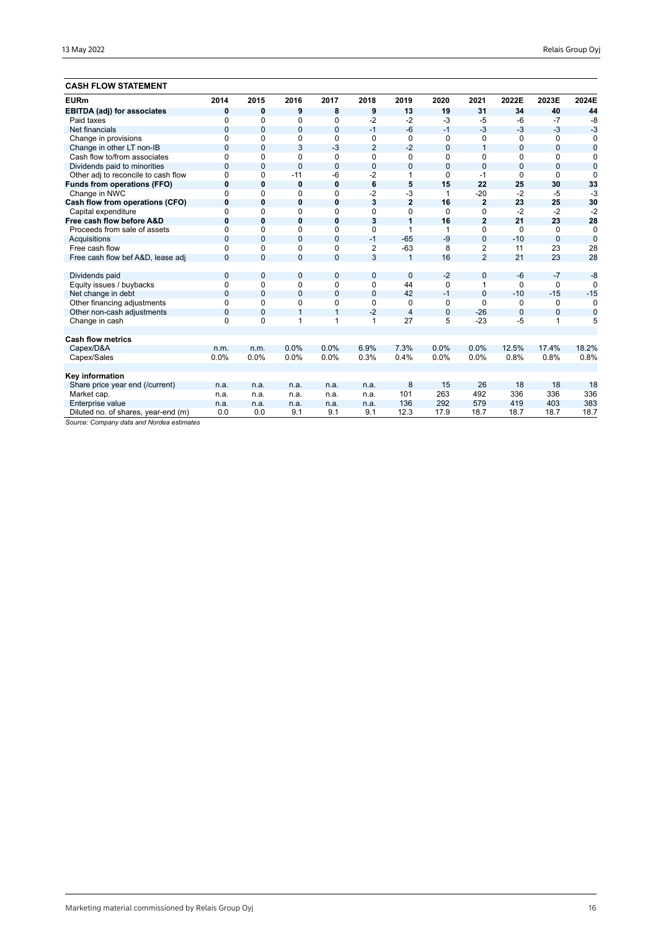## **CASH FLOW STATEMENT**

| <b>EURm</b>                         | 2014           | 2015           | 2016           | 2017           | 2018           | 2019           | 2020        | 2021           | 2022E          | 2023E          | 2024E          |
|-------------------------------------|----------------|----------------|----------------|----------------|----------------|----------------|-------------|----------------|----------------|----------------|----------------|
| <b>EBITDA (adj) for associates</b>  | 0              | 0              | 9              | 8              | 9              | 13             | 19          | 31             | 34             | 40             | 44             |
| Paid taxes                          | $\Omega$       | 0              | 0              | 0              | $-2$           | $-2$           | $-3$        | $-5$           | $-6$           | $-7$           | $-8$           |
| Net financials                      | $\mathbf{0}$   | 0              | $\mathbf{0}$   | $\overline{0}$ | $-1$           | $-6$           | $-1$        | $-3$           | $-3$           | $-3$           | $-3$           |
| Change in provisions                | $\mathbf 0$    | 0              | 0              | 0              | 0              | 0              | 0           | 0              | 0              | 0              | 0              |
| Change in other LT non-IB           | $\overline{0}$ | $\Omega$       | 3              | $-3$           | $\overline{2}$ | $-2$           | $\Omega$    | $\overline{1}$ | $\overline{0}$ | $\overline{0}$ | $\bf{0}$       |
| Cash flow to/from associates        | $\Omega$       | 0              | 0              | 0              | $\Omega$       | $\mathbf 0$    | $\Omega$    | $\Omega$       | $\Omega$       | $\Omega$       | 0              |
| Dividends paid to minorities        | $\overline{0}$ | $\overline{0}$ | $\overline{0}$ | $\mathbf 0$    | $\mathbf{0}$   | $\mathbf 0$    | $\Omega$    | $\overline{0}$ | $\Omega$       | 0              | $\overline{0}$ |
| Other adj to reconcile to cash flow | $\Omega$       | 0              | $-11$          | $-6$           | $-2$           | 1              | $\Omega$    | $-1$           | $\Omega$       | $\Omega$       | $\Omega$       |
| <b>Funds from operations (FFO)</b>  | $\bf{0}$       | 0              | $\bf{0}$       | $\bf{0}$       | 6              | 5              | 15          | 22             | 25             | 30             | 33             |
| Change in NWC                       | $\Omega$       | 0              | 0              | 0              | $-2$           | -3             | 1           | $-20$          | $-2$           | $-5$           | $-3$           |
| Cash flow from operations (CFO)     | $\bf{0}$       | $\bf{0}$       | 0              | 0              | 3              | $\overline{2}$ | 16          | $\overline{2}$ | 23             | 25             | 30             |
| Capital expenditure                 | $\Omega$       | 0              | $\Omega$       | 0              | $\Omega$       | $\Omega$       | $\Omega$    | $\Omega$       | $-2$           | $-2$           | $-2$           |
| Free cash flow before A&D           | $\bf{0}$       | $\bf{0}$       | 0              | 0              | 3              | 1              | 16          | $\overline{2}$ | 21             | 23             | 28             |
| Proceeds from sale of assets        | $\Omega$       | $\Omega$       | $\Omega$       | 0              | $\Omega$       | 1              | 1           | $\Omega$       | $\Omega$       | $\Omega$       | $\mathbf 0$    |
| Acquisitions                        | $\Omega$       | $\overline{0}$ | $\mathbf 0$    | $\overline{0}$ | $-1$           | $-65$          | $-9$        | $\overline{0}$ | $-10$          | $\mathbf{0}$   | $\overline{0}$ |
| Free cash flow                      | $\Omega$       | $\Omega$       | $\Omega$       | 0              | $\overline{2}$ | $-63$          | 8           | 2              | 11             | 23             | 28             |
| Free cash flow bef A&D, lease adj   | $\Omega$       | $\Omega$       | $\mathbf 0$    | 0              | $\overline{3}$ | $\mathbf{1}$   | 16          | $\overline{2}$ | 21             | 23             | 28             |
|                                     |                |                |                |                |                |                |             |                |                |                |                |
| Dividends paid                      | $\mathbf 0$    | $\overline{0}$ | $\mathbf 0$    | 0              | $\overline{0}$ | $\mathbf{0}$   | $-2$        | $\mathbf 0$    | $-6$           | $-7$           | $-8$           |
| Equity issues / buybacks            | $\mathbf 0$    | 0              | 0              | 0              | $\mathbf 0$    | 44             | $\Omega$    | 1              | $\Omega$       | $\Omega$       | $\Omega$       |
| Net change in debt                  | $\overline{0}$ | $\mathbf{0}$   | $\mathbf 0$    | 0              | $\mathbf{0}$   | 42             | $-1$        | $\overline{0}$ | $-10$          | $-15$          | $-15$          |
| Other financing adjustments         | $\mathbf 0$    | 0              | $\Omega$       | 0              | $\mathbf 0$    | 0              | 0           | $\Omega$       | $\Omega$       | 0              | $\Omega$       |
| Other non-cash adjustments          | $\mathbf 0$    | $\overline{0}$ | 1              | $\mathbf{1}$   | $-2$           | 4              | $\mathbf 0$ | $-26$          | $\overline{0}$ | 0              | $\mathbf 0$    |
| Change in cash                      | $\Omega$       | $\Omega$       | 1              | 1              | $\mathbf{1}$   | 27             | 5           | $-23$          | $-5$           | 1              | 5              |
|                                     |                |                |                |                |                |                |             |                |                |                |                |
| <b>Cash flow metrics</b>            |                |                |                |                |                |                |             |                |                |                |                |
| Capex/D&A                           | n.m.           | n.m.           | 0.0%           | 0.0%           | 6.9%           | 7.3%           | 0.0%        | 0.0%           | 12.5%          | 17.4%          | 18.2%          |
| Capex/Sales                         | 0.0%           | 0.0%           | 0.0%           | 0.0%           | 0.3%           | 0.4%           | 0.0%        | 0.0%           | 0.8%           | 0.8%           | 0.8%           |
|                                     |                |                |                |                |                |                |             |                |                |                |                |
| Key information                     |                |                |                |                |                |                |             |                |                |                |                |
| Share price year end (/current)     | n.a.           | n.a.           | n.a.           | n.a.           | n.a.           | 8              | 15          | 26             | 18             | 18             | 18             |
| Market cap.                         | n.a.           | n.a.           | n.a.           | n.a.           | n.a.           | 101            | 263         | 492            | 336            | 336            | 336            |
| Enterprise value                    | n.a.           | n.a.           | n.a.           | n.a.           | n.a.           | 136            | 292         | 579            | 419            | 403            | 383            |
| Diluted no. of shares, year-end (m) | 0.0            | 0.0            | 9.1            | 9.1            | 9.1            | 12.3           | 17.9        | 18.7           | 18.7           | 18.7           | 18.7           |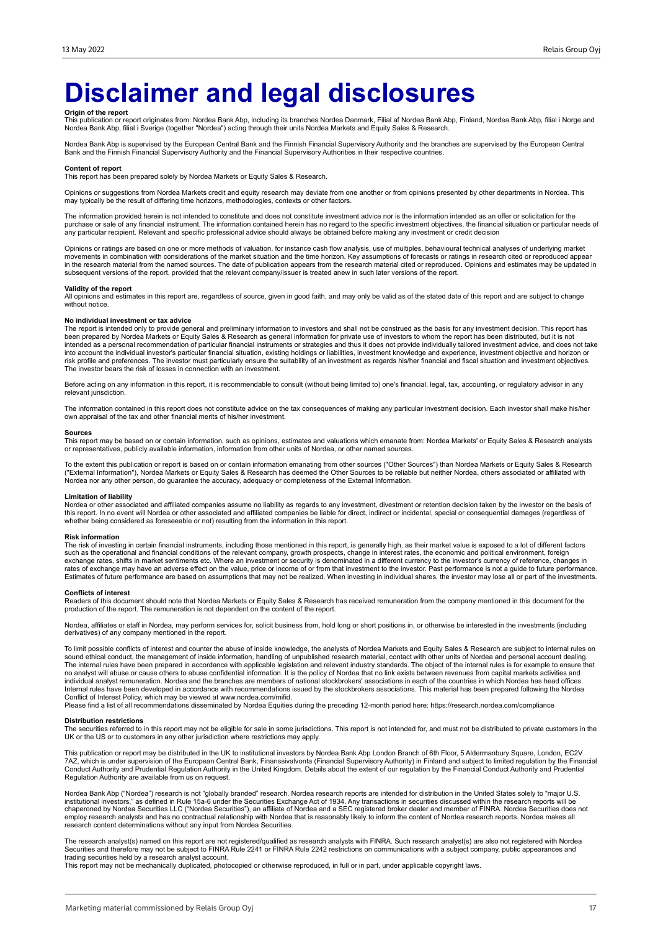# **Disclaimer and legal disclosures**

**Origin of the report**<br>This publication or report originates from: Nordea Bank Abp, including its branches Nordea Danmark, Filial af Nordea Bank Abp, Mordea Bank Abp, filial i Norge and<br>Nordea Bank Abp, filial i Sverige (t

Nordea Bank Abp is supervised by the European Central Bank and the Finnish Financial Supervisory Authority and the branches are supervised by the European Central<br>Bank and the Finnish Financial Supervisory Authority and th

#### **Content of report**

This report has been prepared solely by Nordea Markets or Equity Sales & Research.

Opinions or suggestions from Nordea Markets credit and equity research may deviate from one another or from opinions presented by other departments in Nordea. This may typically be the result of differing time horizons, methodologies, contexts or other factors.

The information provided herein is not intended to constitute and does not constitute investment advice nor is the information intended as an offer or solicitation for the purchase or sale of any financial instrument. The information contained herein has no regard to the specific investment objectives, the financial situation or particular needs of any particular recipient. Relevant and specific professional advice should always be obtained before making any investment or credit decision

Opinions or ratings are based on one or more methods of valuation, for instance cash flow analysis, use of multiples, behavioural technical analyses of underlying market movements in combination with considerations of the market situation and the time horizon. Key assumptions of forecasts or ratings in research cited or reproduced appear<br>in the research material from the named sources. The subsequent versions of the report, provided that the relevant company/issuer is treated anew in such later versions of the report.

### **Validity of the report**

All opinions and estimates in this report are, regardless of source, given in good faith, and may only be valid as of the stated date of this report and are subject to change without notice.

#### **No individual investment or tax advice**

The report is intended only to provide general and preliminary information to investors and shall not be construed as the basis for any investment decision. This report has<br>been prepared by Nordea Markets or Equity Sales & into account the individual investor's particular financial situation, existing holdings or liabilities, investment knowledge and experience, investment objective and horizon or<br>risk profile and preferences. The investor m The investor bears the risk of losses in connection with an investment.

Before acting on any information in this report, it is recommendable to consult (without being limited to) one's financial, legal, tax, accounting, or regulatory advisor in any relevant jurisdiction.

The information contained in this report does not constitute advice on the tax consequences of making any particular investment decision. Each investor shall make his/her own appraisal of the tax and other financial merits of his/her investment.

#### **Sources**

This report may be based on or contain information, such as opinions, estimates and valuations which emanate from: Nordea Markets' or Equity Sales & Research analysts or representatives, publicly available information, information from other units of Nordea, or other named sources.

To the extent this publication or report is based on or contain information emanating from other sources ("Other Sources") than Nordea Markets or Equity Sales & Research<br>("External Information"), Nordea Markets or Equity S Nordea nor any other person, do guarantee the accuracy, adequacy or completeness of the External Information.

### **Limitation of liability**

Nordea or other associated and affiliated companies assume no liability as regards to any investment, divestment or retention decision taken by the investor on the basis of<br>this report. In no event will Nordea or other ass whether being considered as foreseeable or not) resulting from the information in this report.

#### **Risk information**

The risk of investing in certain financial instruments, including those mentioned in this report, is generally high, as their market value is exposed to a lot of different factors<br>such as the operational and financial cond exchange rates, shifts in market sentiments etc. Where an investment or security is denominated in a different currency to the investor's currency of reference, changes in<br>rates of exchange may have an adverse effect on th Estimates of future performance are based on assumptions that may not be realized. When investing in individual shares, the investor may lose all or part of the investments.

#### **Conflicts of interest**

Readers of this document should note that Nordea Markets or Equity Sales & Research has received remuneration from the company mentioned in this document for the<br>production of the report. The remuneration is not dependent

Nordea, affiliates or staff in Nordea, may perform services for, solicit business from, hold long or short positions in, or otherwise be interested in the investments (including derivatives) of any company mentioned in the report.

To limit possible conflicts of interest and counter the abuse of inside knowledge, the analysts of Nordea Markets and Equity Sales & Research are subject to internal rules on sound ethical conduct, the management of inside information, handling of unpublished research material, contact with other units of Nordea and personal account dealing.<br>The internal rules have been prepared in accordance w individual analyst remuneration. Nordea and the branches are members of national stockbrokers' associations in each of the countries in which Nordea has head offices.<br>Internal rules have been developed in accordance with r Conflict of Interest Policy, which may be viewed at www.nordea.com/mifid.

Please find a list of all recommendations disseminated by Nordea Equities during the preceding 12-month period here: https://research.nordea.com/compliance

#### **Distribution restrictions**

The securities referred to in this report may not be eligible for sale in some jurisdictions. This report is not intended for, and must not be distributed to private customers in the<br>UK or the US or to customers in any oth

This publication or report may be distributed in the UK to institutional investors by Nordea Bank Abp London Branch of 6th Floor, 5 Aldermanbury Square, London, EC2V<br>7AZ, which is under supervision of the European Central Conduct Authority and Prudential Regulation Authority in the United Kingdom. Details about the extent of our regulation by the Financial Conduct Authority and Prudential Regulation Authority are available from us on request.

Nordea Bank Abp ("Nordea") research is not "globally branded" research. Nordea research reports are intended for distribution in the United States solely to "major U.S.<br>institutional investors," as defined in Rule 15a-6 un employ research analysts and has no contractual relationship with Nordea that is reasonably likely to inform the content of Nordea research reports. Nordea makes all research content determinations without any input from Nordea Securities.

The research analyst(s) named on this report are not registered/qualified as research analysts with FINRA. Such research analyst(s) are also not registered with Nordea Securities and therefore may not be subject to FINRA Rule 2241 or FINRA Rule 2242 restrictions on communications with a subject company, public appearances and trading securities held by a research analyst account.

This report may not be mechanically duplicated, photocopied or otherwise reproduced, in full or in part, under applicable copyright laws.